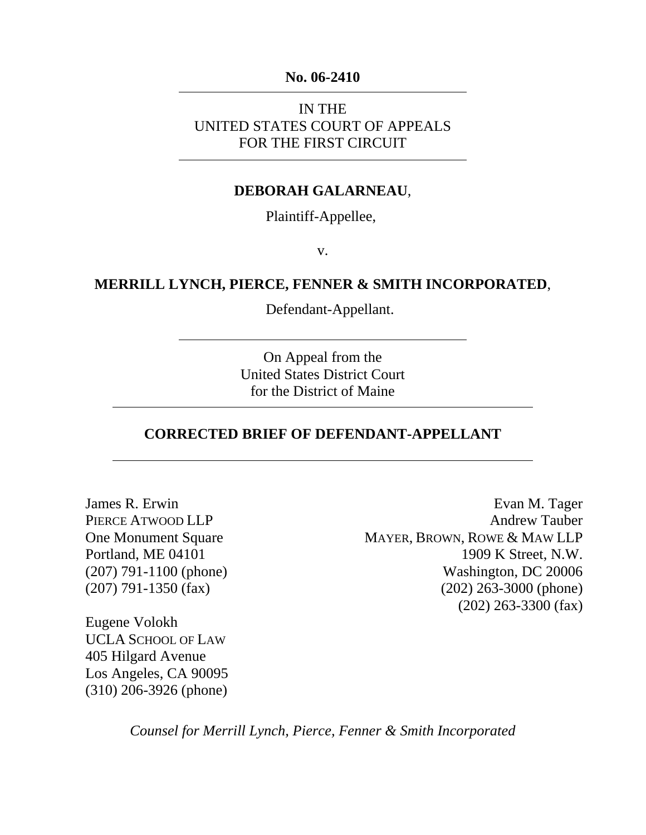### **No. 06-2410**

IN THE UNITED STATES COURT OF APPEALS FOR THE FIRST CIRCUIT

### **DEBORAH GALARNEAU**,

Plaintiff-Appellee,

v.

### **MERRILL LYNCH, PIERCE, FENNER & SMITH INCORPORATED**,

Defendant-Appellant.

On Appeal from the United States District Court for the District of Maine

### **CORRECTED BRIEF OF DEFENDANT-APPELLANT**

James R. Erwin PIERCE ATWOOD LLP One Monument Square Portland, ME 04101 (207) 791-1100 (phone) (207) 791-1350 (fax)

Evan M. Tager Andrew Tauber MAYER, BROWN, ROWE & MAW LLP 1909 K Street, N.W. Washington, DC 20006 (202) 263-3000 (phone) (202) 263-3300 (fax)

Eugene Volokh UCLA SCHOOL OF LAW 405 Hilgard Avenue Los Angeles, CA 90095 (310) 206-3926 (phone)

*Counsel for Merrill Lynch, Pierce, Fenner & Smith Incorporated*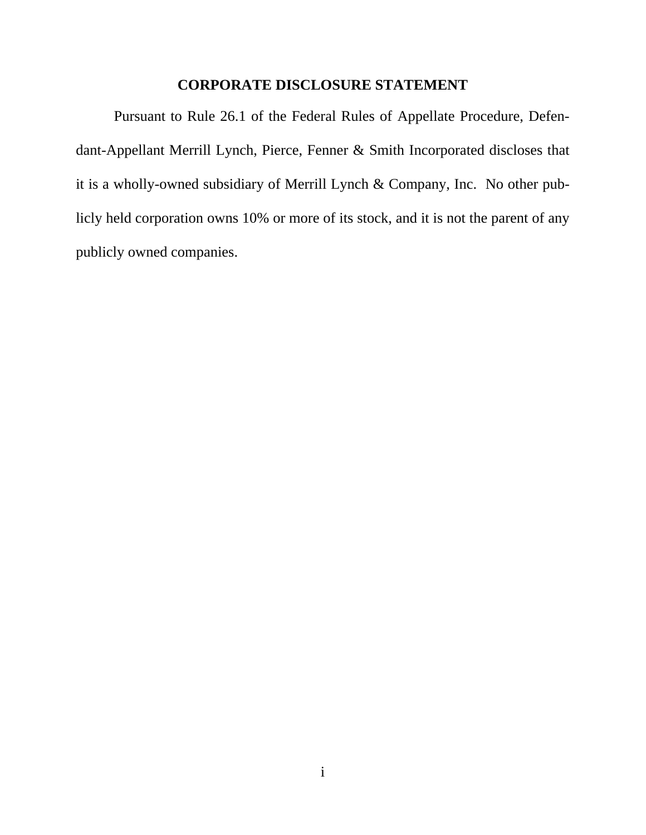## **CORPORATE DISCLOSURE STATEMENT**

<span id="page-1-0"></span>Pursuant to Rule 26.1 of the Federal Rules of Appellate Procedure, Defendant-Appellant Merrill Lynch, Pierce, Fenner & Smith Incorporated discloses that it is a wholly-owned subsidiary of Merrill Lynch & Company, Inc. No other publicly held corporation owns 10% or more of its stock, and it is not the parent of any publicly owned companies.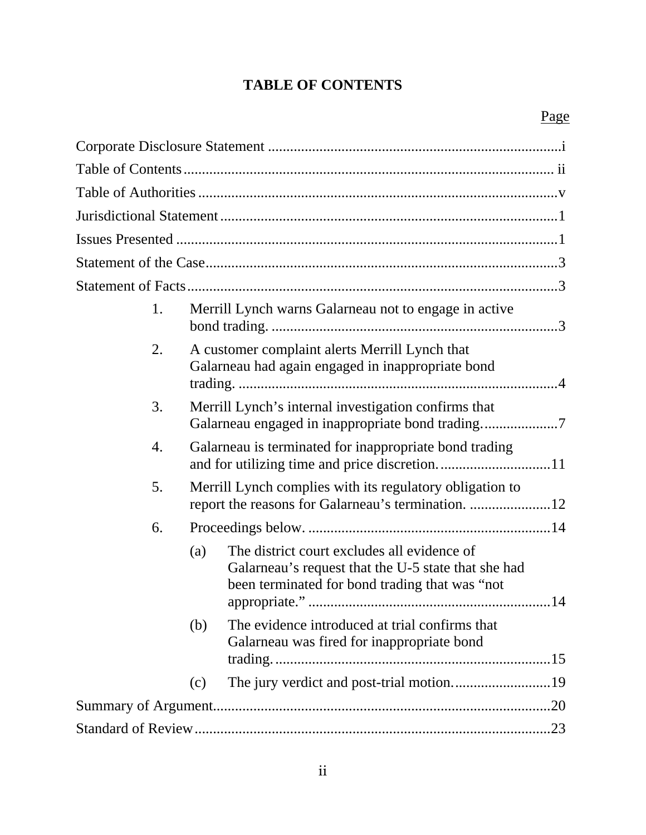## **TABLE OF CONTENTS**

<span id="page-2-0"></span>

| 1. |     | Merrill Lynch warns Galarneau not to engage in active                                                                                                |
|----|-----|------------------------------------------------------------------------------------------------------------------------------------------------------|
| 2. |     | A customer complaint alerts Merrill Lynch that<br>Galarneau had again engaged in inappropriate bond                                                  |
| 3. |     | Merrill Lynch's internal investigation confirms that                                                                                                 |
| 4. |     | Galarneau is terminated for inappropriate bond trading                                                                                               |
| 5. |     | Merrill Lynch complies with its regulatory obligation to                                                                                             |
| 6. |     |                                                                                                                                                      |
|    | (a) | The district court excludes all evidence of<br>Galarneau's request that the U-5 state that she had<br>been terminated for bond trading that was "not |
|    | (b) | The evidence introduced at trial confirms that<br>Galarneau was fired for inappropriate bond                                                         |
|    | (c) |                                                                                                                                                      |
|    |     |                                                                                                                                                      |
|    |     |                                                                                                                                                      |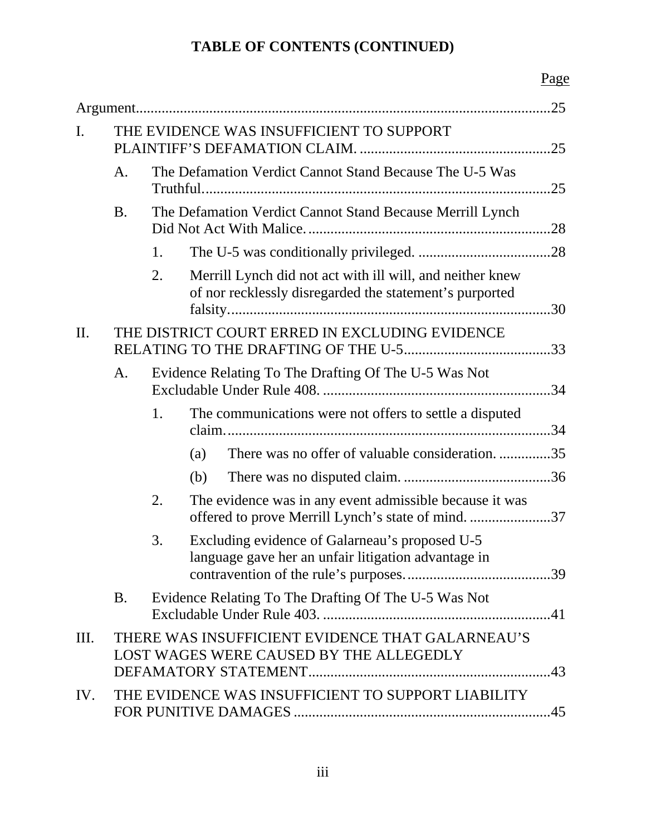# **TABLE OF CONTENTS (CONTINUED)**

# Page

| I.        |           |                                                                | THE EVIDENCE WAS INSUFFICIENT TO SUPPORT                                                                             |  |
|-----------|-----------|----------------------------------------------------------------|----------------------------------------------------------------------------------------------------------------------|--|
|           | A.        | The Defamation Verdict Cannot Stand Because The U-5 Was<br>.25 |                                                                                                                      |  |
|           | <b>B.</b> |                                                                | The Defamation Verdict Cannot Stand Because Merrill Lynch                                                            |  |
|           |           | 1.                                                             |                                                                                                                      |  |
|           |           | 2.                                                             | Merrill Lynch did not act with ill will, and neither knew<br>of nor recklessly disregarded the statement's purported |  |
| $\prod$ . |           |                                                                | THE DISTRICT COURT ERRED IN EXCLUDING EVIDENCE                                                                       |  |
|           | A.        |                                                                | Evidence Relating To The Drafting Of The U-5 Was Not                                                                 |  |
|           |           | 1.                                                             | The communications were not offers to settle a disputed                                                              |  |
|           |           |                                                                | There was no offer of valuable consideration35<br>(a)                                                                |  |
|           |           |                                                                | (b)                                                                                                                  |  |
|           |           | 2.                                                             | The evidence was in any event admissible because it was<br>offered to prove Merrill Lynch's state of mind. 37        |  |
|           |           | 3.                                                             | Excluding evidence of Galarneau's proposed U-5<br>language gave her an unfair litigation advantage in                |  |
|           | <b>B.</b> |                                                                | Evidence Relating To The Drafting Of The U-5 Was Not                                                                 |  |
| III.      |           |                                                                | THERE WAS INSUFFICIENT EVIDENCE THAT GALARNEAU'S<br>LOST WAGES WERE CAUSED BY THE ALLEGEDLY                          |  |
| IV.       |           |                                                                | THE EVIDENCE WAS INSUFFICIENT TO SUPPORT LIABILITY                                                                   |  |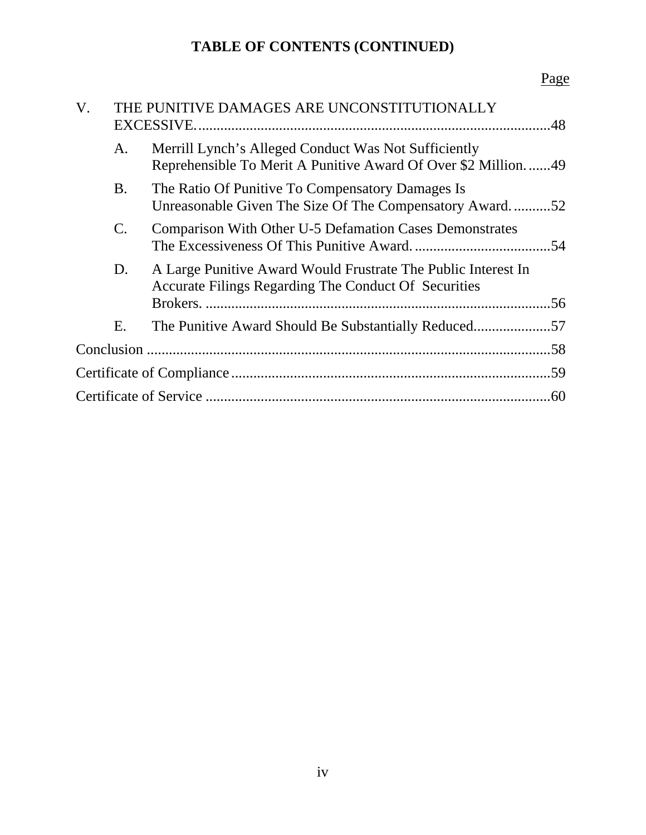# **TABLE OF CONTENTS (CONTINUED)**

# Page

| V. |                | THE PUNITIVE DAMAGES ARE UNCONSTITUTIONALLY                                                                              |     |
|----|----------------|--------------------------------------------------------------------------------------------------------------------------|-----|
|    | A.             | Merrill Lynch's Alleged Conduct Was Not Sufficiently<br>Reprehensible To Merit A Punitive Award Of Over \$2 Million.  49 |     |
|    | <b>B.</b>      | The Ratio Of Punitive To Compensatory Damages Is<br>Unreasonable Given The Size Of The Compensatory Award52              |     |
|    | $\mathbf{C}$ . | <b>Comparison With Other U-5 Defamation Cases Demonstrates</b>                                                           |     |
|    | D.             | A Large Punitive Award Would Frustrate The Public Interest In<br>Accurate Filings Regarding The Conduct Of Securities    |     |
|    | E.             | The Punitive Award Should Be Substantially Reduced57                                                                     |     |
|    |                |                                                                                                                          |     |
|    |                |                                                                                                                          |     |
|    |                |                                                                                                                          | .60 |
|    |                |                                                                                                                          |     |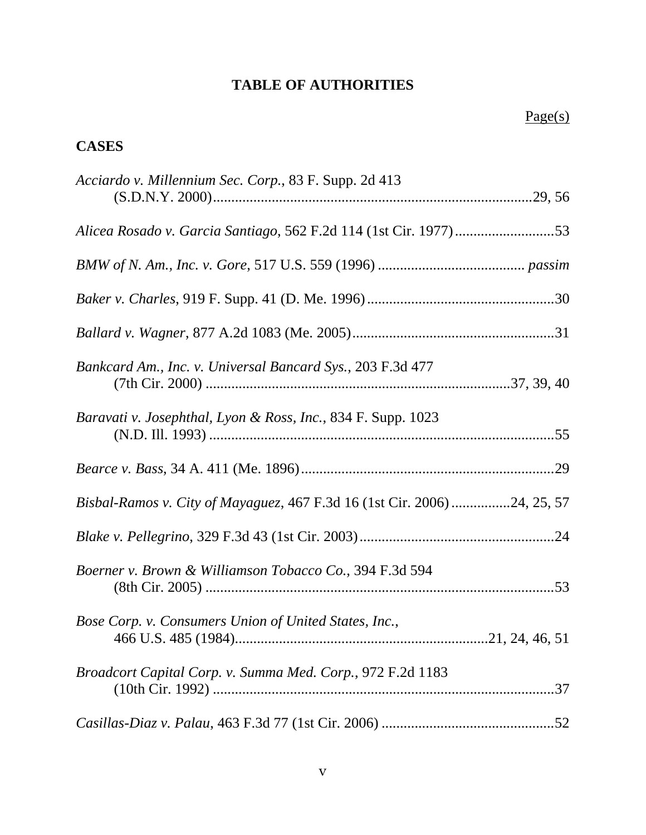## **TABLE OF AUTHORITIES**

## <span id="page-5-0"></span>**CASES**

| Acciardo v. Millennium Sec. Corp., 83 F. Supp. 2d 413                    |
|--------------------------------------------------------------------------|
|                                                                          |
|                                                                          |
|                                                                          |
|                                                                          |
|                                                                          |
| Bankcard Am., Inc. v. Universal Bancard Sys., 203 F.3d 477               |
| Baravati v. Josephthal, Lyon & Ross, Inc., 834 F. Supp. 1023             |
|                                                                          |
| Bisbal-Ramos v. City of Mayaguez, 467 F.3d 16 (1st Cir. 2006) 24, 25, 57 |
|                                                                          |
| Boerner v. Brown & Williamson Tobacco Co., 394 F.3d 594                  |
| Bose Corp. v. Consumers Union of United States, Inc.,                    |
| Broadcort Capital Corp. v. Summa Med. Corp., 972 F.2d 1183               |
|                                                                          |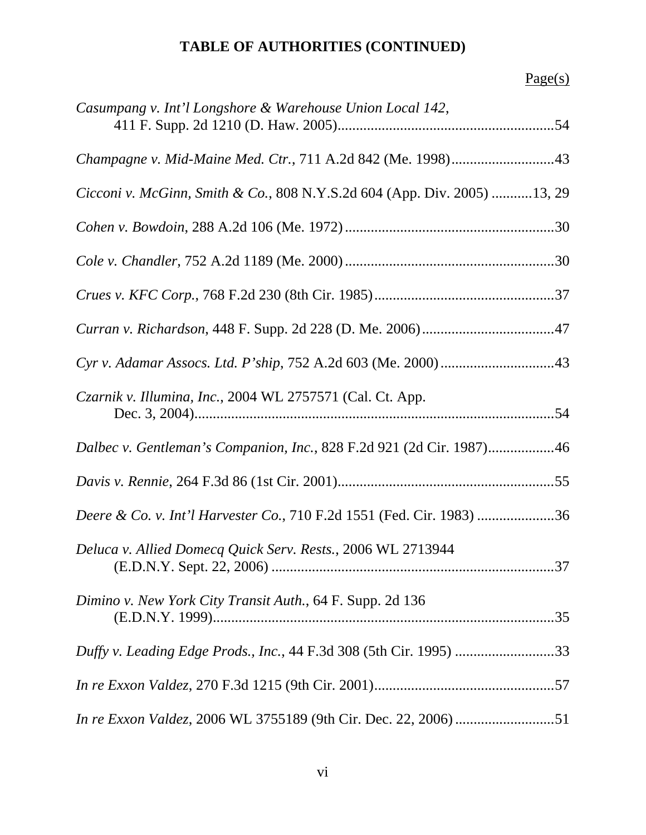| Casumpang v. Int'l Longshore & Warehouse Union Local 142,                |
|--------------------------------------------------------------------------|
| Champagne v. Mid-Maine Med. Ctr., 711 A.2d 842 (Me. 1998)43              |
| Cicconi v. McGinn, Smith & Co., 808 N.Y.S.2d 604 (App. Div. 2005) 13, 29 |
|                                                                          |
|                                                                          |
|                                                                          |
|                                                                          |
|                                                                          |
| Czarnik v. Illumina, Inc., 2004 WL 2757571 (Cal. Ct. App.                |
| Dalbec v. Gentleman's Companion, Inc., 828 F.2d 921 (2d Cir. 1987)46     |
|                                                                          |
| Deere & Co. v. Int'l Harvester Co., 710 F.2d 1551 (Fed. Cir. 1983) 36    |
| Deluca v. Allied Domecq Quick Serv. Rests., 2006 WL 2713944              |
| Dimino v. New York City Transit Auth., 64 F. Supp. 2d 136                |
|                                                                          |
|                                                                          |
| In re Exxon Valdez, 2006 WL 3755189 (9th Cir. Dec. 22, 2006) 51          |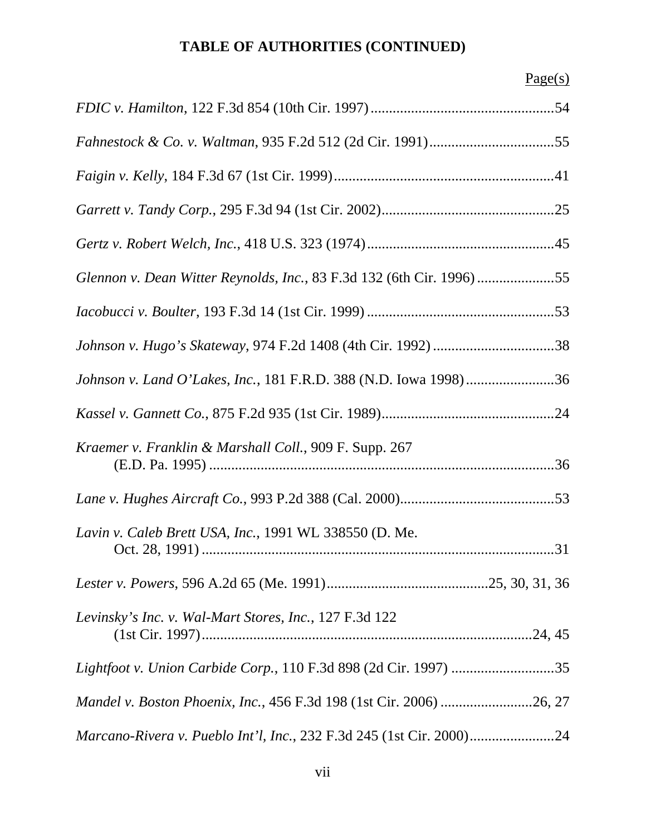| Glennon v. Dean Witter Reynolds, Inc., 83 F.3d 132 (6th Cir. 1996) 55 |
|-----------------------------------------------------------------------|
|                                                                       |
|                                                                       |
| Johnson v. Land O'Lakes, Inc., 181 F.R.D. 388 (N.D. Iowa 1998)36      |
|                                                                       |
| Kraemer v. Franklin & Marshall Coll., 909 F. Supp. 267                |
|                                                                       |
| Lavin v. Caleb Brett USA, Inc., 1991 WL 338550 (D. Me.                |
|                                                                       |
| Levinsky's Inc. v. Wal-Mart Stores, Inc., 127 F.3d 122                |
|                                                                       |
|                                                                       |
|                                                                       |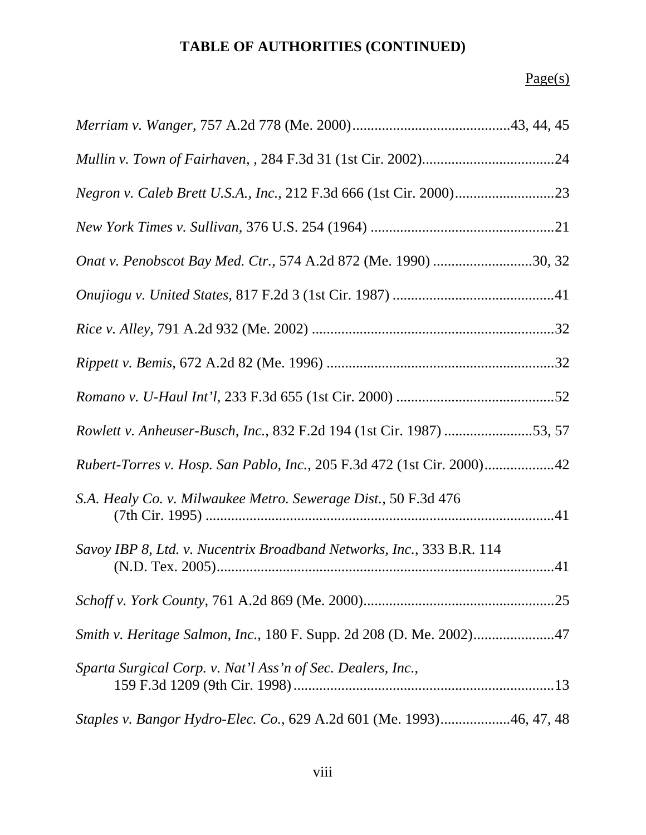| Onat v. Penobscot Bay Med. Ctr., 574 A.2d 872 (Me. 1990) 30, 32        |
|------------------------------------------------------------------------|
|                                                                        |
|                                                                        |
|                                                                        |
|                                                                        |
| Rowlett v. Anheuser-Busch, Inc., 832 F.2d 194 (1st Cir. 1987) 53, 57   |
| Rubert-Torres v. Hosp. San Pablo, Inc., 205 F.3d 472 (1st Cir. 2000)42 |
| S.A. Healy Co. v. Milwaukee Metro. Sewerage Dist., 50 F.3d 476         |
| Savoy IBP 8, Ltd. v. Nucentrix Broadband Networks, Inc., 333 B.R. 114  |
|                                                                        |
| Smith v. Heritage Salmon, Inc., 180 F. Supp. 2d 208 (D. Me. 2002)47    |
| Sparta Surgical Corp. v. Nat'l Ass'n of Sec. Dealers, Inc.,            |
| Staples v. Bangor Hydro-Elec. Co., 629 A.2d 601 (Me. 1993)46, 47, 48   |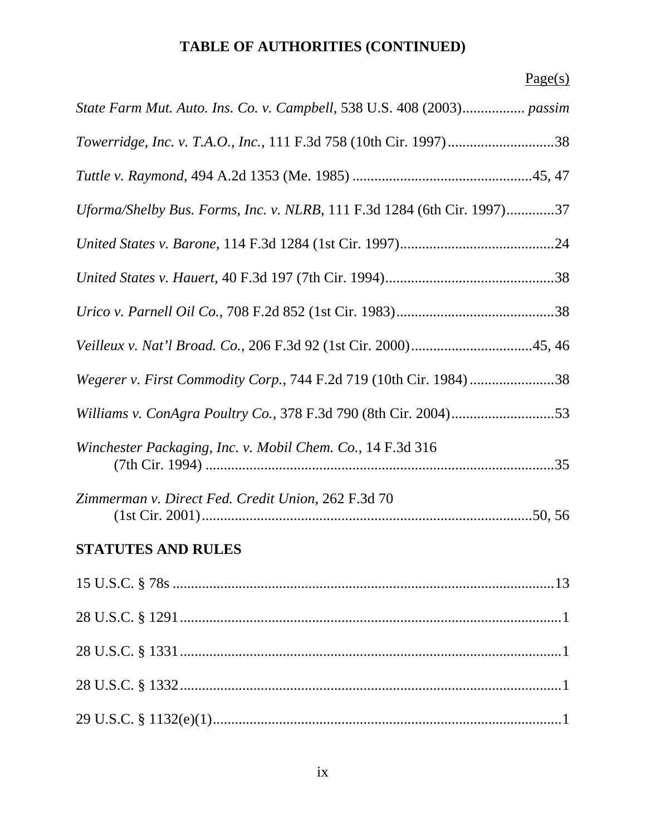| State Farm Mut. Auto. Ins. Co. v. Campbell, 538 U.S. 408 (2003) passim  |
|-------------------------------------------------------------------------|
|                                                                         |
|                                                                         |
| Uforma/Shelby Bus. Forms, Inc. v. NLRB, 111 F.3d 1284 (6th Cir. 1997)37 |
|                                                                         |
|                                                                         |
|                                                                         |
|                                                                         |
| Wegerer v. First Commodity Corp., 744 F.2d 719 (10th Cir. 1984)38       |
| Williams v. ConAgra Poultry Co., 378 F.3d 790 (8th Cir. 2004)53         |
| Winchester Packaging, Inc. v. Mobil Chem. Co., 14 F.3d 316              |
| Zimmerman v. Direct Fed. Credit Union, 262 F.3d 70                      |
| <b>STATUTES AND RULES</b>                                               |
|                                                                         |
|                                                                         |
|                                                                         |
|                                                                         |
|                                                                         |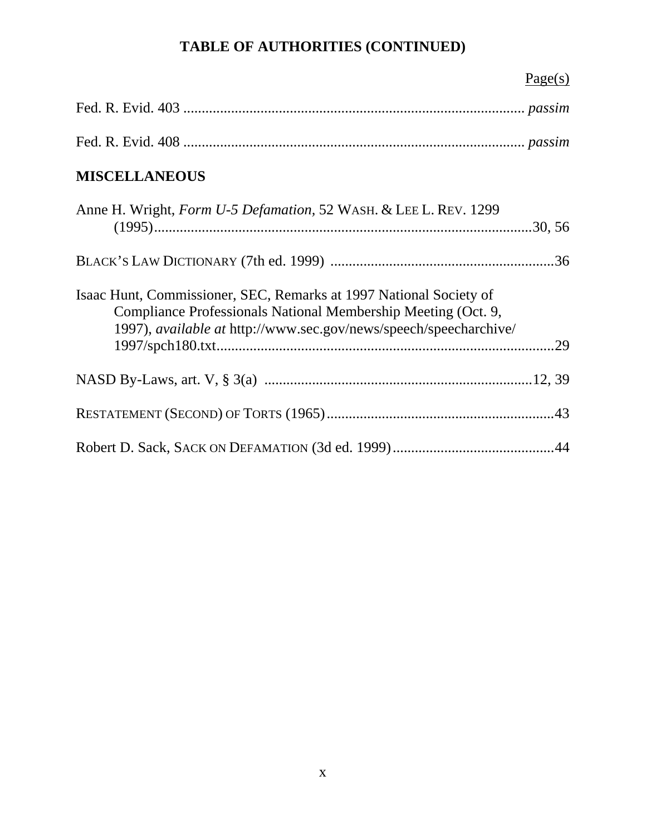| Page(s)                                                                                                                                                                                                  |     |
|----------------------------------------------------------------------------------------------------------------------------------------------------------------------------------------------------------|-----|
|                                                                                                                                                                                                          |     |
|                                                                                                                                                                                                          |     |
| <b>MISCELLANEOUS</b>                                                                                                                                                                                     |     |
| Anne H. Wright, Form U-5 Defamation, 52 WASH. & LEE L. REV. 1299                                                                                                                                         |     |
|                                                                                                                                                                                                          |     |
| Isaac Hunt, Commissioner, SEC, Remarks at 1997 National Society of<br>Compliance Professionals National Membership Meeting (Oct. 9,<br>1997), available at http://www.sec.gov/news/speech/speecharchive/ | .29 |
|                                                                                                                                                                                                          |     |
|                                                                                                                                                                                                          |     |
|                                                                                                                                                                                                          |     |
|                                                                                                                                                                                                          |     |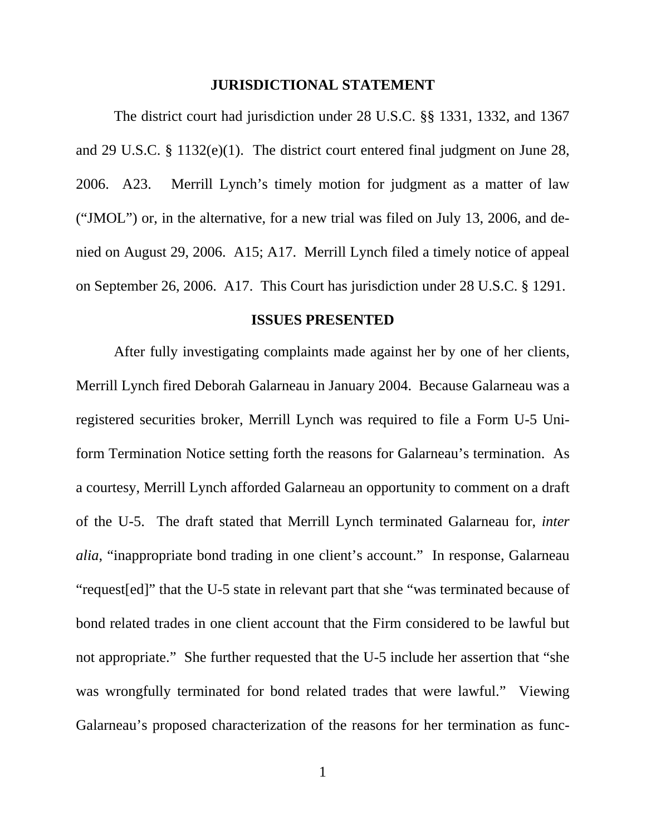### **JURISDICTIONAL STATEMENT**

<span id="page-11-0"></span>The district court had jurisdiction under 28 U.S.C. §§ 1331, 1332, and 1367 and 29 U.S.C. § 1132(e)(1). The district court entered final judgment on June 28, 2006. A23. Merrill Lynch's timely motion for judgment as a matter of law ("JMOL") or, in the alternative, for a new trial was filed on July 13, 2006, and denied on August 29, 2006. A15; A17. Merrill Lynch filed a timely notice of appeal on September 26, 2006. A17. This Court has jurisdiction under 28 U.S.C. § 1291.

### **ISSUES PRESENTED**

After fully investigating complaints made against her by one of her clients, Merrill Lynch fired Deborah Galarneau in January 2004. Because Galarneau was a registered securities broker, Merrill Lynch was required to file a Form U-5 Uniform Termination Notice setting forth the reasons for Galarneau's termination. As a courtesy, Merrill Lynch afforded Galarneau an opportunity to comment on a draft of the U-5. The draft stated that Merrill Lynch terminated Galarneau for, *inter alia*, "inappropriate bond trading in one client's account." In response, Galarneau "request[ed]" that the U-5 state in relevant part that she "was terminated because of bond related trades in one client account that the Firm considered to be lawful but not appropriate." She further requested that the U-5 include her assertion that "she was wrongfully terminated for bond related trades that were lawful." Viewing Galarneau's proposed characterization of the reasons for her termination as func-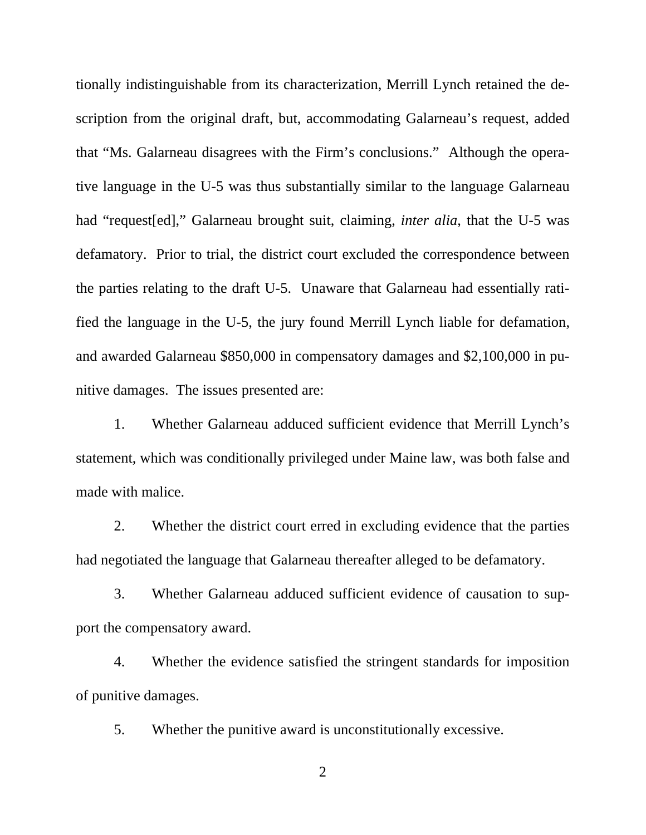tionally indistinguishable from its characterization, Merrill Lynch retained the description from the original draft, but, accommodating Galarneau's request, added that "Ms. Galarneau disagrees with the Firm's conclusions." Although the operative language in the U-5 was thus substantially similar to the language Galarneau had "request[ed]," Galarneau brought suit, claiming, *inter alia*, that the U-5 was defamatory. Prior to trial, the district court excluded the correspondence between the parties relating to the draft U-5. Unaware that Galarneau had essentially ratified the language in the U-5, the jury found Merrill Lynch liable for defamation, and awarded Galarneau \$850,000 in compensatory damages and \$2,100,000 in punitive damages. The issues presented are:

1. Whether Galarneau adduced sufficient evidence that Merrill Lynch's statement, which was conditionally privileged under Maine law, was both false and made with malice.

2. Whether the district court erred in excluding evidence that the parties had negotiated the language that Galarneau thereafter alleged to be defamatory.

3. Whether Galarneau adduced sufficient evidence of causation to support the compensatory award.

4. Whether the evidence satisfied the stringent standards for imposition of punitive damages.

5. Whether the punitive award is unconstitutionally excessive.

2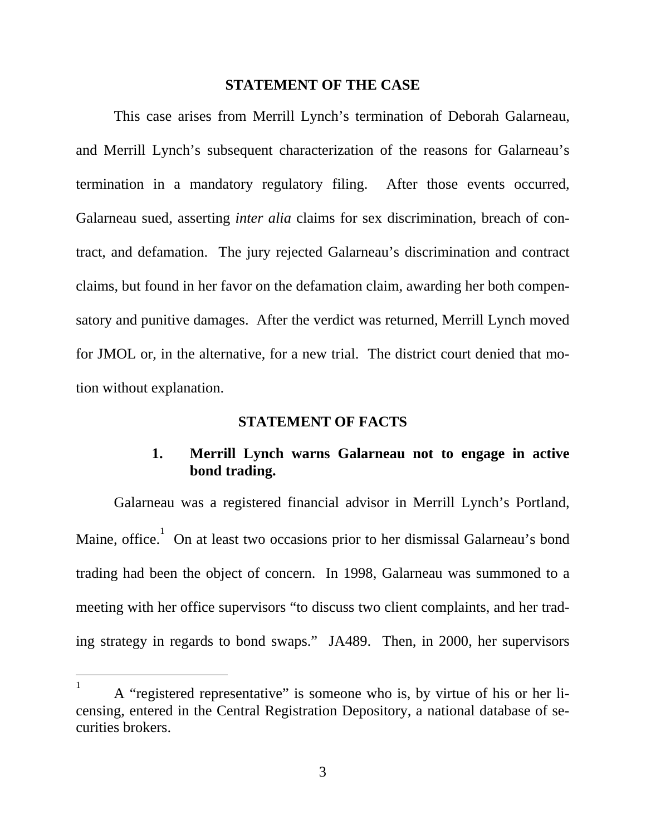### **STATEMENT OF THE CASE**

<span id="page-13-0"></span>This case arises from Merrill Lynch's termination of Deborah Galarneau, and Merrill Lynch's subsequent characterization of the reasons for Galarneau's termination in a mandatory regulatory filing. After those events occurred, Galarneau sued, asserting *inter alia* claims for sex discrimination, breach of contract, and defamation. The jury rejected Galarneau's discrimination and contract claims, but found in her favor on the defamation claim, awarding her both compensatory and punitive damages. After the verdict was returned, Merrill Lynch moved for JMOL or, in the alternative, for a new trial. The district court denied that motion without explanation.

### **STATEMENT OF FACTS**

### **1. Merrill Lynch warns Galarneau not to engage in active bond trading.**

Galarneau was a registered financial advisor in Merrill Lynch's Portland, Maine, office.  $\overline{1}$  $\overline{1}$  $\overline{1}$  On at least two occasions prior to her dismissal Galarneau's bond trading had been the object of concern. In 1998, Galarneau was summoned to a meeting with her office supervisors "to discuss two client complaints, and her trading strategy in regards to bond swaps." JA489. Then, in 2000, her supervisors

-

<span id="page-13-1"></span><sup>1</sup> A "registered representative" is someone who is, by virtue of his or her licensing, entered in the Central Registration Depository, a national database of securities brokers.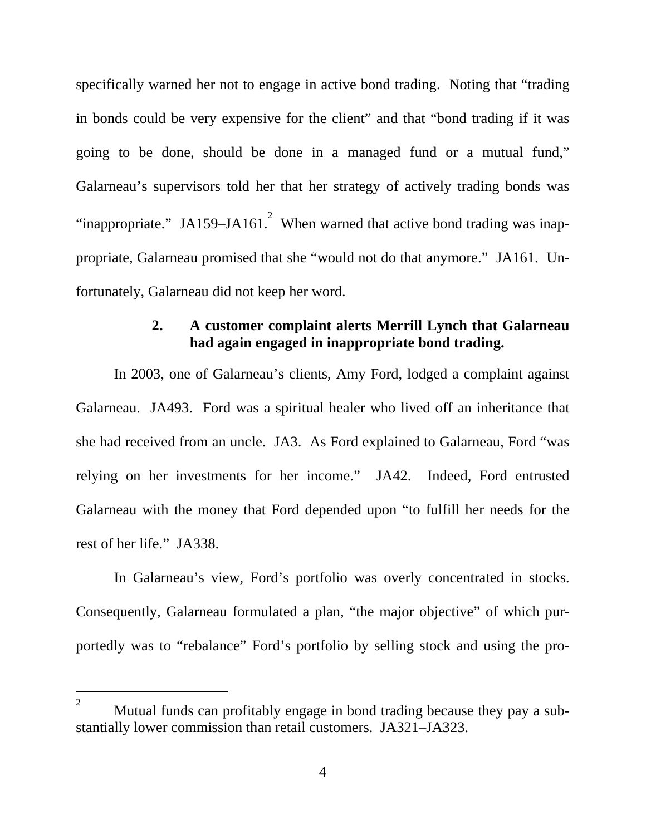<span id="page-14-0"></span>specifically warned her not to engage in active bond trading. Noting that "trading in bonds could be very expensive for the client" and that "bond trading if it was going to be done, should be done in a managed fund or a mutual fund," Galarneau's supervisors told her that her strategy of actively trading bonds was "inappropriate." JA159–JA161.<sup>[2](#page-14-1)</sup> When warned that active bond trading was inappropriate, Galarneau promised that she "would not do that anymore." JA161. Unfortunately, Galarneau did not keep her word.

### **2. A customer complaint alerts Merrill Lynch that Galarneau had again engaged in inappropriate bond trading.**

In 2003, one of Galarneau's clients, Amy Ford, lodged a complaint against Galarneau. JA493. Ford was a spiritual healer who lived off an inheritance that she had received from an uncle. JA3. As Ford explained to Galarneau, Ford "was relying on her investments for her income." JA42. Indeed, Ford entrusted Galarneau with the money that Ford depended upon "to fulfill her needs for the rest of her life." JA338.

In Galarneau's view, Ford's portfolio was overly concentrated in stocks. Consequently, Galarneau formulated a plan, "the major objective" of which purportedly was to "rebalance" Ford's portfolio by selling stock and using the pro-

-

<span id="page-14-1"></span><sup>2</sup> Mutual funds can profitably engage in bond trading because they pay a substantially lower commission than retail customers. JA321–JA323.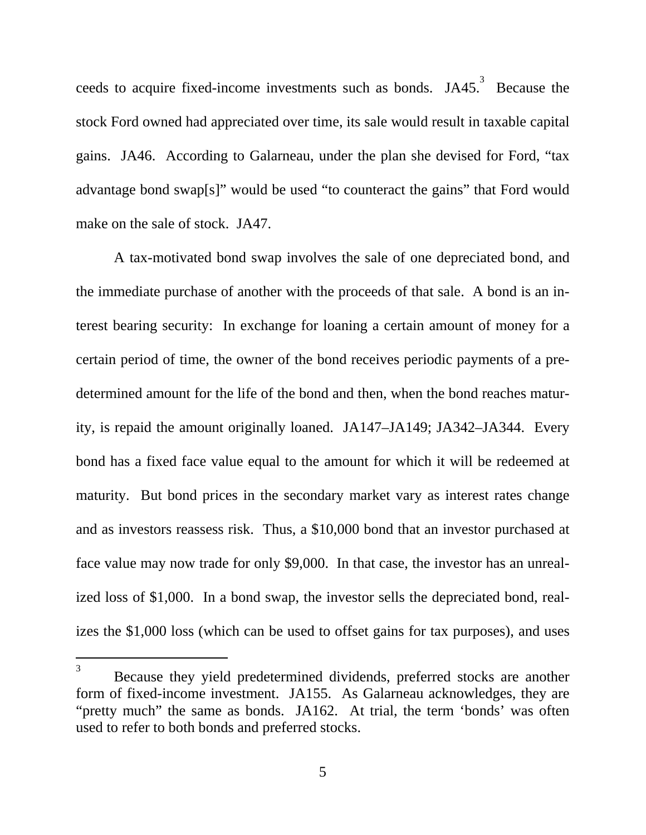ceeds to acquire fixed-income investments such as bonds. JA45. Because the stock Ford owned had appreciated over time, its sale would result in taxable capital gains. JA46. According to Galarneau, under the plan she devised for Ford, "tax advantage bond swap[s]" would be used "to counteract the gains" that Ford would make on the sale of stock. JA47.

A tax-motivated bond swap involves the sale of one depreciated bond, and the immediate purchase of another with the proceeds of that sale. A bond is an interest bearing security: In exchange for loaning a certain amount of money for a certain period of time, the owner of the bond receives periodic payments of a predetermined amount for the life of the bond and then, when the bond reaches maturity, is repaid the amount originally loaned. JA147–JA149; JA342–JA344. Every bond has a fixed face value equal to the amount for which it will be redeemed at maturity. But bond prices in the secondary market vary as interest rates change and as investors reassess risk. Thus, a \$10,000 bond that an investor purchased at face value may now trade for only \$9,000. In that case, the investor has an unrealized loss of \$1,000. In a bond swap, the investor sells the depreciated bond, realizes the \$1,000 loss (which can be used to offset gains for tax purposes), and uses

<span id="page-15-0"></span> $\frac{1}{3}$  $\overline{3}$ Because they yield predetermined dividends, preferred stocks are another form of fixed-income investment. JA155. As Galarneau acknowledges, they are "pretty much" the same as bonds. JA162. At trial, the term 'bonds' was often used to refer to both bonds and preferred stocks.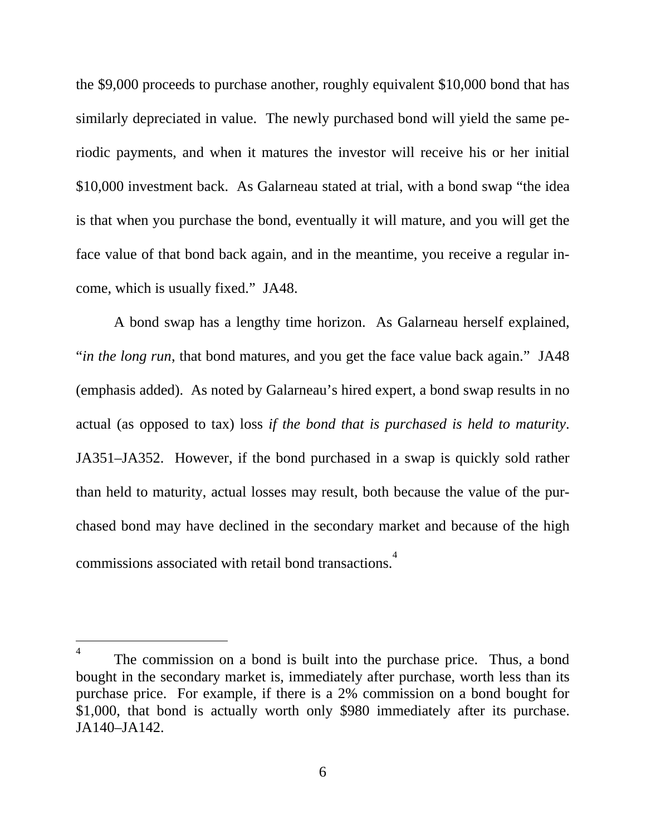the \$9,000 proceeds to purchase another, roughly equivalent \$10,000 bond that has similarly depreciated in value. The newly purchased bond will yield the same periodic payments, and when it matures the investor will receive his or her initial \$10,000 investment back. As Galarneau stated at trial, with a bond swap "the idea is that when you purchase the bond, eventually it will mature, and you will get the face value of that bond back again, and in the meantime, you receive a regular income, which is usually fixed." JA48.

A bond swap has a lengthy time horizon. As Galarneau herself explained, "*in the long run*, that bond matures, and you get the face value back again." JA48 (emphasis added). As noted by Galarneau's hired expert, a bond swap results in no actual (as opposed to tax) loss *if the bond that is purchased is held to maturity*. JA351–JA352. However, if the bond purchased in a swap is quickly sold rather than held to maturity, actual losses may result, both because the value of the purchased bond may have declined in the secondary market and because of the high commissions associated with retail bond transactions.<sup>[4](#page-16-0)</sup>

<span id="page-16-0"></span> $\frac{1}{4}$  $\overline{4}$ The commission on a bond is built into the purchase price. Thus, a bond bought in the secondary market is, immediately after purchase, worth less than its purchase price. For example, if there is a 2% commission on a bond bought for \$1,000, that bond is actually worth only \$980 immediately after its purchase. JA140–JA142.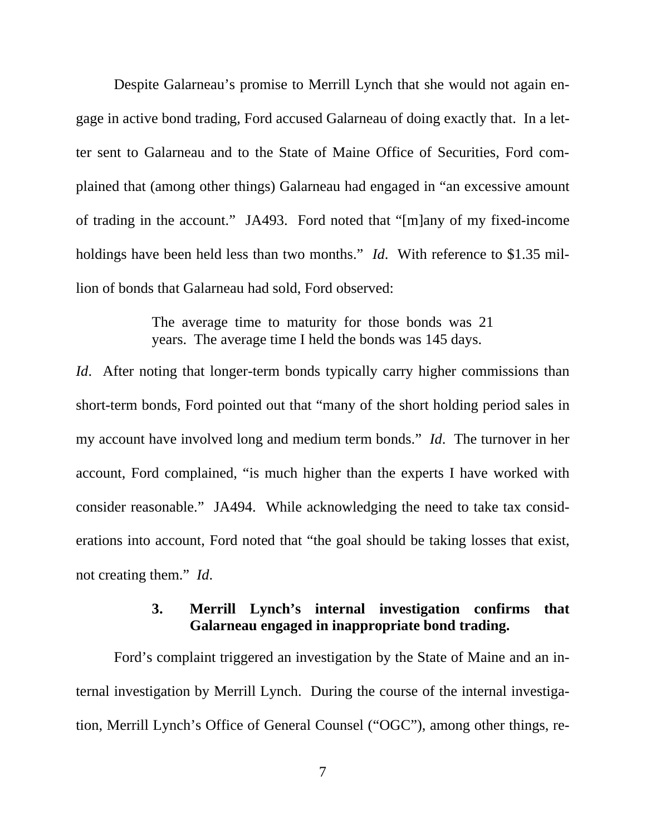<span id="page-17-0"></span>Despite Galarneau's promise to Merrill Lynch that she would not again engage in active bond trading, Ford accused Galarneau of doing exactly that. In a letter sent to Galarneau and to the State of Maine Office of Securities, Ford complained that (among other things) Galarneau had engaged in "an excessive amount of trading in the account." JA493. Ford noted that "[m]any of my fixed-income holdings have been held less than two months." *Id*. With reference to \$1.35 million of bonds that Galarneau had sold, Ford observed:

> The average time to maturity for those bonds was 21 years. The average time I held the bonds was 145 days.

*Id.* After noting that longer-term bonds typically carry higher commissions than short-term bonds, Ford pointed out that "many of the short holding period sales in my account have involved long and medium term bonds." *Id*. The turnover in her account, Ford complained, "is much higher than the experts I have worked with consider reasonable." JA494. While acknowledging the need to take tax considerations into account, Ford noted that "the goal should be taking losses that exist, not creating them." *Id*.

## **3. Merrill Lynch's internal investigation confirms that Galarneau engaged in inappropriate bond trading.**

Ford's complaint triggered an investigation by the State of Maine and an internal investigation by Merrill Lynch. During the course of the internal investigation, Merrill Lynch's Office of General Counsel ("OGC"), among other things, re-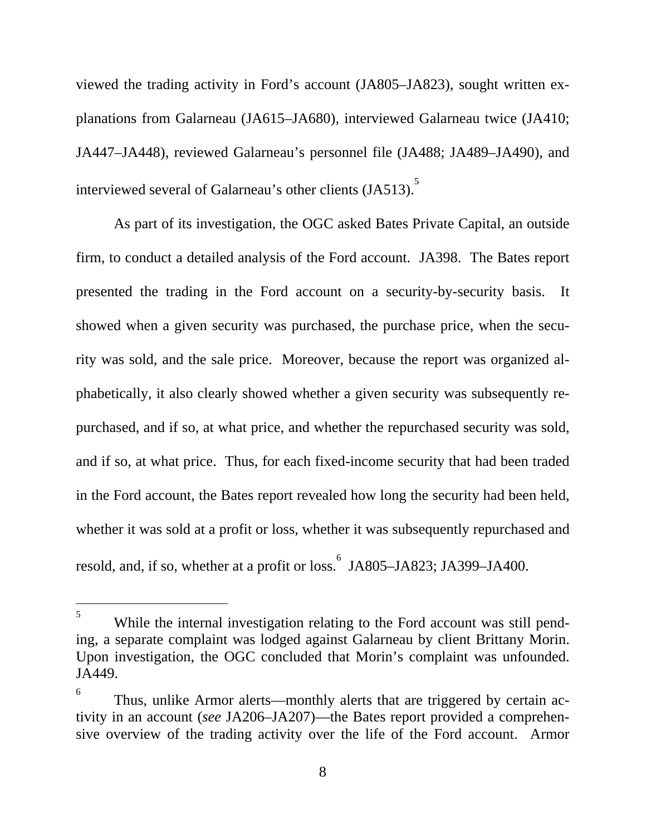viewed the trading activity in Ford's account (JA805–JA823), sought written explanations from Galarneau (JA615–JA680), interviewed Galarneau twice (JA410; JA447–JA448), reviewed Galarneau's personnel file (JA488; JA489–JA490), and interviewed several of Galarneau's other clients (JA[5](#page-18-0)13).<sup>5</sup>

As part of its investigation, the OGC asked Bates Private Capital, an outside firm, to conduct a detailed analysis of the Ford account. JA398. The Bates report presented the trading in the Ford account on a security-by-security basis. It showed when a given security was purchased, the purchase price, when the security was sold, and the sale price. Moreover, because the report was organized alphabetically, it also clearly showed whether a given security was subsequently repurchased, and if so, at what price, and whether the repurchased security was sold, and if so, at what price. Thus, for each fixed-income security that had been traded in the Ford account, the Bates report revealed how long the security had been held, whether it was sold at a profit or loss, whether it was subsequently repurchased and resold, and, if so, whether at a profit or loss. <sup>[6](#page-18-1)</sup> JA805–JA823; JA399–JA400.

<span id="page-18-0"></span> $\frac{1}{5}$  $5<sup>5</sup>$ While the internal investigation relating to the Ford account was still pending, a separate complaint was lodged against Galarneau by client Brittany Morin. Upon investigation, the OGC concluded that Morin's complaint was unfounded. JA449.

<span id="page-18-1"></span><sup>6</sup> Thus, unlike Armor alerts—monthly alerts that are triggered by certain activity in an account (*see* JA206–JA207)—the Bates report provided a comprehensive overview of the trading activity over the life of the Ford account. Armor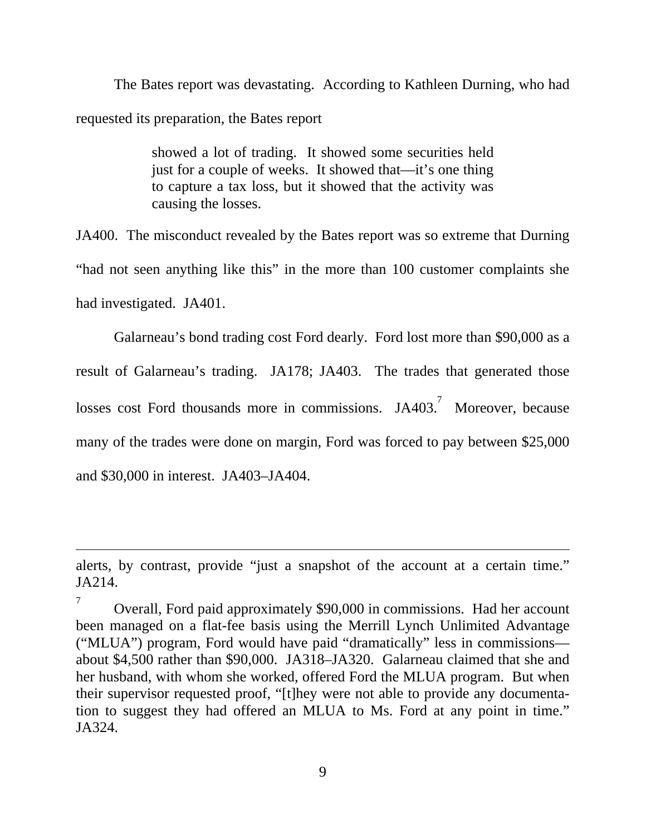The Bates report was devastating. According to Kathleen Durning, who had requested its preparation, the Bates report

> showed a lot of trading. It showed some securities held just for a couple of weeks. It showed that—it's one thing to capture a tax loss, but it showed that the activity was causing the losses.

JA400. The misconduct revealed by the Bates report was so extreme that Durning "had not seen anything like this" in the more than 100 customer complaints she had investigated. JA401.

Galarneau's bond trading cost Ford dearly. Ford lost more than \$90,000 as a result of Galarneau's trading. JA178; JA403. The trades that generated those losses cost Ford thousands more in commissions.  $JA403$ .<sup>[7](#page-19-0)</sup> Moreover, because many of the trades were done on margin, Ford was forced to pay between \$25,000 and \$30,000 in interest. JA403–JA404.

 $\overline{a}$ 

alerts, by contrast, provide "just a snapshot of the account at a certain time." JA214.

<span id="page-19-0"></span><sup>7</sup> Overall, Ford paid approximately \$90,000 in commissions. Had her account been managed on a flat-fee basis using the Merrill Lynch Unlimited Advantage ("MLUA") program, Ford would have paid "dramatically" less in commissions about \$4,500 rather than \$90,000. JA318–JA320. Galarneau claimed that she and her husband, with whom she worked, offered Ford the MLUA program. But when their supervisor requested proof, "[t]hey were not able to provide any documentation to suggest they had offered an MLUA to Ms. Ford at any point in time." JA324.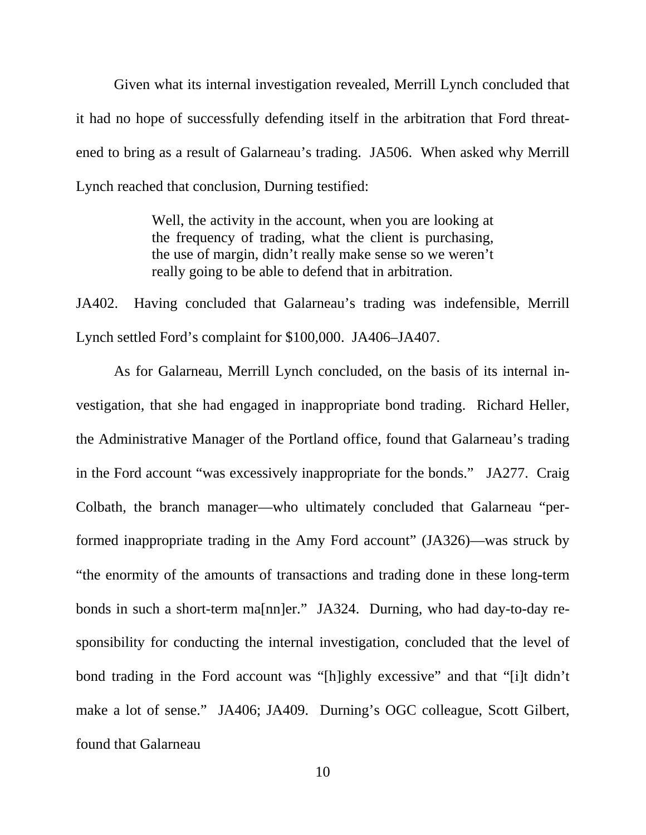Given what its internal investigation revealed, Merrill Lynch concluded that it had no hope of successfully defending itself in the arbitration that Ford threatened to bring as a result of Galarneau's trading. JA506. When asked why Merrill Lynch reached that conclusion, Durning testified:

> Well, the activity in the account, when you are looking at the frequency of trading, what the client is purchasing, the use of margin, didn't really make sense so we weren't really going to be able to defend that in arbitration.

JA402. Having concluded that Galarneau's trading was indefensible, Merrill Lynch settled Ford's complaint for \$100,000. JA406–JA407.

As for Galarneau, Merrill Lynch concluded, on the basis of its internal investigation, that she had engaged in inappropriate bond trading. Richard Heller, the Administrative Manager of the Portland office, found that Galarneau's trading in the Ford account "was excessively inappropriate for the bonds." JA277. Craig Colbath, the branch manager—who ultimately concluded that Galarneau "performed inappropriate trading in the Amy Ford account" (JA326)—was struck by "the enormity of the amounts of transactions and trading done in these long-term bonds in such a short-term ma[nn]er." JA324. Durning, who had day-to-day responsibility for conducting the internal investigation, concluded that the level of bond trading in the Ford account was "[h]ighly excessive" and that "[i]t didn't make a lot of sense." JA406; JA409. Durning's OGC colleague, Scott Gilbert, found that Galarneau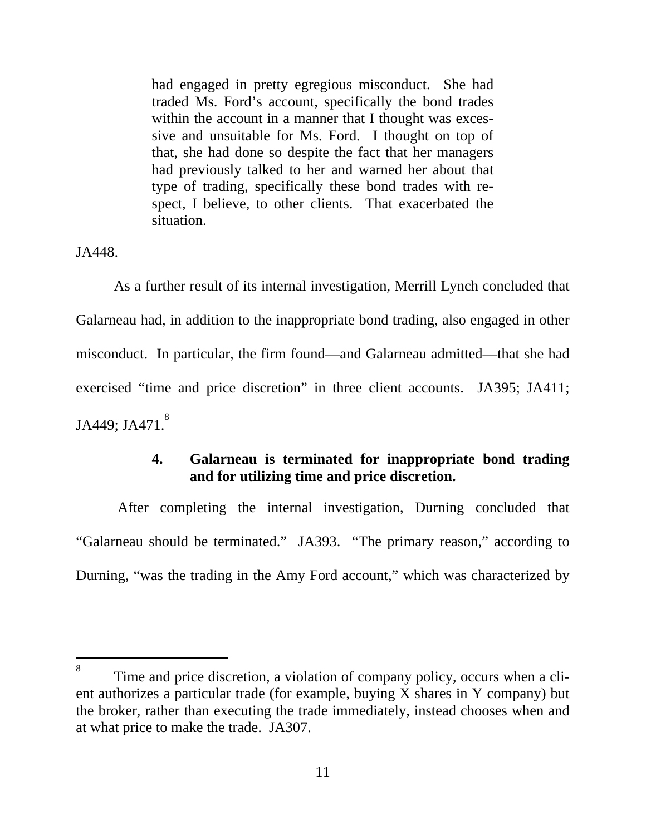<span id="page-21-0"></span>had engaged in pretty egregious misconduct. She had traded Ms. Ford's account, specifically the bond trades within the account in a manner that I thought was excessive and unsuitable for Ms. Ford. I thought on top of that, she had done so despite the fact that her managers had previously talked to her and warned her about that type of trading, specifically these bond trades with respect, I believe, to other clients. That exacerbated the situation.

JA448.

l

As a further result of its internal investigation, Merrill Lynch concluded that Galarneau had, in addition to the inappropriate bond trading, also engaged in other misconduct. In particular, the firm found—and Galarneau admitted—that she had exercised "time and price discretion" in three client accounts. JA395; JA411; JA449; JA471.<sup>8</sup>

### **4. Galarneau is terminated for inappropriate bond trading and for utilizing time and price discretion.**

After completing the internal investigation, Durning concluded that "Galarneau should be terminated." JA393. "The primary reason," according to Durning, "was the trading in the Amy Ford account," which was characterized by

<span id="page-21-1"></span><sup>8</sup> Time and price discretion, a violation of company policy, occurs when a client authorizes a particular trade (for example, buying X shares in Y company) but the broker, rather than executing the trade immediately, instead chooses when and at what price to make the trade. JA307.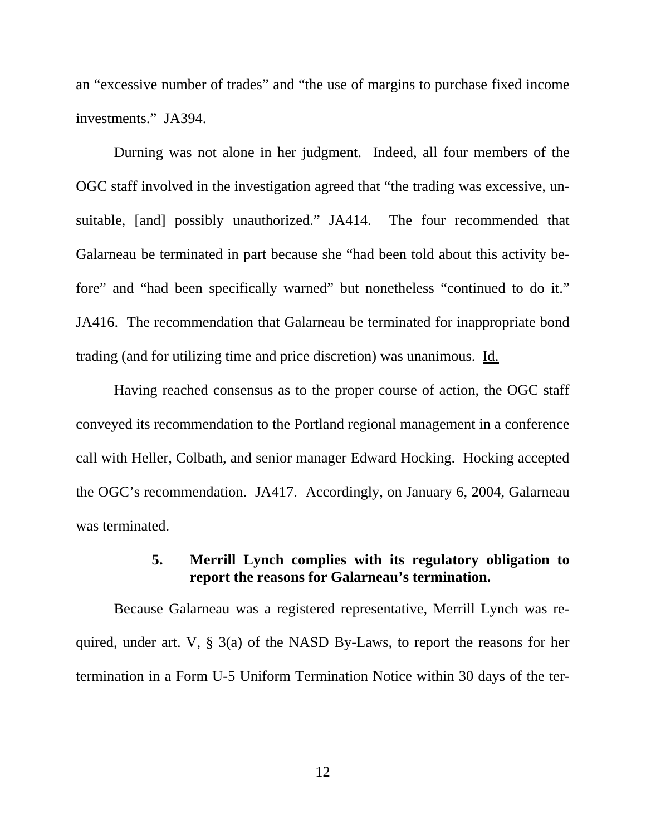<span id="page-22-0"></span>an "excessive number of trades" and "the use of margins to purchase fixed income investments." JA394.

Durning was not alone in her judgment. Indeed, all four members of the OGC staff involved in the investigation agreed that "the trading was excessive, unsuitable, [and] possibly unauthorized." JA414. The four recommended that Galarneau be terminated in part because she "had been told about this activity before" and "had been specifically warned" but nonetheless "continued to do it." JA416. The recommendation that Galarneau be terminated for inappropriate bond trading (and for utilizing time and price discretion) was unanimous. Id.

Having reached consensus as to the proper course of action, the OGC staff conveyed its recommendation to the Portland regional management in a conference call with Heller, Colbath, and senior manager Edward Hocking. Hocking accepted the OGC's recommendation. JA417. Accordingly, on January 6, 2004, Galarneau was terminated.

## **5. Merrill Lynch complies with its regulatory obligation to report the reasons for Galarneau's termination.**

Because Galarneau was a registered representative, Merrill Lynch was required, under art. V, § 3(a) of the NASD By-Laws, to report the reasons for her termination in a Form U-5 Uniform Termination Notice within 30 days of the ter-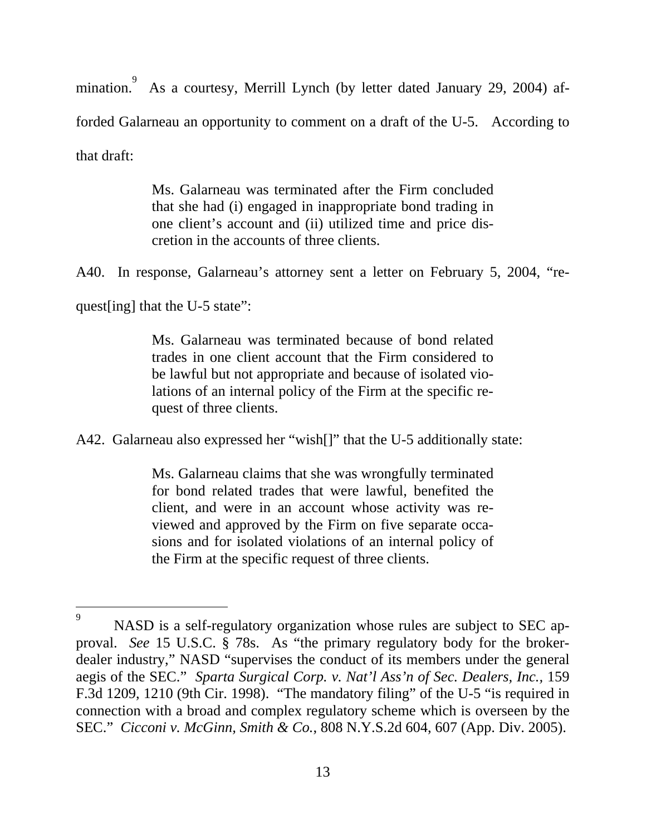mination. As a courtesy, Merrill Lynch (by letter dated January 29, 2004) afforded Galarneau an opportunity to comment on a draft of the U-5. According to that draft:

> Ms. Galarneau was terminated after the Firm concluded that she had (i) engaged in inappropriate bond trading in one client's account and (ii) utilized time and price discretion in the accounts of three clients.

A40. In response, Galarneau's attorney sent a letter on February 5, 2004, "re-

quest[ing] that the U-5 state":

Ms. Galarneau was terminated because of bond related trades in one client account that the Firm considered to be lawful but not appropriate and because of isolated violations of an internal policy of the Firm at the specific request of three clients.

A42. Galarneau also expressed her "wish<sup>[]"</sup> that the U-5 additionally state:

Ms. Galarneau claims that she was wrongfully terminated for bond related trades that were lawful, benefited the client, and were in an account whose activity was reviewed and approved by the Firm on five separate occasions and for isolated violations of an internal policy of the Firm at the specific request of three clients.

<span id="page-23-0"></span><sup>–&</sup>lt;br>9 9 NASD is a self-regulatory organization whose rules are subject to SEC approval. *See* 15 U.S.C. § 78s. As "the primary regulatory body for the brokerdealer industry," NASD "supervises the conduct of its members under the general aegis of the SEC." *Sparta Surgical Corp. v. Nat'l Ass'n of Sec. Dealers, Inc.,* 159 F.3d 1209, 1210 (9th Cir. 1998). "The mandatory filing" of the U-5 "is required in connection with a broad and complex regulatory scheme which is overseen by the SEC." *Cicconi v. McGinn, Smith & Co.*, 808 N.Y.S.2d 604, 607 (App. Div. 2005).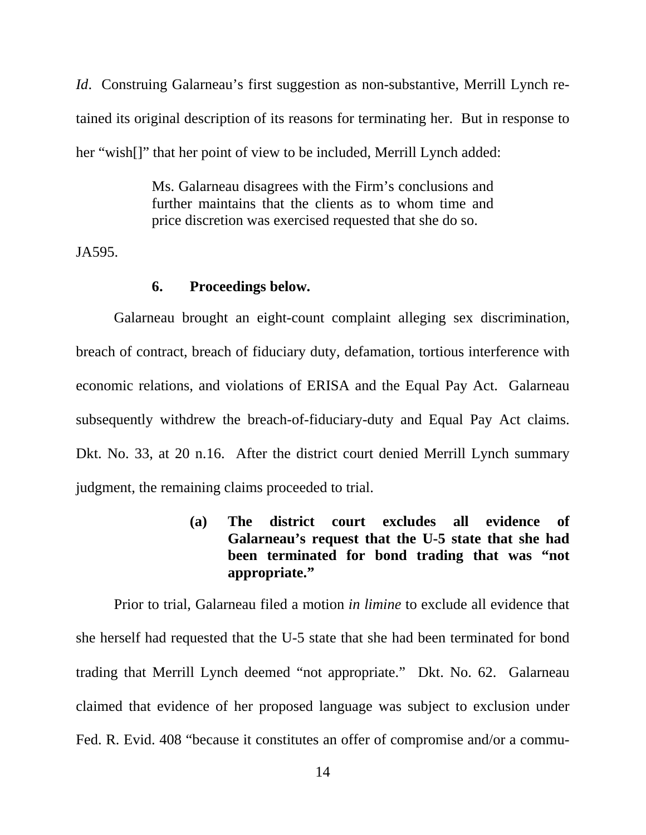<span id="page-24-0"></span>*Id*. Construing Galarneau's first suggestion as non-substantive, Merrill Lynch retained its original description of its reasons for terminating her. But in response to her "wish[]" that her point of view to be included, Merrill Lynch added:

> Ms. Galarneau disagrees with the Firm's conclusions and further maintains that the clients as to whom time and price discretion was exercised requested that she do so.

JA595.

#### **6. Proceedings below.**

Galarneau brought an eight-count complaint alleging sex discrimination, breach of contract, breach of fiduciary duty, defamation, tortious interference with economic relations, and violations of ERISA and the Equal Pay Act. Galarneau subsequently withdrew the breach-of-fiduciary-duty and Equal Pay Act claims. Dkt. No. 33, at 20 n.16. After the district court denied Merrill Lynch summary judgment, the remaining claims proceeded to trial.

> **(a) The district court excludes all evidence of Galarneau's request that the U-5 state that she had been terminated for bond trading that was "not appropriate."**

Prior to trial, Galarneau filed a motion *in limine* to exclude all evidence that she herself had requested that the U-5 state that she had been terminated for bond trading that Merrill Lynch deemed "not appropriate." Dkt. No. 62. Galarneau claimed that evidence of her proposed language was subject to exclusion under Fed. R. Evid. 408 "because it constitutes an offer of compromise and/or a commu-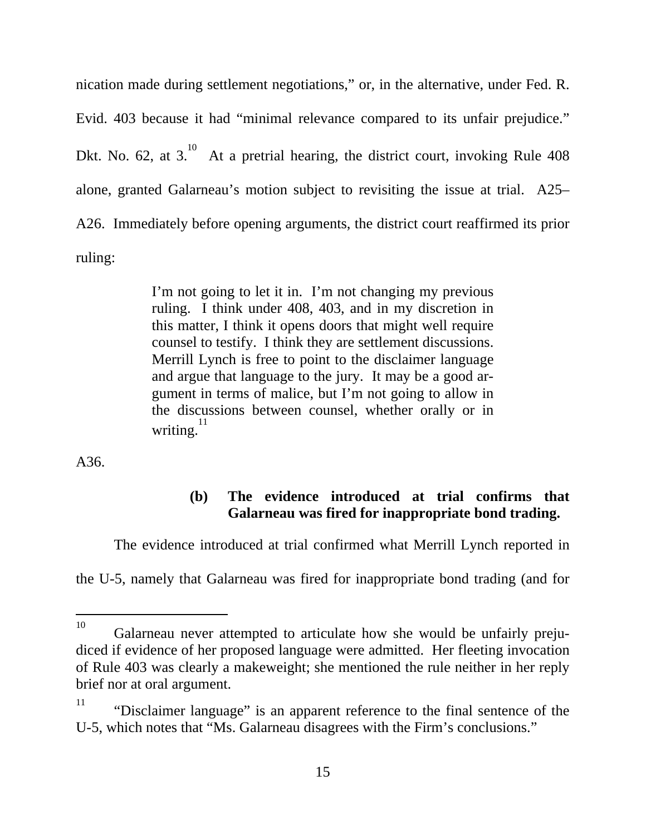<span id="page-25-0"></span>nication made during settlement negotiations," or, in the alternative, under Fed. R. Evid. 403 because it had "minimal relevance compared to its unfair prejudice." Dkt. No. 62, at  $3$ .<sup>10</sup> At a pretrial hearing, the district court, invoking Rule 408 alone, granted Galarneau's motion subject to revisiting the issue at trial. A25– A26. Immediately before opening arguments, the district court reaffirmed its prior ruling:

> I'm not going to let it in. I'm not changing my previous ruling. I think under 408, 403, and in my discretion in this matter, I think it opens doors that might well require counsel to testify. I think they are settlement discussions. Merrill Lynch is free to point to the disclaimer language and argue that language to the jury. It may be a good argument in terms of malice, but I'm not going to allow in the discussions between counsel, whether orally or in writing. $^{11}$

A36.

### **(b) The evidence introduced at trial confirms that Galarneau was fired for inappropriate bond trading.**

The evidence introduced at trial confirmed what Merrill Lynch reported in

the U-5, namely that Galarneau was fired for inappropriate bond trading (and for

<span id="page-25-1"></span> $10<sup>1</sup>$ Galarneau never attempted to articulate how she would be unfairly prejudiced if evidence of her proposed language were admitted. Her fleeting invocation of Rule 403 was clearly a makeweight; she mentioned the rule neither in her reply brief nor at oral argument.

<span id="page-25-2"></span><sup>&</sup>lt;sup>11</sup> "Disclaimer language" is an apparent reference to the final sentence of the U-5, which notes that "Ms. Galarneau disagrees with the Firm's conclusions."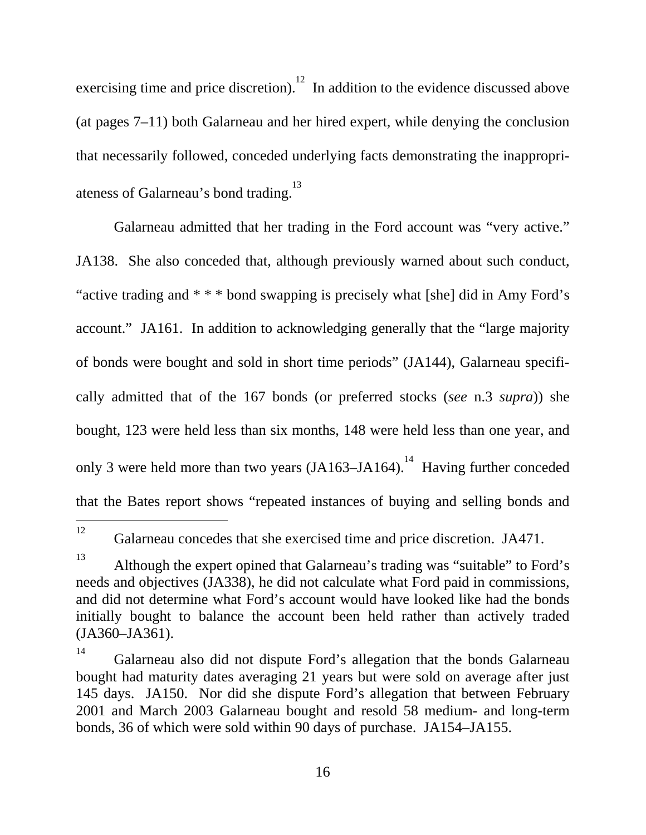exercising time and price discretion).<sup>12</sup> In addition to the evidence discussed above (at pages 7–11) both Galarneau and her hired expert, while denying the conclusion that necessarily followed, conceded underlying facts demonstrating the inappropriateness of Galarneau's bond trading.<sup>13</sup>

Galarneau admitted that her trading in the Ford account was "very active." JA138. She also conceded that, although previously warned about such conduct, "active trading and  $* * *$  bond swapping is precisely what [she] did in Amy Ford's account." JA161. In addition to acknowledging generally that the "large majority of bonds were bought and sold in short time periods" (JA144), Galarneau specifically admitted that of the 167 bonds (or preferred stocks (*see* n.3 *supra*)) she bought, 123 were held less than six months, 148 were held less than one year, and only 3 were held more than two years  $(JA163–JA164)$ .<sup>14</sup> Having further conceded that the Bates report shows "repeated instances of buying and selling bonds and

 <sup>12</sup>

<span id="page-26-0"></span>Galarneau concedes that she exercised time and price discretion. JA471.

<span id="page-26-1"></span><sup>13</sup> Although the expert opined that Galarneau's trading was "suitable" to Ford's needs and objectives (JA338), he did not calculate what Ford paid in commissions, and did not determine what Ford's account would have looked like had the bonds initially bought to balance the account been held rather than actively traded (JA360–JA361).

<span id="page-26-2"></span><sup>&</sup>lt;sup>14</sup> Galarneau also did not dispute Ford's allegation that the bonds Galarneau bought had maturity dates averaging 21 years but were sold on average after just 145 days. JA150. Nor did she dispute Ford's allegation that between February 2001 and March 2003 Galarneau bought and resold 58 medium- and long-term bonds, 36 of which were sold within 90 days of purchase. JA154–JA155.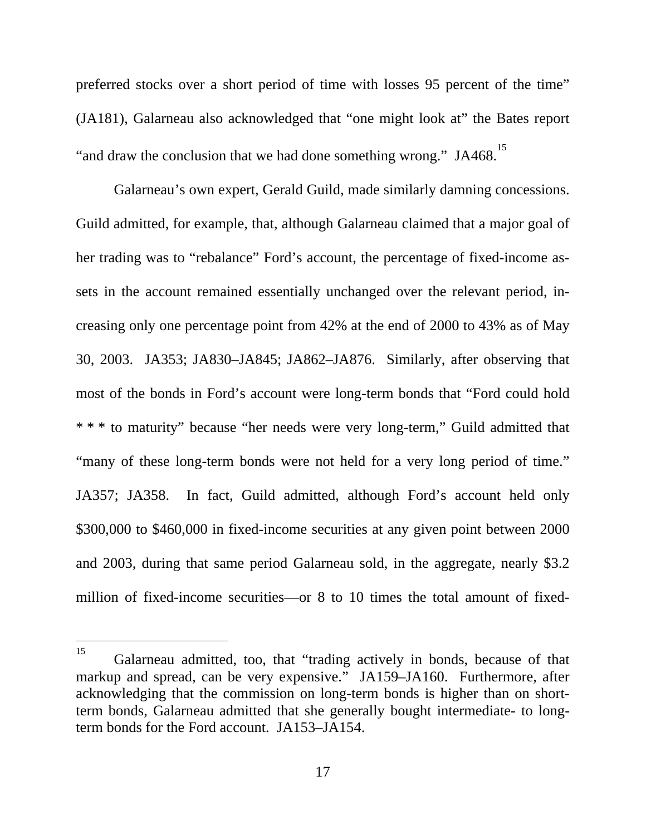preferred stocks over a short period of time with losses 95 percent of the time" (JA181), Galarneau also acknowledged that "one might look at" the Bates report "and draw the conclusion that we had done something wrong." JA468.<sup>[15](#page-27-0)</sup>

Galarneau's own expert, Gerald Guild, made similarly damning concessions. Guild admitted, for example, that, although Galarneau claimed that a major goal of her trading was to "rebalance" Ford's account, the percentage of fixed-income assets in the account remained essentially unchanged over the relevant period, increasing only one percentage point from 42% at the end of 2000 to 43% as of May 30, 2003. JA353; JA830–JA845; JA862–JA876. Similarly, after observing that most of the bonds in Ford's account were long-term bonds that "Ford could hold \* \* \* to maturity" because "her needs were very long-term," Guild admitted that "many of these long-term bonds were not held for a very long period of time." JA357; JA358. In fact, Guild admitted, although Ford's account held only \$300,000 to \$460,000 in fixed-income securities at any given point between 2000 and 2003, during that same period Galarneau sold, in the aggregate, nearly \$3.2 million of fixed-income securities—or 8 to 10 times the total amount of fixed-

<span id="page-27-0"></span><sup>&</sup>lt;sup>15</sup> Galarneau admitted, too, that "trading actively in bonds, because of that markup and spread, can be very expensive." JA159–JA160. Furthermore, after acknowledging that the commission on long-term bonds is higher than on shortterm bonds, Galarneau admitted that she generally bought intermediate- to longterm bonds for the Ford account. JA153–JA154.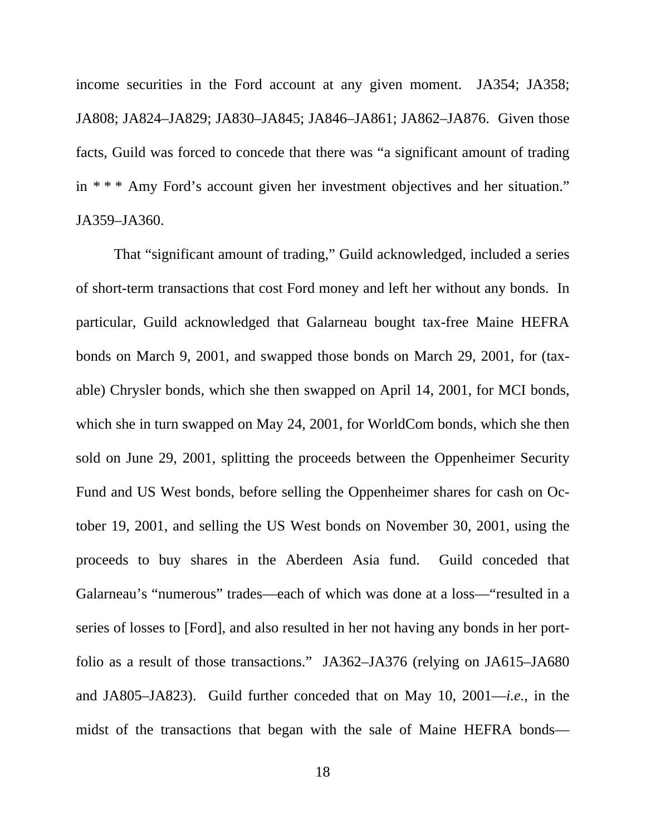income securities in the Ford account at any given moment. JA354; JA358; JA808; JA824–JA829; JA830–JA845; JA846–JA861; JA862–JA876. Given those facts, Guild was forced to concede that there was "a significant amount of trading in \* \* \* Amy Ford's account given her investment objectives and her situation." JA359–JA360.

That "significant amount of trading," Guild acknowledged, included a series of short-term transactions that cost Ford money and left her without any bonds. In particular, Guild acknowledged that Galarneau bought tax-free Maine HEFRA bonds on March 9, 2001, and swapped those bonds on March 29, 2001, for (taxable) Chrysler bonds, which she then swapped on April 14, 2001, for MCI bonds, which she in turn swapped on May 24, 2001, for WorldCom bonds, which she then sold on June 29, 2001, splitting the proceeds between the Oppenheimer Security Fund and US West bonds, before selling the Oppenheimer shares for cash on October 19, 2001, and selling the US West bonds on November 30, 2001, using the proceeds to buy shares in the Aberdeen Asia fund. Guild conceded that Galarneau's "numerous" trades—each of which was done at a loss—"resulted in a series of losses to [Ford], and also resulted in her not having any bonds in her portfolio as a result of those transactions." JA362–JA376 (relying on JA615–JA680 and JA805–JA823). Guild further conceded that on May 10, 2001—*i.e.*, in the midst of the transactions that began with the sale of Maine HEFRA bonds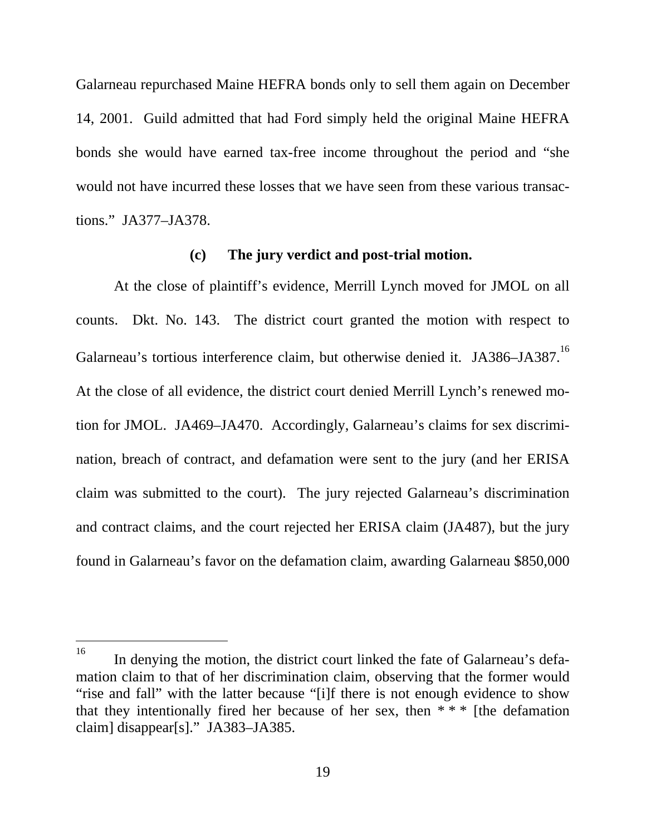<span id="page-29-0"></span>Galarneau repurchased Maine HEFRA bonds only to sell them again on December 14, 2001. Guild admitted that had Ford simply held the original Maine HEFRA bonds she would have earned tax-free income throughout the period and "she would not have incurred these losses that we have seen from these various transactions." JA377–JA378.

#### **(c) The jury verdict and post-trial motion.**

At the close of plaintiff's evidence, Merrill Lynch moved for JMOL on all counts. Dkt. No. 143. The district court granted the motion with respect to Galarneau's tortious interference claim, but otherwise denied it. JA386–JA387.<sup>16</sup> At the close of all evidence, the district court denied Merrill Lynch's renewed motion for JMOL. JA469–JA470. Accordingly, Galarneau's claims for sex discrimination, breach of contract, and defamation were sent to the jury (and her ERISA claim was submitted to the court). The jury rejected Galarneau's discrimination and contract claims, and the court rejected her ERISA claim (JA487), but the jury found in Galarneau's favor on the defamation claim, awarding Galarneau \$850,000

l

<span id="page-29-1"></span><sup>&</sup>lt;sup>16</sup> In denying the motion, the district court linked the fate of Galarneau's defamation claim to that of her discrimination claim, observing that the former would "rise and fall" with the latter because "[i]f there is not enough evidence to show that they intentionally fired her because of her sex, then  $***$  [the defamation claim] disappear[s]." JA383–JA385.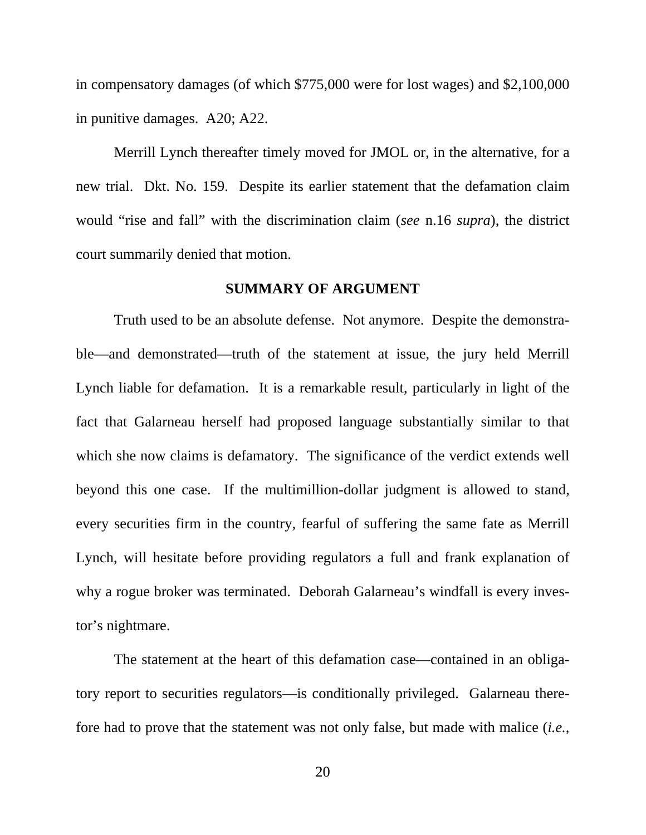<span id="page-30-0"></span>in compensatory damages (of which \$775,000 were for lost wages) and \$2,100,000 in punitive damages. A20; A22.

Merrill Lynch thereafter timely moved for JMOL or, in the alternative, for a new trial. Dkt. No. 159. Despite its earlier statement that the defamation claim would "rise and fall" with the discrimination claim (*see* n.16 *supra*), the district court summarily denied that motion.

### **SUMMARY OF ARGUMENT**

Truth used to be an absolute defense. Not anymore. Despite the demonstrable—and demonstrated—truth of the statement at issue, the jury held Merrill Lynch liable for defamation. It is a remarkable result, particularly in light of the fact that Galarneau herself had proposed language substantially similar to that which she now claims is defamatory. The significance of the verdict extends well beyond this one case. If the multimillion-dollar judgment is allowed to stand, every securities firm in the country, fearful of suffering the same fate as Merrill Lynch, will hesitate before providing regulators a full and frank explanation of why a rogue broker was terminated. Deborah Galarneau's windfall is every investor's nightmare.

The statement at the heart of this defamation case—contained in an obligatory report to securities regulators—is conditionally privileged. Galarneau therefore had to prove that the statement was not only false, but made with malice (*i.e.*,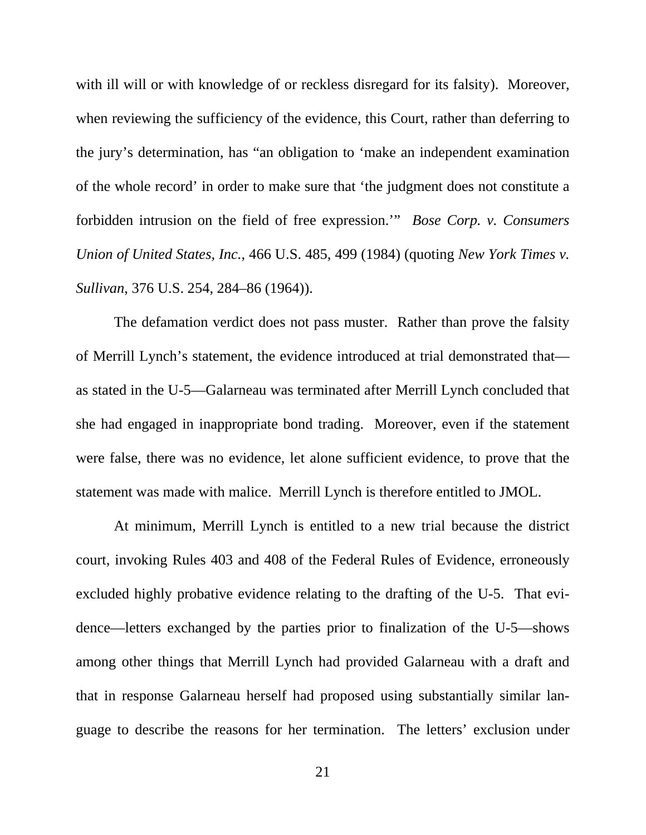with ill will or with knowledge of or reckless disregard for its falsity). Moreover, when reviewing the sufficiency of the evidence, this Court, rather than deferring to the jury's determination, has "an obligation to 'make an independent examination of the whole record' in order to make sure that 'the judgment does not constitute a forbidden intrusion on the field of free expression.'" *Bose Corp. v. Consumers Union of United States, Inc.*, 466 U.S. 485, 499 (1984) (quoting *New York Times v. Sullivan*, 376 U.S. 254, 284–86 (1964)).

The defamation verdict does not pass muster. Rather than prove the falsity of Merrill Lynch's statement, the evidence introduced at trial demonstrated that as stated in the U-5—Galarneau was terminated after Merrill Lynch concluded that she had engaged in inappropriate bond trading. Moreover, even if the statement were false, there was no evidence, let alone sufficient evidence, to prove that the statement was made with malice. Merrill Lynch is therefore entitled to JMOL.

At minimum, Merrill Lynch is entitled to a new trial because the district court, invoking Rules 403 and 408 of the Federal Rules of Evidence, erroneously excluded highly probative evidence relating to the drafting of the U-5. That evidence—letters exchanged by the parties prior to finalization of the U-5—shows among other things that Merrill Lynch had provided Galarneau with a draft and that in response Galarneau herself had proposed using substantially similar language to describe the reasons for her termination. The letters' exclusion under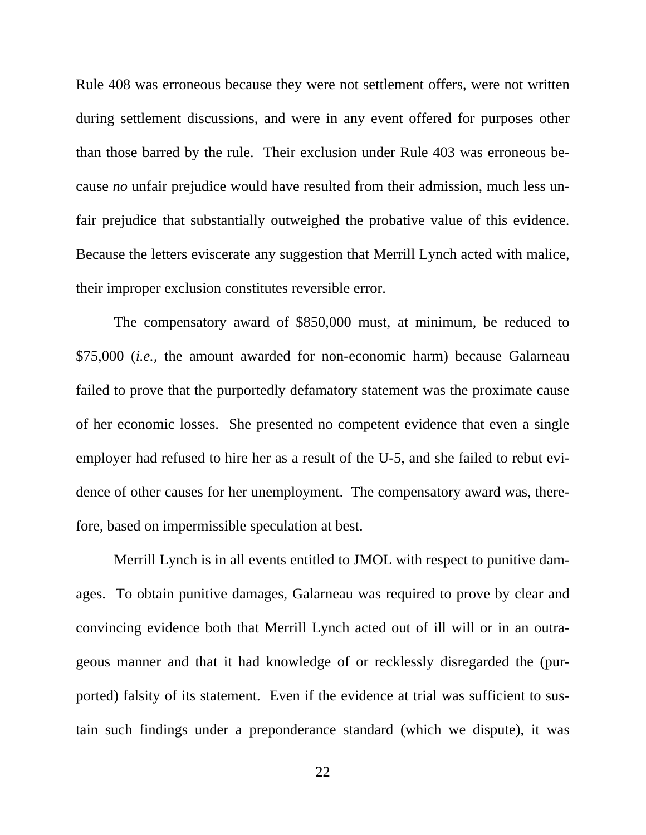Rule 408 was erroneous because they were not settlement offers, were not written during settlement discussions, and were in any event offered for purposes other than those barred by the rule. Their exclusion under Rule 403 was erroneous because *no* unfair prejudice would have resulted from their admission, much less unfair prejudice that substantially outweighed the probative value of this evidence. Because the letters eviscerate any suggestion that Merrill Lynch acted with malice, their improper exclusion constitutes reversible error.

The compensatory award of \$850,000 must, at minimum, be reduced to \$75,000 (*i.e.*, the amount awarded for non-economic harm) because Galarneau failed to prove that the purportedly defamatory statement was the proximate cause of her economic losses. She presented no competent evidence that even a single employer had refused to hire her as a result of the U-5, and she failed to rebut evidence of other causes for her unemployment. The compensatory award was, therefore, based on impermissible speculation at best.

Merrill Lynch is in all events entitled to JMOL with respect to punitive damages. To obtain punitive damages, Galarneau was required to prove by clear and convincing evidence both that Merrill Lynch acted out of ill will or in an outrageous manner and that it had knowledge of or recklessly disregarded the (purported) falsity of its statement. Even if the evidence at trial was sufficient to sustain such findings under a preponderance standard (which we dispute), it was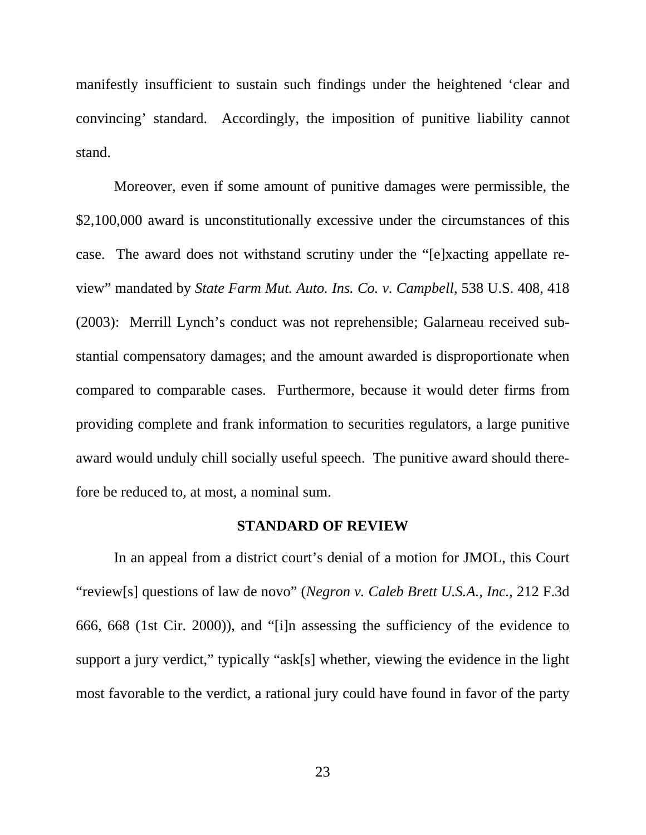<span id="page-33-0"></span>manifestly insufficient to sustain such findings under the heightened 'clear and convincing' standard. Accordingly, the imposition of punitive liability cannot stand.

Moreover, even if some amount of punitive damages were permissible, the \$2,100,000 award is unconstitutionally excessive under the circumstances of this case. The award does not withstand scrutiny under the "[e]xacting appellate review" mandated by *State Farm Mut. Auto. Ins. Co. v. Campbell*, 538 U.S. 408, 418 (2003): Merrill Lynch's conduct was not reprehensible; Galarneau received substantial compensatory damages; and the amount awarded is disproportionate when compared to comparable cases. Furthermore, because it would deter firms from providing complete and frank information to securities regulators, a large punitive award would unduly chill socially useful speech. The punitive award should therefore be reduced to, at most, a nominal sum.

### **STANDARD OF REVIEW**

In an appeal from a district court's denial of a motion for JMOL, this Court "review[s] questions of law de novo" (*Negron v. Caleb Brett U.S.A., Inc.*, 212 F.3d 666, 668 (1st Cir. 2000)), and "[i]n assessing the sufficiency of the evidence to support a jury verdict," typically "ask[s] whether, viewing the evidence in the light most favorable to the verdict, a rational jury could have found in favor of the party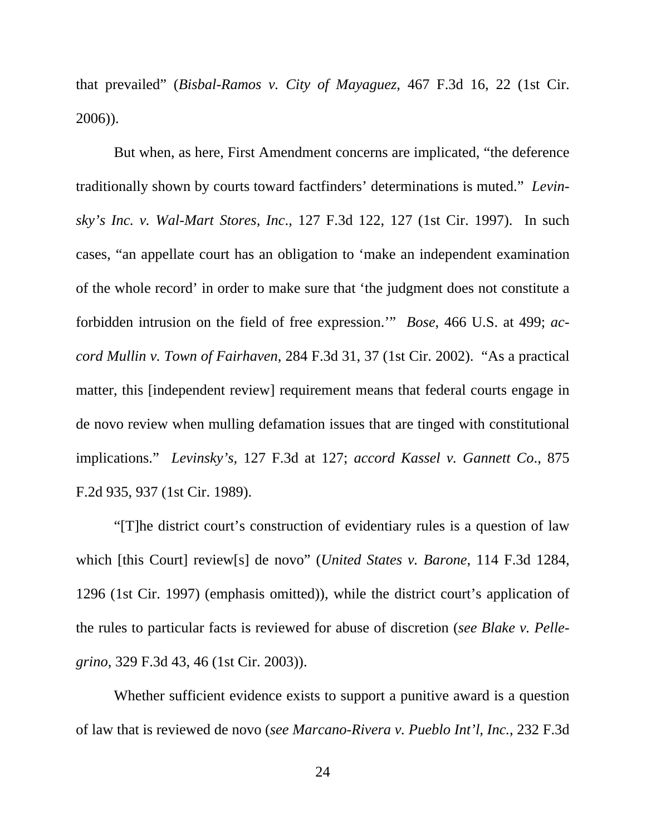that prevailed" (*Bisbal-Ramos v. City of Mayaguez*, 467 F.3d 16, 22 (1st Cir. 2006)).

But when, as here, First Amendment concerns are implicated, "the deference traditionally shown by courts toward factfinders' determinations is muted." *Levinsky's Inc. v. Wal-Mart Stores, Inc*., 127 F.3d 122, 127 (1st Cir. 1997). In such cases, "an appellate court has an obligation to 'make an independent examination of the whole record' in order to make sure that 'the judgment does not constitute a forbidden intrusion on the field of free expression.'" *Bose*, 466 U.S. at 499; *accord Mullin v. Town of Fairhaven*, 284 F.3d 31, 37 (1st Cir. 2002). "As a practical matter, this [independent review] requirement means that federal courts engage in de novo review when mulling defamation issues that are tinged with constitutional implications." *Levinsky's,* 127 F.3d at 127; *accord Kassel v. Gannett Co*., 875 F.2d 935, 937 (1st Cir. 1989).

"[T]he district court's construction of evidentiary rules is a question of law which [this Court] review[s] de novo" (*United States v. Barone*, 114 F.3d 1284, 1296 (1st Cir. 1997) (emphasis omitted)), while the district court's application of the rules to particular facts is reviewed for abuse of discretion (*see Blake v. Pellegrino*, 329 F.3d 43, 46 (1st Cir. 2003)).

Whether sufficient evidence exists to support a punitive award is a question of law that is reviewed de novo (*see Marcano-Rivera v. Pueblo Int'l, Inc.*, 232 F.3d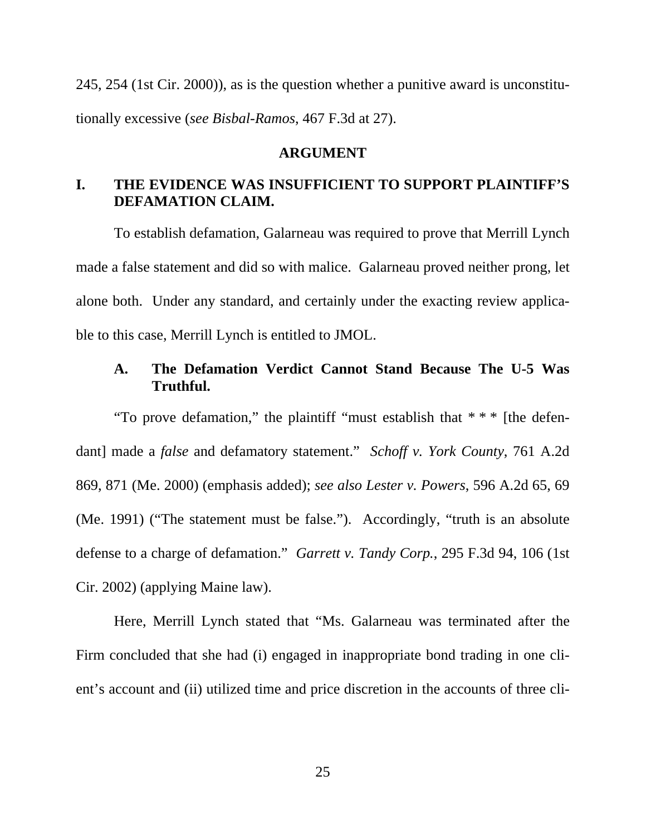<span id="page-35-0"></span>245, 254 (1st Cir. 2000)), as is the question whether a punitive award is unconstitutionally excessive (*see Bisbal-Ramos*, 467 F.3d at 27).

### **ARGUMENT**

### **I. THE EVIDENCE WAS INSUFFICIENT TO SUPPORT PLAINTIFF'S DEFAMATION CLAIM.**

To establish defamation, Galarneau was required to prove that Merrill Lynch made a false statement and did so with malice. Galarneau proved neither prong, let alone both. Under any standard, and certainly under the exacting review applicable to this case, Merrill Lynch is entitled to JMOL.

### **A. The Defamation Verdict Cannot Stand Because The U-5 Was Truthful.**

"To prove defamation," the plaintiff "must establish that \* \* \* [the defendant] made a *false* and defamatory statement." *Schoff v. York County*, 761 A.2d 869, 871 (Me. 2000) (emphasis added); *see also Lester v. Powers*, 596 A.2d 65, 69 (Me. 1991) ("The statement must be false."). Accordingly, "truth is an absolute defense to a charge of defamation." *Garrett v. Tandy Corp.*, 295 F.3d 94, 106 (1st Cir. 2002) (applying Maine law).

Here, Merrill Lynch stated that "Ms. Galarneau was terminated after the Firm concluded that she had (i) engaged in inappropriate bond trading in one client's account and (ii) utilized time and price discretion in the accounts of three cli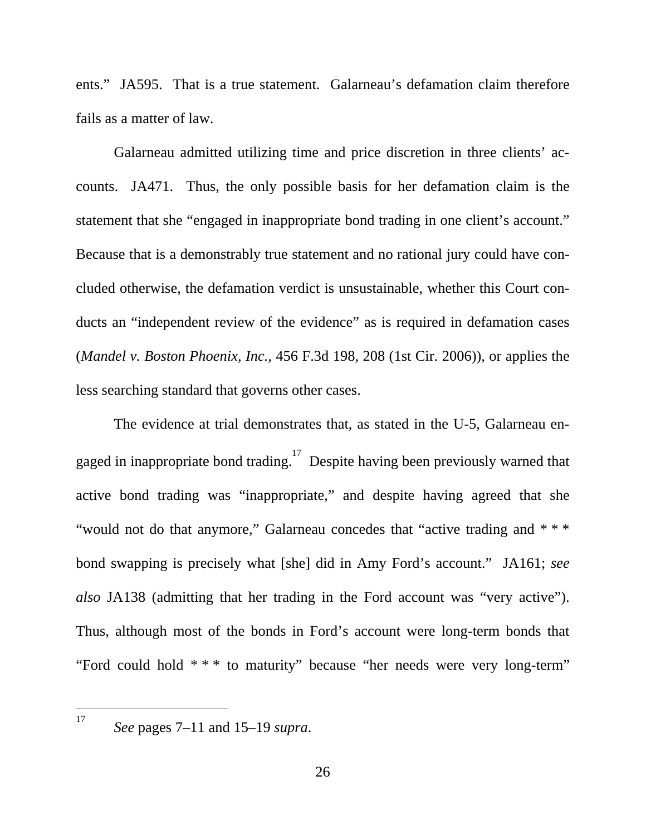ents." JA595. That is a true statement. Galarneau's defamation claim therefore fails as a matter of law.

Galarneau admitted utilizing time and price discretion in three clients' accounts. JA471. Thus, the only possible basis for her defamation claim is the statement that she "engaged in inappropriate bond trading in one client's account." Because that is a demonstrably true statement and no rational jury could have concluded otherwise, the defamation verdict is unsustainable, whether this Court conducts an "independent review of the evidence" as is required in defamation cases (*Mandel v. Boston Phoenix, Inc.*, 456 F.3d 198, 208 (1st Cir. 2006)), or applies the less searching standard that governs other cases.

The evidence at trial demonstrates that, as stated in the U-5, Galarneau engaged in inappropriate bond trading.<sup>17</sup> Despite having been previously warned that active bond trading was "inappropriate," and despite having agreed that she "would not do that anymore," Galarneau concedes that "active trading and \* \* \* bond swapping is precisely what [she] did in Amy Ford's account." JA161; *see also* JA138 (admitting that her trading in the Ford account was "very active"). Thus, although most of the bonds in Ford's account were long-term bonds that "Ford could hold \* \* \* to maturity" because "her needs were very long-term"

<span id="page-36-0"></span>17

*See* pages 7–11 and 15–19 *supra*.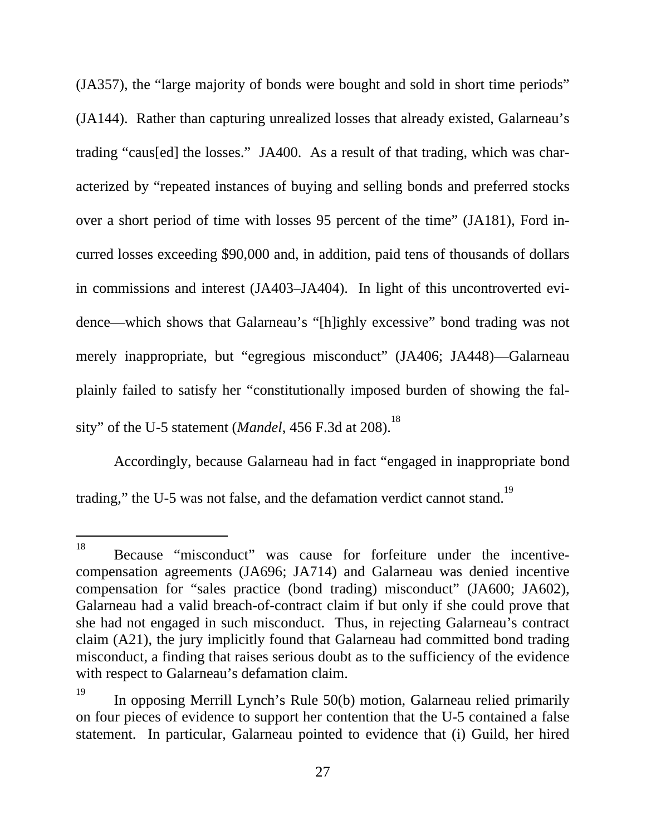(JA357), the "large majority of bonds were bought and sold in short time periods" (JA144). Rather than capturing unrealized losses that already existed, Galarneau's trading "caus[ed] the losses." JA400. As a result of that trading, which was characterized by "repeated instances of buying and selling bonds and preferred stocks over a short period of time with losses 95 percent of the time" (JA181), Ford incurred losses exceeding \$90,000 and, in addition, paid tens of thousands of dollars in commissions and interest (JA403–JA404). In light of this uncontroverted evidence—which shows that Galarneau's "[h]ighly excessive" bond trading was not merely inappropriate, but "egregious misconduct" (JA406; JA448)—Galarneau plainly failed to satisfy her "constitutionally imposed burden of showing the falsity" of the U-5 statement (*Mandel*, 456 F.3d at 208).<sup>[18](#page-37-0)</sup>

Accordingly, because Galarneau had in fact "engaged in inappropriate bond trading," the U-5 was not false, and the defamation verdict cannot stand.<sup>[19](#page-37-1)</sup>

<span id="page-37-0"></span> <sup>18</sup> Because "misconduct" was cause for forfeiture under the incentivecompensation agreements (JA696; JA714) and Galarneau was denied incentive compensation for "sales practice (bond trading) misconduct" (JA600; JA602), Galarneau had a valid breach-of-contract claim if but only if she could prove that she had not engaged in such misconduct. Thus, in rejecting Galarneau's contract claim (A21), the jury implicitly found that Galarneau had committed bond trading misconduct, a finding that raises serious doubt as to the sufficiency of the evidence with respect to Galarneau's defamation claim.

<span id="page-37-1"></span><sup>&</sup>lt;sup>19</sup> In opposing Merrill Lynch's Rule 50(b) motion, Galarneau relied primarily on four pieces of evidence to support her contention that the U-5 contained a false statement. In particular, Galarneau pointed to evidence that (i) Guild, her hired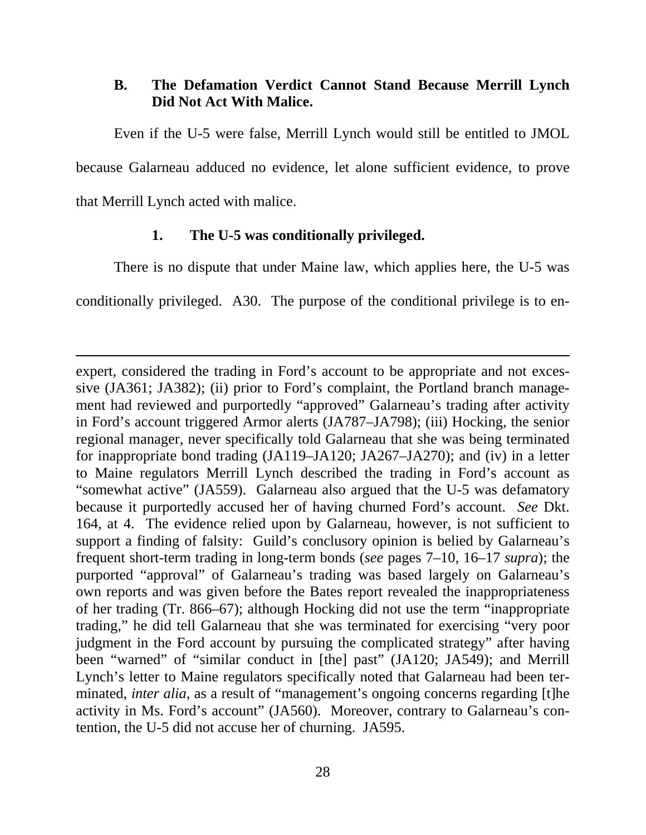### <span id="page-38-0"></span>**B. The Defamation Verdict Cannot Stand Because Merrill Lynch Did Not Act With Malice.**

Even if the U-5 were false, Merrill Lynch would still be entitled to JMOL because Galarneau adduced no evidence, let alone sufficient evidence, to prove that Merrill Lynch acted with malice.

#### **1. The U-5 was conditionally privileged.**

 $\overline{a}$ 

There is no dispute that under Maine law, which applies here, the U-5 was

conditionally privileged. A30. The purpose of the conditional privilege is to en-

expert, considered the trading in Ford's account to be appropriate and not excessive (JA361; JA382); (ii) prior to Ford's complaint, the Portland branch management had reviewed and purportedly "approved" Galarneau's trading after activity in Ford's account triggered Armor alerts (JA787–JA798); (iii) Hocking, the senior regional manager, never specifically told Galarneau that she was being terminated for inappropriate bond trading (JA119–JA120; JA267–JA270); and (iv) in a letter to Maine regulators Merrill Lynch described the trading in Ford's account as "somewhat active" (JA559). Galarneau also argued that the U-5 was defamatory because it purportedly accused her of having churned Ford's account. *See* Dkt. 164, at 4. The evidence relied upon by Galarneau, however, is not sufficient to support a finding of falsity: Guild's conclusory opinion is belied by Galarneau's frequent short-term trading in long-term bonds (*see* pages 7–10, 16–17 *supra*); the purported "approval" of Galarneau's trading was based largely on Galarneau's own reports and was given before the Bates report revealed the inappropriateness of her trading (Tr. 866–67); although Hocking did not use the term "inappropriate trading," he did tell Galarneau that she was terminated for exercising "very poor judgment in the Ford account by pursuing the complicated strategy" after having been "warned" of "similar conduct in [the] past" (JA120; JA549); and Merrill Lynch's letter to Maine regulators specifically noted that Galarneau had been terminated, *inter alia*, as a result of "management's ongoing concerns regarding [t]he activity in Ms. Ford's account" (JA560). Moreover, contrary to Galarneau's contention, the U-5 did not accuse her of churning. JA595.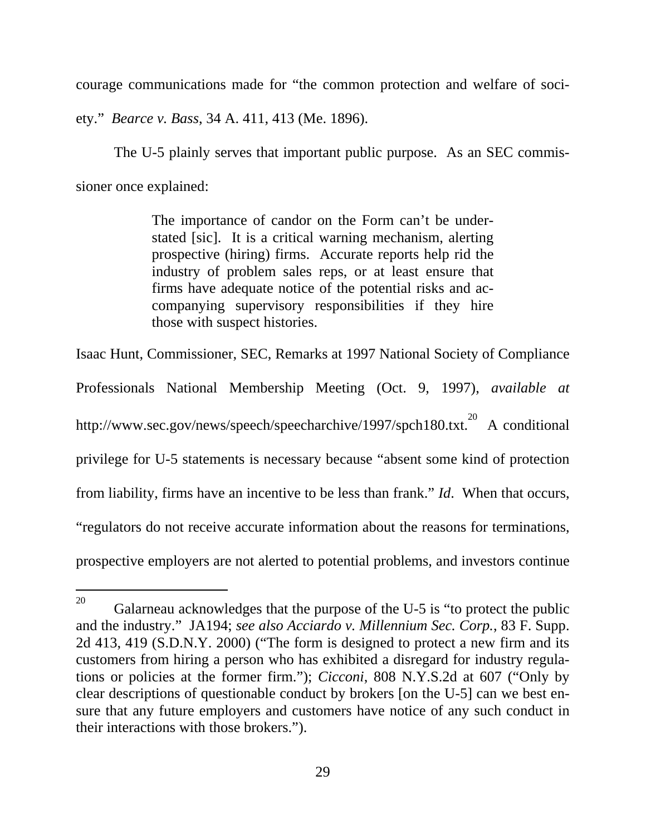courage communications made for "the common protection and welfare of soci-

ety." *Bearce v. Bass*, 34 A. 411, 413 (Me. 1896).

The U-5 plainly serves that important public purpose. As an SEC commissioner once explained:

> The importance of candor on the Form can't be understated [sic]. It is a critical warning mechanism, alerting prospective (hiring) firms. Accurate reports help rid the industry of problem sales reps, or at least ensure that firms have adequate notice of the potential risks and accompanying supervisory responsibilities if they hire those with suspect histories.

Isaac Hunt, Commissioner, SEC, Remarks at 1997 National Society of Compliance

Professionals National Membership Meeting (Oct. 9, 1997), *available at*  http://www.sec.gov/news/speech/speecharchive/1997/spch180.txt.<sup>20</sup> A conditional privilege for U-5 statements is necessary because "absent some kind of protection from liability, firms have an incentive to be less than frank." *Id*. When that occurs, "regulators do not receive accurate information about the reasons for terminations, prospective employers are not alerted to potential problems, and investors continue

<span id="page-39-0"></span><sup>&</sup>lt;sup>20</sup> Galarneau acknowledges that the purpose of the U-5 is "to protect the public and the industry." JA194; *see also Acciardo v. Millennium Sec. Corp.*, 83 F. Supp. 2d 413, 419 (S.D.N.Y. 2000) ("The form is designed to protect a new firm and its customers from hiring a person who has exhibited a disregard for industry regulations or policies at the former firm."); *Cicconi*, 808 N.Y.S.2d at 607 ("Only by clear descriptions of questionable conduct by brokers [on the U-5] can we best ensure that any future employers and customers have notice of any such conduct in their interactions with those brokers.").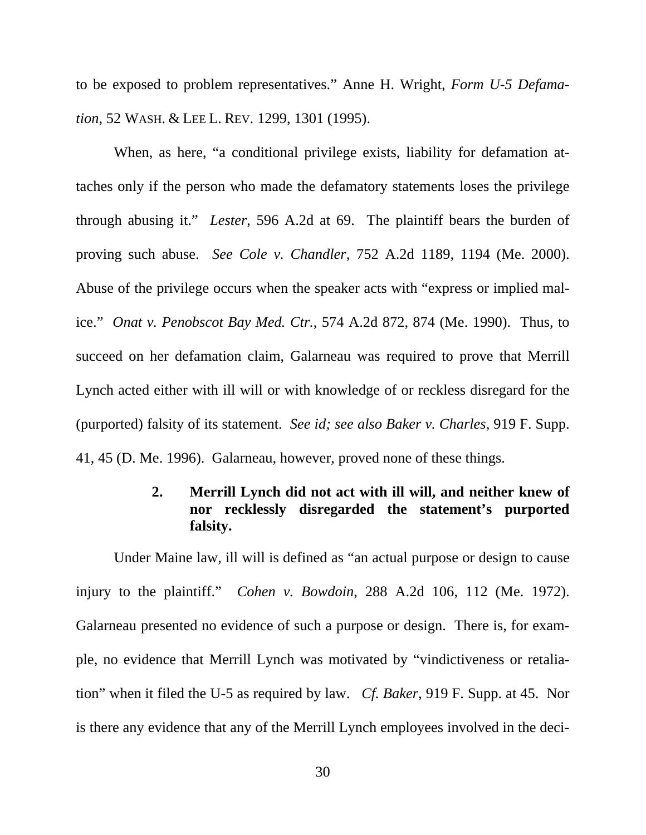<span id="page-40-0"></span>to be exposed to problem representatives." Anne H. Wright, *Form U-5 Defamation*, 52 WASH. & LEE L. REV. 1299, 1301 (1995).

When, as here, "a conditional privilege exists, liability for defamation attaches only if the person who made the defamatory statements loses the privilege through abusing it." *Lester*, 596 A.2d at 69. The plaintiff bears the burden of proving such abuse. *See Cole v. Chandler*, 752 A.2d 1189, 1194 (Me. 2000). Abuse of the privilege occurs when the speaker acts with "express or implied malice." *Onat v. Penobscot Bay Med. Ctr.*, 574 A.2d 872, 874 (Me. 1990). Thus, to succeed on her defamation claim, Galarneau was required to prove that Merrill Lynch acted either with ill will or with knowledge of or reckless disregard for the (purported) falsity of its statement. *See id; see also Baker v. Charles*, 919 F. Supp. 41, 45 (D. Me. 1996). Galarneau, however, proved none of these things.

## **2. Merrill Lynch did not act with ill will, and neither knew of nor recklessly disregarded the statement's purported falsity.**

Under Maine law, ill will is defined as "an actual purpose or design to cause injury to the plaintiff." *Cohen v. Bowdoin*, 288 A.2d 106, 112 (Me. 1972). Galarneau presented no evidence of such a purpose or design. There is, for example, no evidence that Merrill Lynch was motivated by "vindictiveness or retaliation" when it filed the U-5 as required by law. *Cf. Baker*, 919 F. Supp. at 45. Nor is there any evidence that any of the Merrill Lynch employees involved in the deci-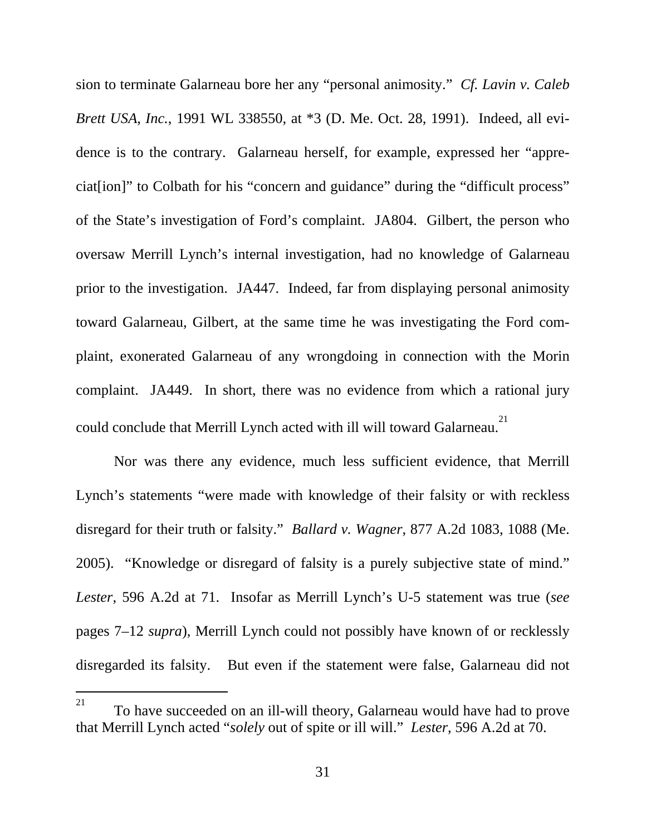sion to terminate Galarneau bore her any "personal animosity." *Cf. Lavin v. Caleb Brett USA, Inc.*, 1991 WL 338550, at \*3 (D. Me. Oct. 28, 1991). Indeed, all evidence is to the contrary. Galarneau herself, for example, expressed her "appreciat[ion]" to Colbath for his "concern and guidance" during the "difficult process" of the State's investigation of Ford's complaint. JA804. Gilbert, the person who oversaw Merrill Lynch's internal investigation, had no knowledge of Galarneau prior to the investigation. JA447. Indeed, far from displaying personal animosity toward Galarneau, Gilbert, at the same time he was investigating the Ford complaint, exonerated Galarneau of any wrongdoing in connection with the Morin complaint. JA449. In short, there was no evidence from which a rational jury could conclude that Merrill Lynch acted with ill will toward Galarneau.<sup>[21](#page-41-0)</sup>

Nor was there any evidence, much less sufficient evidence, that Merrill Lynch's statements "were made with knowledge of their falsity or with reckless disregard for their truth or falsity." *Ballard v. Wagner*, 877 A.2d 1083, 1088 (Me. 2005). "Knowledge or disregard of falsity is a purely subjective state of mind." *Lester*, 596 A.2d at 71. Insofar as Merrill Lynch's U-5 statement was true (*see*  pages 7–12 *supra*), Merrill Lynch could not possibly have known of or recklessly disregarded its falsity. But even if the statement were false, Galarneau did not

<span id="page-41-0"></span><sup>&</sup>lt;sup>21</sup> To have succeeded on an ill-will theory, Galarneau would have had to prove that Merrill Lynch acted "*solely* out of spite or ill will." *Lester*, 596 A.2d at 70.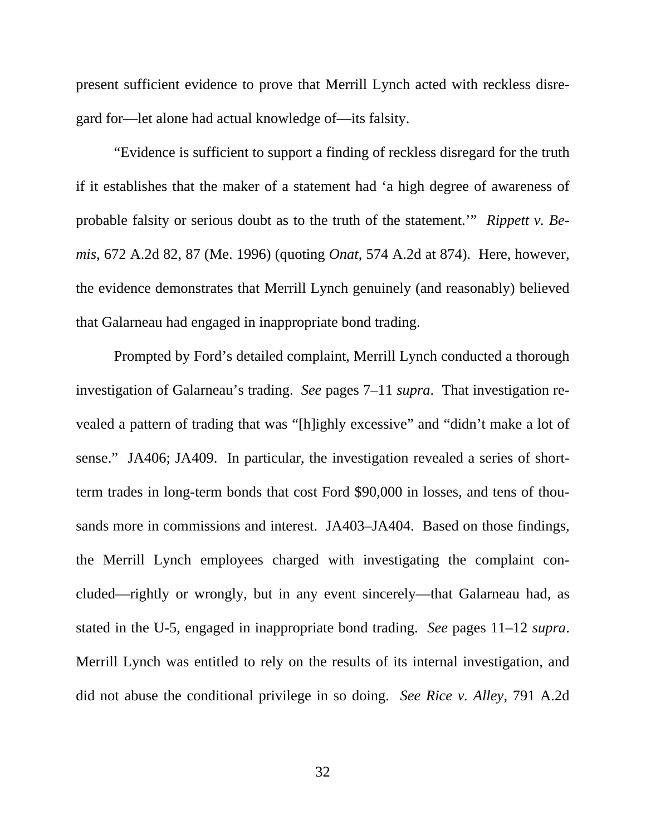present sufficient evidence to prove that Merrill Lynch acted with reckless disregard for—let alone had actual knowledge of—its falsity.

"Evidence is sufficient to support a finding of reckless disregard for the truth if it establishes that the maker of a statement had 'a high degree of awareness of probable falsity or serious doubt as to the truth of the statement.'" *Rippett v. Bemis*, 672 A.2d 82, 87 (Me. 1996) (quoting *Onat*, 574 A.2d at 874). Here, however, the evidence demonstrates that Merrill Lynch genuinely (and reasonably) believed that Galarneau had engaged in inappropriate bond trading.

Prompted by Ford's detailed complaint, Merrill Lynch conducted a thorough investigation of Galarneau's trading. *See* pages 7–11 *supra*. That investigation revealed a pattern of trading that was "[h]ighly excessive" and "didn't make a lot of sense." JA406; JA409. In particular, the investigation revealed a series of shortterm trades in long-term bonds that cost Ford \$90,000 in losses, and tens of thousands more in commissions and interest. JA403–JA404. Based on those findings, the Merrill Lynch employees charged with investigating the complaint concluded—rightly or wrongly, but in any event sincerely—that Galarneau had, as stated in the U-5, engaged in inappropriate bond trading. *See* pages 11–12 *supra*. Merrill Lynch was entitled to rely on the results of its internal investigation, and did not abuse the conditional privilege in so doing. *See Rice v. Alley*, 791 A.2d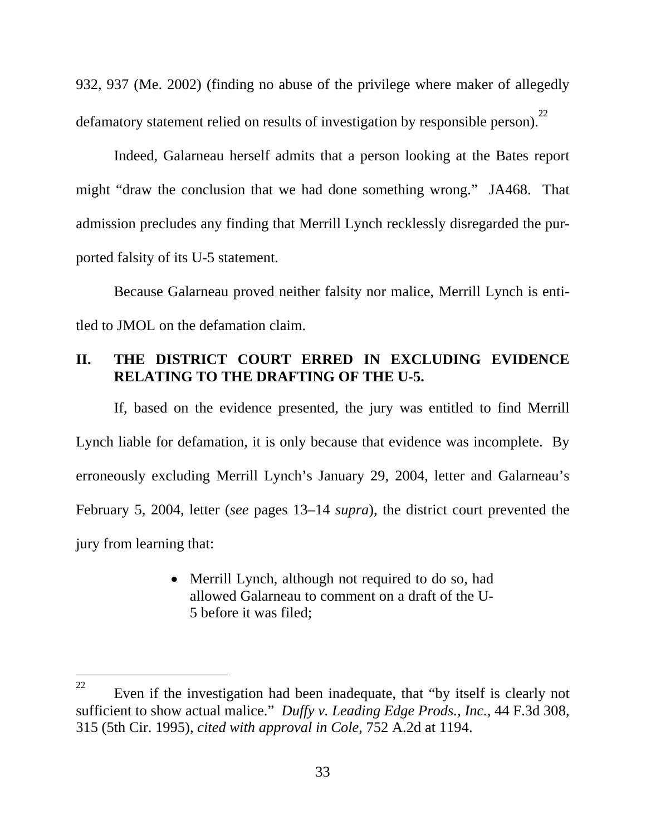<span id="page-43-0"></span>932, 937 (Me. 2002) (finding no abuse of the privilege where maker of allegedly defamatory statement relied on results of investigation by responsible person).<sup>[22](#page-43-1)</sup>

Indeed, Galarneau herself admits that a person looking at the Bates report might "draw the conclusion that we had done something wrong." JA468. That admission precludes any finding that Merrill Lynch recklessly disregarded the purported falsity of its U-5 statement.

Because Galarneau proved neither falsity nor malice, Merrill Lynch is entitled to JMOL on the defamation claim.

### **II. THE DISTRICT COURT ERRED IN EXCLUDING EVIDENCE RELATING TO THE DRAFTING OF THE U-5.**

If, based on the evidence presented, the jury was entitled to find Merrill Lynch liable for defamation, it is only because that evidence was incomplete. By erroneously excluding Merrill Lynch's January 29, 2004, letter and Galarneau's February 5, 2004, letter (*see* pages 13–14 *supra*), the district court prevented the jury from learning that:

> • Merrill Lynch, although not required to do so, had allowed Galarneau to comment on a draft of the U-5 before it was filed;

-

<span id="page-43-1"></span><sup>&</sup>lt;sup>22</sup> Even if the investigation had been inadequate, that "by itself is clearly not sufficient to show actual malice." *Duffy v. Leading Edge Prods., Inc.*, 44 F.3d 308, 315 (5th Cir. 1995), *cited with approval in Cole,* 752 A.2d at 1194.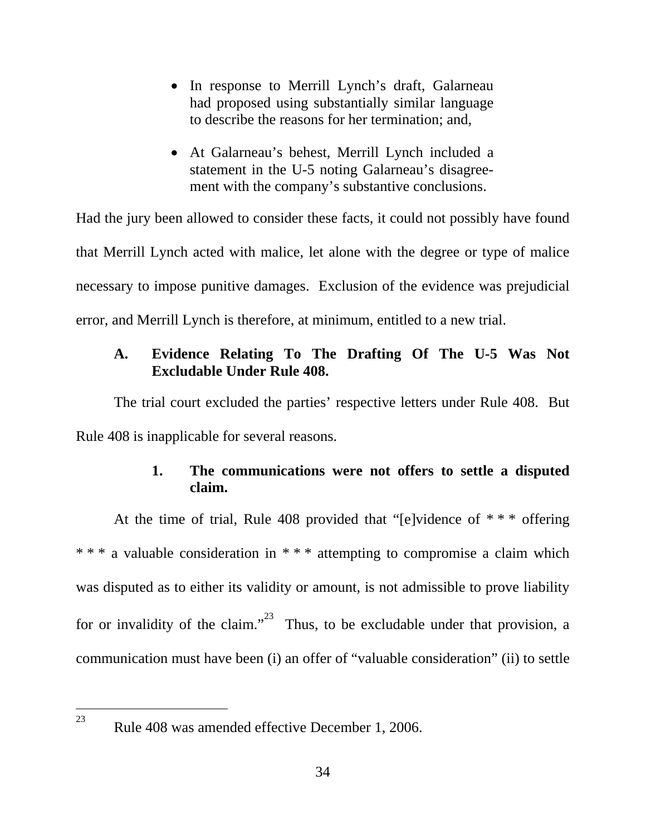- <span id="page-44-0"></span>• In response to Merrill Lynch's draft, Galarneau had proposed using substantially similar language to describe the reasons for her termination; and,
- At Galarneau's behest, Merrill Lynch included a statement in the U-5 noting Galarneau's disagreement with the company's substantive conclusions.

Had the jury been allowed to consider these facts, it could not possibly have found that Merrill Lynch acted with malice, let alone with the degree or type of malice necessary to impose punitive damages. Exclusion of the evidence was prejudicial error, and Merrill Lynch is therefore, at minimum, entitled to a new trial.

### **A. Evidence Relating To The Drafting Of The U-5 Was Not Excludable Under Rule 408.**

The trial court excluded the parties' respective letters under Rule 408. But Rule 408 is inapplicable for several reasons.

### **1. The communications were not offers to settle a disputed claim.**

At the time of trial, Rule 408 provided that "[e]vidence of  $***$  offering \* \* \* a valuable consideration in \* \* \* attempting to compromise a claim which was disputed as to either its validity or amount, is not admissible to prove liability for or invalidity of the claim."<sup>23</sup> Thus, to be excludable under that provision, a communication must have been (i) an offer of "valuable consideration" (ii) to settle

<span id="page-44-1"></span> $\overline{a}$ 23

Rule 408 was amended effective December 1, 2006.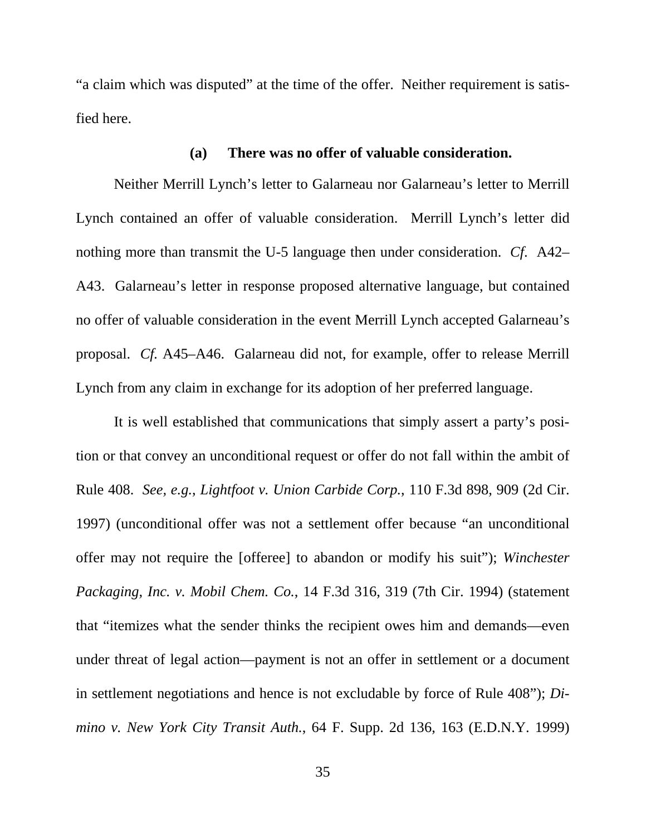<span id="page-45-0"></span>"a claim which was disputed" at the time of the offer. Neither requirement is satisfied here.

## **(a) There was no offer of valuable consideration.**

Neither Merrill Lynch's letter to Galarneau nor Galarneau's letter to Merrill Lynch contained an offer of valuable consideration. Merrill Lynch's letter did nothing more than transmit the U-5 language then under consideration. *Cf*. A42– A43. Galarneau's letter in response proposed alternative language, but contained no offer of valuable consideration in the event Merrill Lynch accepted Galarneau's proposal. *Cf.* A45–A46. Galarneau did not, for example, offer to release Merrill Lynch from any claim in exchange for its adoption of her preferred language.

It is well established that communications that simply assert a party's position or that convey an unconditional request or offer do not fall within the ambit of Rule 408. *See, e.g.*, *Lightfoot v. Union Carbide Corp.*, 110 F.3d 898, 909 (2d Cir. 1997) (unconditional offer was not a settlement offer because "an unconditional offer may not require the [offeree] to abandon or modify his suit"); *Winchester Packaging, Inc. v. Mobil Chem. Co.*, 14 F.3d 316, 319 (7th Cir. 1994) (statement that "itemizes what the sender thinks the recipient owes him and demands—even under threat of legal action—payment is not an offer in settlement or a document in settlement negotiations and hence is not excludable by force of Rule 408"); *Dimino v. New York City Transit Auth.*, 64 F. Supp. 2d 136, 163 (E.D.N.Y. 1999)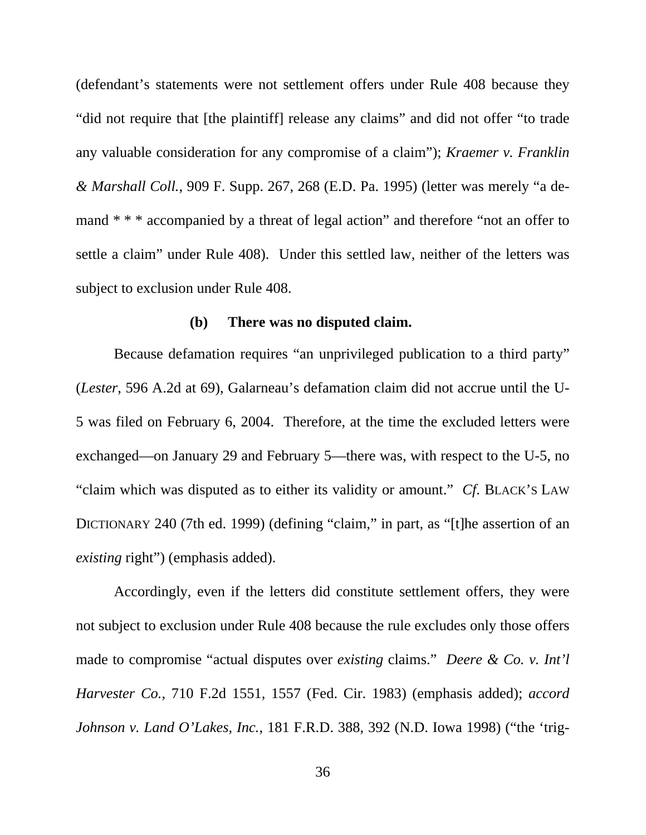<span id="page-46-0"></span>(defendant's statements were not settlement offers under Rule 408 because they "did not require that [the plaintiff] release any claims" and did not offer "to trade any valuable consideration for any compromise of a claim"); *Kraemer v. Franklin & Marshall Coll.*, 909 F. Supp. 267, 268 (E.D. Pa. 1995) (letter was merely "a demand \* \* \* accompanied by a threat of legal action" and therefore "not an offer to settle a claim" under Rule 408). Under this settled law, neither of the letters was subject to exclusion under Rule 408.

### **(b) There was no disputed claim.**

Because defamation requires "an unprivileged publication to a third party" (*Lester*, 596 A.2d at 69), Galarneau's defamation claim did not accrue until the U-5 was filed on February 6, 2004. Therefore, at the time the excluded letters were exchanged—on January 29 and February 5—there was, with respect to the U-5, no "claim which was disputed as to either its validity or amount." *Cf*. BLACK'S LAW DICTIONARY 240 (7th ed. 1999) (defining "claim," in part, as "[t]he assertion of an *existing* right") (emphasis added).

Accordingly, even if the letters did constitute settlement offers, they were not subject to exclusion under Rule 408 because the rule excludes only those offers made to compromise "actual disputes over *existing* claims." *Deere & Co. v. Int'l Harvester Co.*, 710 F.2d 1551, 1557 (Fed. Cir. 1983) (emphasis added); *accord Johnson v. Land O'Lakes, Inc.*, 181 F.R.D. 388, 392 (N.D. Iowa 1998) ("the 'trig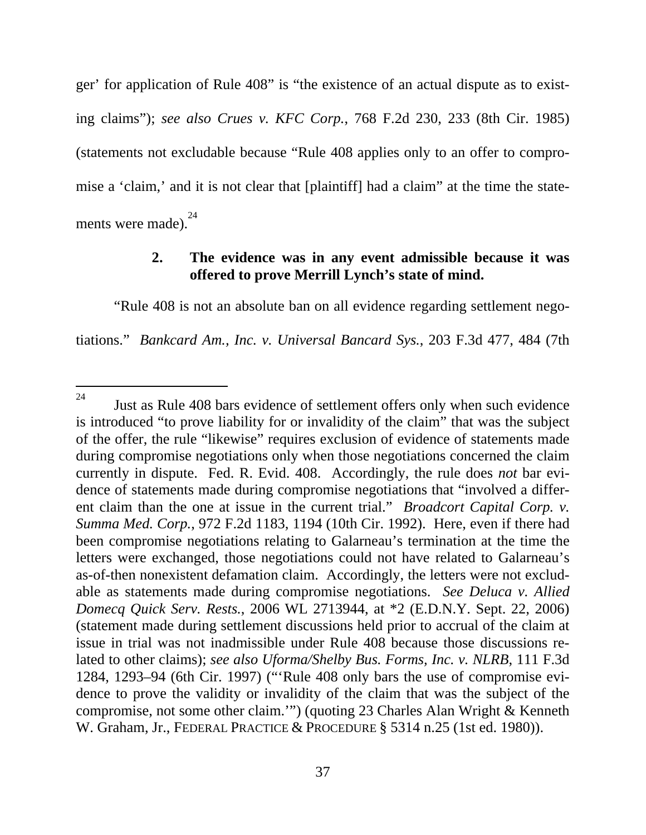<span id="page-47-0"></span>ger' for application of Rule 408" is "the existence of an actual dispute as to existing claims"); *see also Crues v. KFC Corp.*, 768 F.2d 230, 233 (8th Cir. 1985) (statements not excludable because "Rule 408 applies only to an offer to compromise a 'claim,' and it is not clear that [plaintiff] had a claim" at the time the state-ments were made).<sup>[24](#page-47-1)</sup>

### **2. The evidence was in any event admissible because it was offered to prove Merrill Lynch's state of mind.**

"Rule 408 is not an absolute ban on all evidence regarding settlement negotiations." *Bankcard Am., Inc. v. Universal Bancard Sys.*, 203 F.3d 477, 484 (7th

l

<span id="page-47-1"></span> $24$  Just as Rule 408 bars evidence of settlement offers only when such evidence is introduced "to prove liability for or invalidity of the claim" that was the subject of the offer, the rule "likewise" requires exclusion of evidence of statements made during compromise negotiations only when those negotiations concerned the claim currently in dispute. Fed. R. Evid. 408. Accordingly, the rule does *not* bar evidence of statements made during compromise negotiations that "involved a different claim than the one at issue in the current trial." *Broadcort Capital Corp. v. Summa Med. Corp.*, 972 F.2d 1183, 1194 (10th Cir. 1992). Here, even if there had been compromise negotiations relating to Galarneau's termination at the time the letters were exchanged, those negotiations could not have related to Galarneau's as-of-then nonexistent defamation claim. Accordingly, the letters were not excludable as statements made during compromise negotiations. *See Deluca v. Allied Domecq Quick Serv. Rests.*, 2006 WL 2713944, at \*2 (E.D.N.Y. Sept. 22, 2006) (statement made during settlement discussions held prior to accrual of the claim at issue in trial was not inadmissible under Rule 408 because those discussions related to other claims); *see also Uforma/Shelby Bus. Forms, Inc. v. NLRB*, 111 F.3d 1284, 1293–94 (6th Cir. 1997) ("'Rule 408 only bars the use of compromise evidence to prove the validity or invalidity of the claim that was the subject of the compromise, not some other claim.'") (quoting 23 Charles Alan Wright & Kenneth W. Graham, Jr., FEDERAL PRACTICE & PROCEDURE § 5314 n.25 (1st ed. 1980)).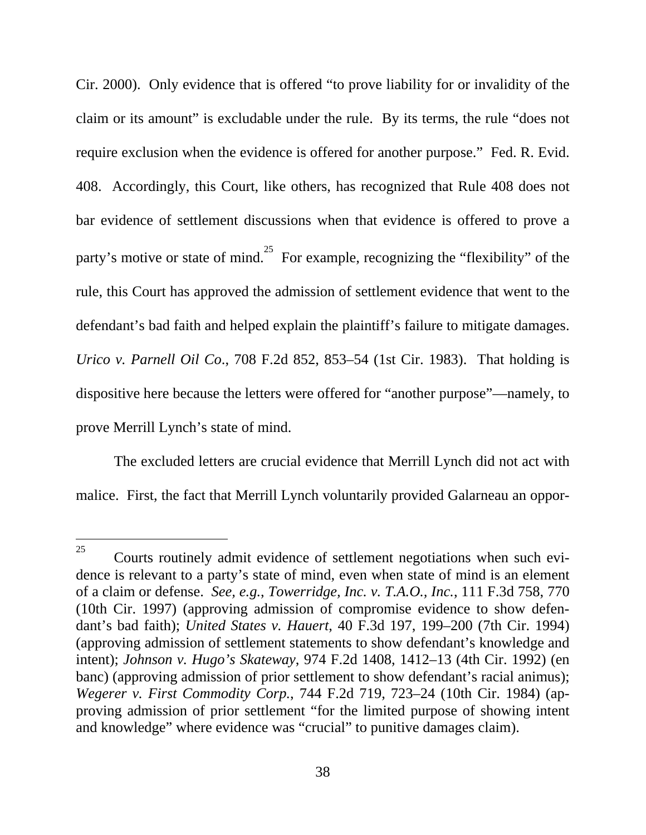Cir. 2000). Only evidence that is offered "to prove liability for or invalidity of the claim or its amount" is excludable under the rule. By its terms, the rule "does not require exclusion when the evidence is offered for another purpose." Fed. R. Evid. 408. Accordingly, this Court, like others, has recognized that Rule 408 does not bar evidence of settlement discussions when that evidence is offered to prove a party's motive or state of mind.<sup>25</sup> For example, recognizing the "flexibility" of the rule, this Court has approved the admission of settlement evidence that went to the defendant's bad faith and helped explain the plaintiff's failure to mitigate damages. *Urico v. Parnell Oil Co*., 708 F.2d 852, 853–54 (1st Cir. 1983). That holding is dispositive here because the letters were offered for "another purpose"—namely, to prove Merrill Lynch's state of mind.

The excluded letters are crucial evidence that Merrill Lynch did not act with malice. First, the fact that Merrill Lynch voluntarily provided Galarneau an oppor-

<span id="page-48-0"></span><sup>&</sup>lt;sup>25</sup> Courts routinely admit evidence of settlement negotiations when such evidence is relevant to a party's state of mind, even when state of mind is an element of a claim or defense. *See, e.g.*, *Towerridge, Inc. v. T.A.O., Inc.*, 111 F.3d 758, 770 (10th Cir. 1997) (approving admission of compromise evidence to show defendant's bad faith); *United States v. Hauert*, 40 F.3d 197, 199–200 (7th Cir. 1994) (approving admission of settlement statements to show defendant's knowledge and intent); *Johnson v. Hugo's Skateway*, 974 F.2d 1408, 1412–13 (4th Cir. 1992) (en banc) (approving admission of prior settlement to show defendant's racial animus); *Wegerer v. First Commodity Corp.*, 744 F.2d 719, 723–24 (10th Cir. 1984) (approving admission of prior settlement "for the limited purpose of showing intent and knowledge" where evidence was "crucial" to punitive damages claim).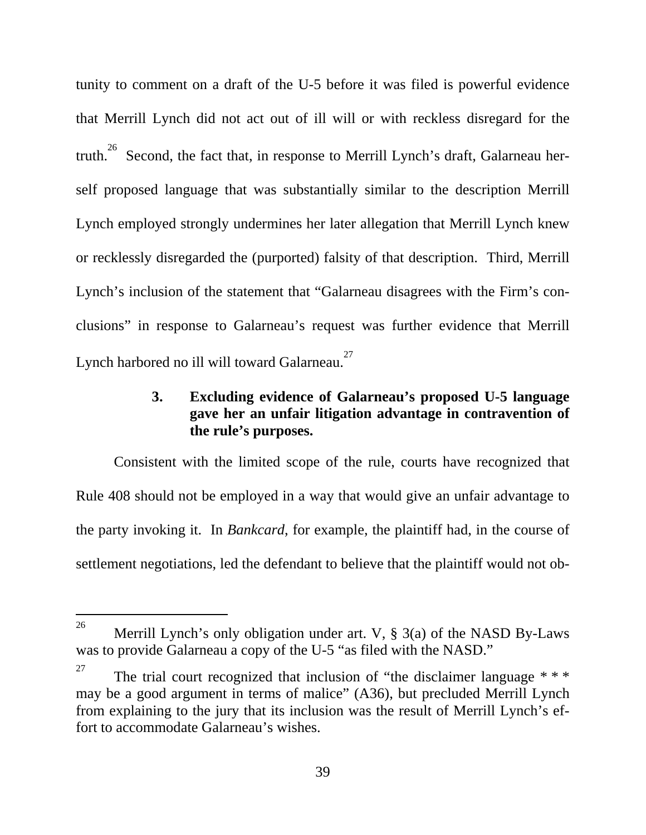<span id="page-49-0"></span>tunity to comment on a draft of the U-5 before it was filed is powerful evidence that Merrill Lynch did not act out of ill will or with reckless disregard for the truth.<sup>26</sup> Second, the fact that, in response to Merrill Lynch's draft, Galarneau herself proposed language that was substantially similar to the description Merrill Lynch employed strongly undermines her later allegation that Merrill Lynch knew or recklessly disregarded the (purported) falsity of that description. Third, Merrill Lynch's inclusion of the statement that "Galarneau disagrees with the Firm's conclusions" in response to Galarneau's request was further evidence that Merrill Lynch harbored no ill will toward Galarneau.<sup>[27](#page-49-2)</sup>

### **3. Excluding evidence of Galarneau's proposed U-5 language gave her an unfair litigation advantage in contravention of the rule's purposes.**

Consistent with the limited scope of the rule, courts have recognized that Rule 408 should not be employed in a way that would give an unfair advantage to the party invoking it. In *Bankcard*, for example, the plaintiff had, in the course of settlement negotiations, led the defendant to believe that the plaintiff would not ob-

<span id="page-49-1"></span><sup>26</sup> Merrill Lynch's only obligation under art. V,  $\S$  3(a) of the NASD By-Laws was to provide Galarneau a copy of the U-5 "as filed with the NASD."

<span id="page-49-2"></span><sup>&</sup>lt;sup>27</sup> The trial court recognized that inclusion of "the disclaimer language  $**$ may be a good argument in terms of malice" (A36), but precluded Merrill Lynch from explaining to the jury that its inclusion was the result of Merrill Lynch's effort to accommodate Galarneau's wishes.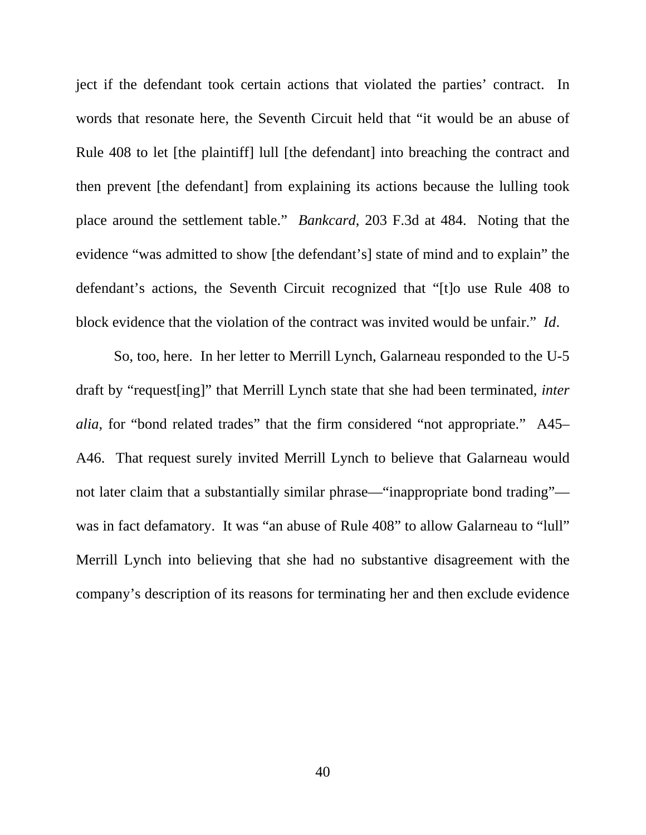ject if the defendant took certain actions that violated the parties' contract. In words that resonate here, the Seventh Circuit held that "it would be an abuse of Rule 408 to let [the plaintiff] lull [the defendant] into breaching the contract and then prevent [the defendant] from explaining its actions because the lulling took place around the settlement table." *Bankcard*, 203 F.3d at 484. Noting that the evidence "was admitted to show [the defendant's] state of mind and to explain" the defendant's actions, the Seventh Circuit recognized that "[t]o use Rule 408 to block evidence that the violation of the contract was invited would be unfair." *Id*.

So, too, here. In her letter to Merrill Lynch, Galarneau responded to the U-5 draft by "request[ing]" that Merrill Lynch state that she had been terminated, *inter alia*, for "bond related trades" that the firm considered "not appropriate." A45– A46. That request surely invited Merrill Lynch to believe that Galarneau would not later claim that a substantially similar phrase—"inappropriate bond trading" was in fact defamatory. It was "an abuse of Rule 408" to allow Galarneau to "lull" Merrill Lynch into believing that she had no substantive disagreement with the company's description of its reasons for terminating her and then exclude evidence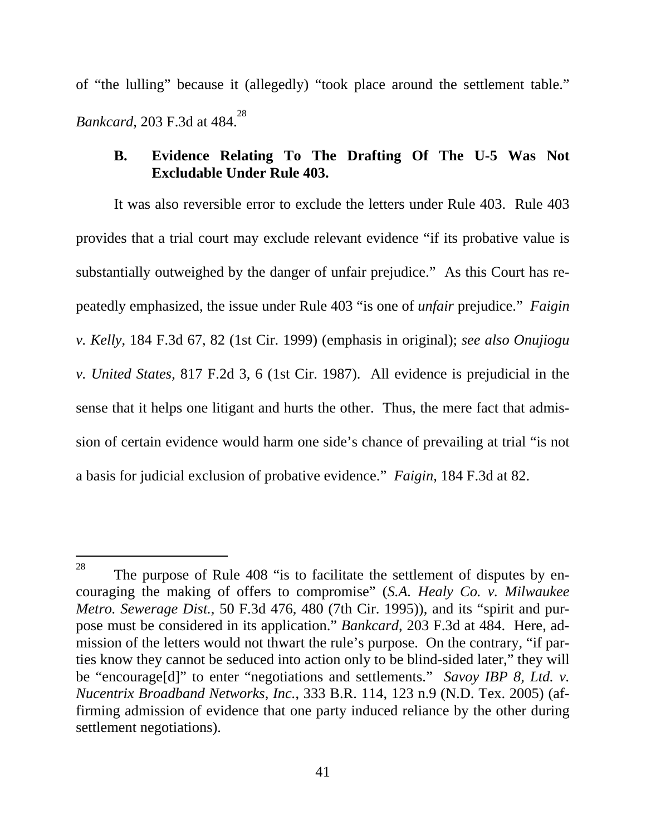<span id="page-51-0"></span>of "the lulling" because it (allegedly) "took place around the settlement table." *Bankcard*, 203 F.3d at 484.<sup>[28](#page-51-1)</sup>

### **B. Evidence Relating To The Drafting Of The U-5 Was Not Excludable Under Rule 403.**

It was also reversible error to exclude the letters under Rule 403. Rule 403 provides that a trial court may exclude relevant evidence "if its probative value is substantially outweighed by the danger of unfair prejudice." As this Court has repeatedly emphasized, the issue under Rule 403 "is one of *unfair* prejudice." *Faigin v. Kelly*, 184 F.3d 67, 82 (1st Cir. 1999) (emphasis in original); *see also Onujiogu v. United States*, 817 F.2d 3, 6 (1st Cir. 1987). All evidence is prejudicial in the sense that it helps one litigant and hurts the other. Thus, the mere fact that admission of certain evidence would harm one side's chance of prevailing at trial "is not a basis for judicial exclusion of probative evidence." *Faigin*, 184 F.3d at 82.

<span id="page-51-1"></span><sup>28</sup> The purpose of Rule 408 "is to facilitate the settlement of disputes by encouraging the making of offers to compromise" (*S.A. Healy Co. v. Milwaukee Metro. Sewerage Dist.*, 50 F.3d 476, 480 (7th Cir. 1995)), and its "spirit and purpose must be considered in its application." *Bankcard*, 203 F.3d at 484. Here, admission of the letters would not thwart the rule's purpose. On the contrary, "if parties know they cannot be seduced into action only to be blind-sided later," they will be "encourage<sup>[d]"</sup> to enter "negotiations and settlements." *Savoy IBP 8, Ltd. v. Nucentrix Broadband Networks, Inc.*, 333 B.R. 114, 123 n.9 (N.D. Tex. 2005) (affirming admission of evidence that one party induced reliance by the other during settlement negotiations).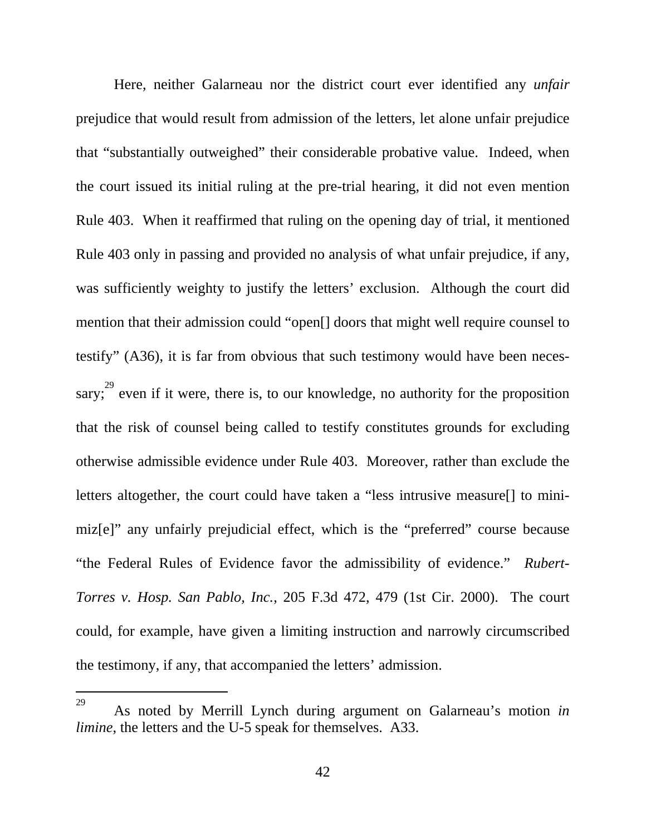Here, neither Galarneau nor the district court ever identified any *unfair* prejudice that would result from admission of the letters, let alone unfair prejudice that "substantially outweighed" their considerable probative value. Indeed, when the court issued its initial ruling at the pre-trial hearing, it did not even mention Rule 403. When it reaffirmed that ruling on the opening day of trial, it mentioned Rule 403 only in passing and provided no analysis of what unfair prejudice, if any, was sufficiently weighty to justify the letters' exclusion. Although the court did mention that their admission could "open[] doors that might well require counsel to testify" (A36), it is far from obvious that such testimony would have been necessary;  $3^{29}$  even if it were, there is, to our knowledge, no authority for the proposition that the risk of counsel being called to testify constitutes grounds for excluding otherwise admissible evidence under Rule 403. Moreover, rather than exclude the letters altogether, the court could have taken a "less intrusive measure[] to minimiz[e]" any unfairly prejudicial effect, which is the "preferred" course because "the Federal Rules of Evidence favor the admissibility of evidence." *Rubert-Torres v. Hosp. San Pablo, Inc.*, 205 F.3d 472, 479 (1st Cir. 2000). The court could, for example, have given a limiting instruction and narrowly circumscribed the testimony, if any, that accompanied the letters' admission.

<span id="page-52-0"></span><sup>29</sup> As noted by Merrill Lynch during argument on Galarneau's motion *in limine*, the letters and the U-5 speak for themselves. A33.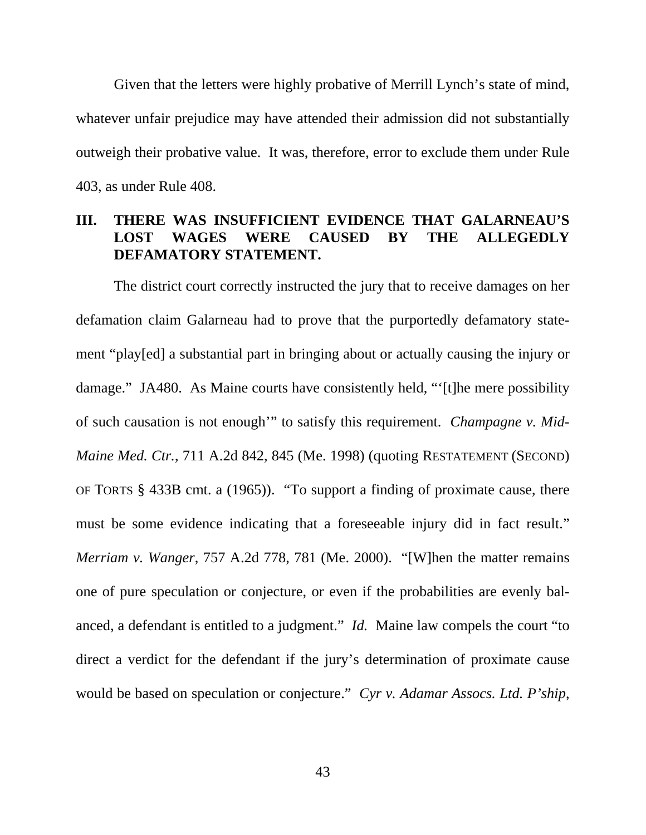<span id="page-53-0"></span>Given that the letters were highly probative of Merrill Lynch's state of mind, whatever unfair prejudice may have attended their admission did not substantially outweigh their probative value. It was, therefore, error to exclude them under Rule 403, as under Rule 408.

## **III. THERE WAS INSUFFICIENT EVIDENCE THAT GALARNEAU'S LOST WAGES WERE CAUSED BY THE ALLEGEDLY DEFAMATORY STATEMENT.**

The district court correctly instructed the jury that to receive damages on her defamation claim Galarneau had to prove that the purportedly defamatory statement "play[ed] a substantial part in bringing about or actually causing the injury or damage." JA480. As Maine courts have consistently held, "'[t]he mere possibility of such causation is not enough'" to satisfy this requirement. *Champagne v. Mid-Maine Med. Ctr.*, 711 A.2d 842, 845 (Me. 1998) (quoting RESTATEMENT (SECOND) OF TORTS § 433B cmt. a (1965)). "To support a finding of proximate cause, there must be some evidence indicating that a foreseeable injury did in fact result." *Merriam v. Wanger*, 757 A.2d 778, 781 (Me. 2000). "[W]hen the matter remains one of pure speculation or conjecture, or even if the probabilities are evenly balanced, a defendant is entitled to a judgment." *Id.* Maine law compels the court "to direct a verdict for the defendant if the jury's determination of proximate cause would be based on speculation or conjecture." *Cyr v. Adamar Assocs. Ltd. P'ship*,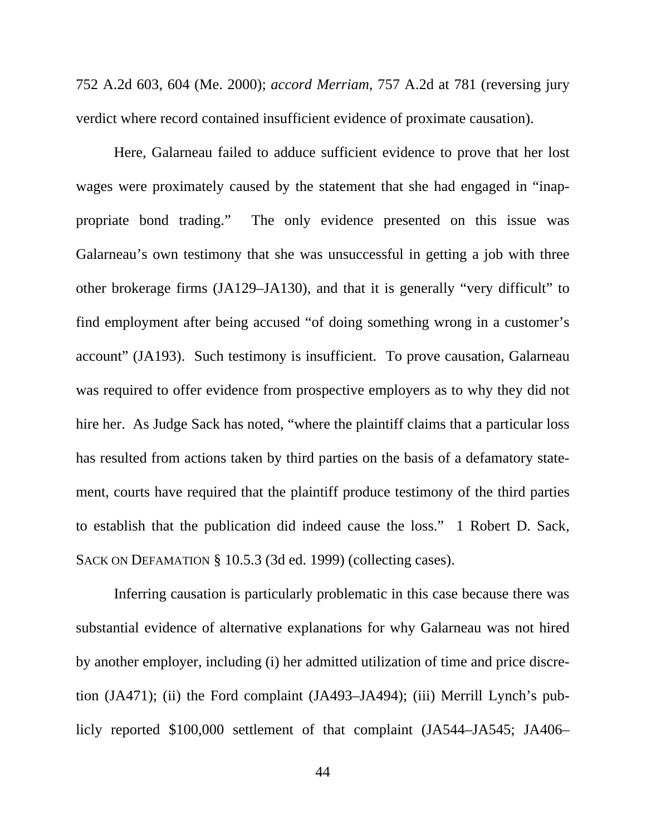752 A.2d 603, 604 (Me. 2000); *accord Merriam*, 757 A.2d at 781 (reversing jury verdict where record contained insufficient evidence of proximate causation).

Here, Galarneau failed to adduce sufficient evidence to prove that her lost wages were proximately caused by the statement that she had engaged in "inappropriate bond trading." The only evidence presented on this issue was Galarneau's own testimony that she was unsuccessful in getting a job with three other brokerage firms (JA129–JA130), and that it is generally "very difficult" to find employment after being accused "of doing something wrong in a customer's account" (JA193). Such testimony is insufficient. To prove causation, Galarneau was required to offer evidence from prospective employers as to why they did not hire her. As Judge Sack has noted, "where the plaintiff claims that a particular loss has resulted from actions taken by third parties on the basis of a defamatory statement, courts have required that the plaintiff produce testimony of the third parties to establish that the publication did indeed cause the loss." 1 Robert D. Sack, SACK ON DEFAMATION § 10.5.3 (3d ed. 1999) (collecting cases).

Inferring causation is particularly problematic in this case because there was substantial evidence of alternative explanations for why Galarneau was not hired by another employer, including (i) her admitted utilization of time and price discretion (JA471); (ii) the Ford complaint (JA493–JA494); (iii) Merrill Lynch's publicly reported \$100,000 settlement of that complaint (JA544–JA545; JA406–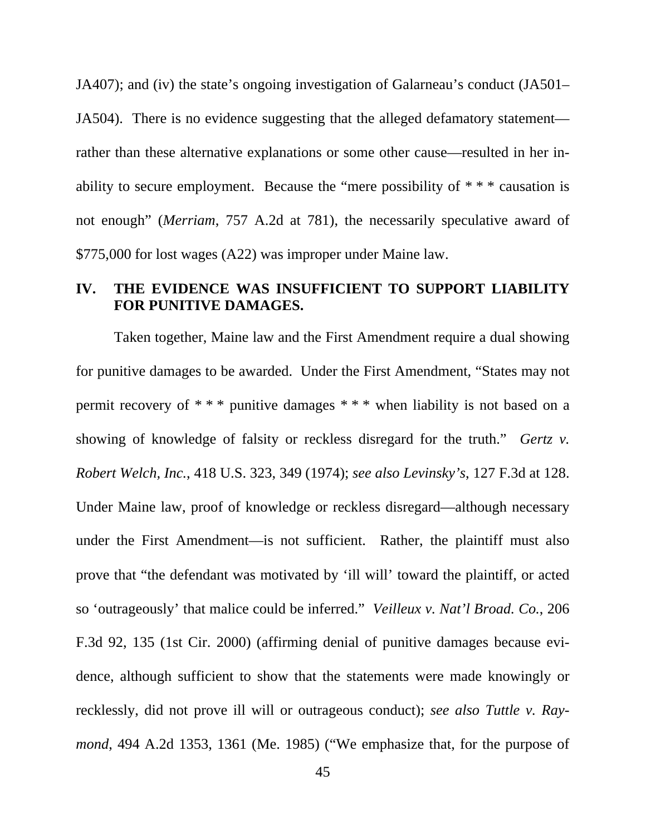<span id="page-55-0"></span>JA407); and (iv) the state's ongoing investigation of Galarneau's conduct (JA501– JA504). There is no evidence suggesting that the alleged defamatory statement rather than these alternative explanations or some other cause—resulted in her inability to secure employment. Because the "mere possibility of \* \* \* causation is not enough" (*Merriam*, 757 A.2d at 781), the necessarily speculative award of \$775,000 for lost wages (A22) was improper under Maine law.

## **IV. THE EVIDENCE WAS INSUFFICIENT TO SUPPORT LIABILITY FOR PUNITIVE DAMAGES.**

Taken together, Maine law and the First Amendment require a dual showing for punitive damages to be awarded. Under the First Amendment, "States may not permit recovery of \* \* \* punitive damages \* \* \* when liability is not based on a showing of knowledge of falsity or reckless disregard for the truth." *Gertz v. Robert Welch, Inc.*, 418 U.S. 323, 349 (1974); *see also Levinsky's*, 127 F.3d at 128. Under Maine law, proof of knowledge or reckless disregard—although necessary under the First Amendment—is not sufficient. Rather, the plaintiff must also prove that "the defendant was motivated by 'ill will' toward the plaintiff, or acted so 'outrageously' that malice could be inferred." *Veilleux v. Nat'l Broad. Co.*, 206 F.3d 92, 135 (1st Cir. 2000) (affirming denial of punitive damages because evidence, although sufficient to show that the statements were made knowingly or recklessly, did not prove ill will or outrageous conduct); *see also Tuttle v. Raymond*, 494 A.2d 1353, 1361 (Me. 1985) ("We emphasize that, for the purpose of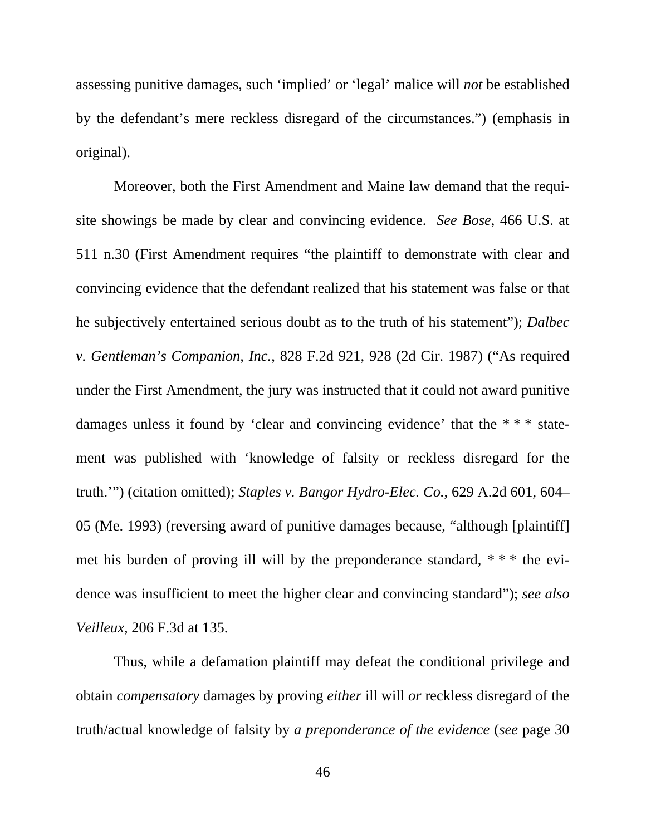assessing punitive damages, such 'implied' or 'legal' malice will *not* be established by the defendant's mere reckless disregard of the circumstances.") (emphasis in original).

Moreover, both the First Amendment and Maine law demand that the requisite showings be made by clear and convincing evidence. *See Bose*, 466 U.S. at 511 n.30 (First Amendment requires "the plaintiff to demonstrate with clear and convincing evidence that the defendant realized that his statement was false or that he subjectively entertained serious doubt as to the truth of his statement"); *Dalbec v. Gentleman's Companion, Inc.*, 828 F.2d 921, 928 (2d Cir. 1987) ("As required under the First Amendment, the jury was instructed that it could not award punitive damages unless it found by 'clear and convincing evidence' that the \* \* \* statement was published with 'knowledge of falsity or reckless disregard for the truth.'") (citation omitted); *Staples v. Bangor Hydro-Elec. Co.*, 629 A.2d 601, 604– 05 (Me. 1993) (reversing award of punitive damages because, "although [plaintiff] met his burden of proving ill will by the preponderance standard, \* \* \* the evidence was insufficient to meet the higher clear and convincing standard"); *see also Veilleux*, 206 F.3d at 135.

Thus, while a defamation plaintiff may defeat the conditional privilege and obtain *compensatory* damages by proving *either* ill will *or* reckless disregard of the truth/actual knowledge of falsity by *a preponderance of the evidence* (*see* page 30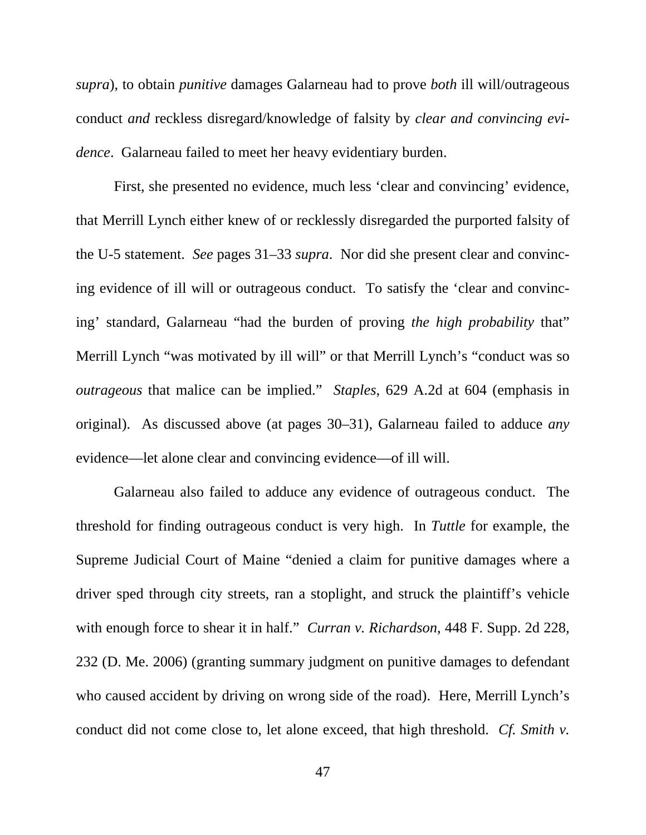*supra*), to obtain *punitive* damages Galarneau had to prove *both* ill will/outrageous conduct *and* reckless disregard/knowledge of falsity by *clear and convincing evidence*. Galarneau failed to meet her heavy evidentiary burden.

First, she presented no evidence, much less 'clear and convincing' evidence, that Merrill Lynch either knew of or recklessly disregarded the purported falsity of the U-5 statement. *See* pages 31–33 *supra*. Nor did she present clear and convincing evidence of ill will or outrageous conduct. To satisfy the 'clear and convincing' standard, Galarneau "had the burden of proving *the high probability* that" Merrill Lynch "was motivated by ill will" or that Merrill Lynch's "conduct was so *outrageous* that malice can be implied." *Staples*, 629 A.2d at 604 (emphasis in original). As discussed above (at pages 30–31), Galarneau failed to adduce *any* evidence—let alone clear and convincing evidence—of ill will.

Galarneau also failed to adduce any evidence of outrageous conduct. The threshold for finding outrageous conduct is very high. In *Tuttle* for example, the Supreme Judicial Court of Maine "denied a claim for punitive damages where a driver sped through city streets, ran a stoplight, and struck the plaintiff's vehicle with enough force to shear it in half." *Curran v. Richardson*, 448 F. Supp. 2d 228, 232 (D. Me. 2006) (granting summary judgment on punitive damages to defendant who caused accident by driving on wrong side of the road). Here, Merrill Lynch's conduct did not come close to, let alone exceed, that high threshold. *Cf. Smith v.*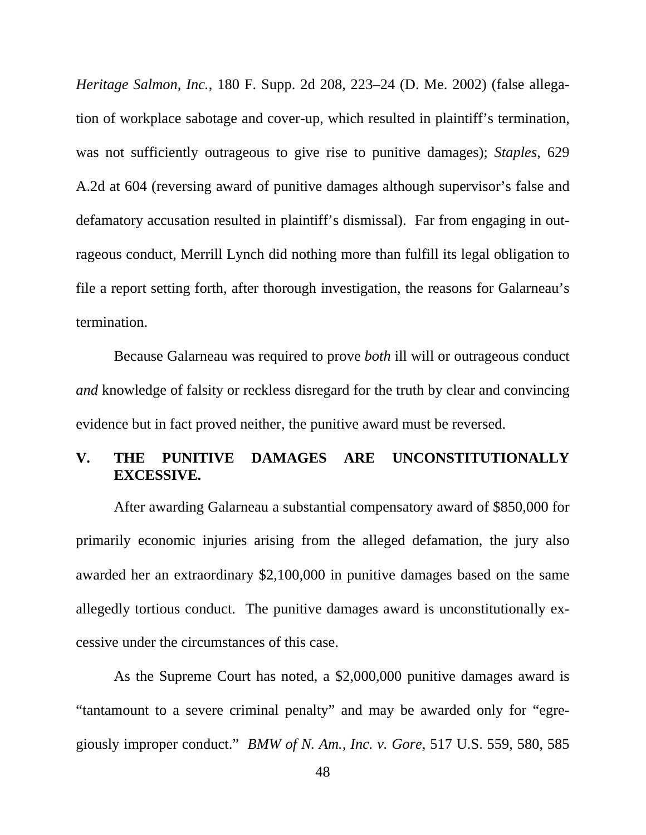<span id="page-58-0"></span>*Heritage Salmon, Inc.*, 180 F. Supp. 2d 208, 223–24 (D. Me. 2002) (false allegation of workplace sabotage and cover-up, which resulted in plaintiff's termination, was not sufficiently outrageous to give rise to punitive damages); *Staples*, 629 A.2d at 604 (reversing award of punitive damages although supervisor's false and defamatory accusation resulted in plaintiff's dismissal). Far from engaging in outrageous conduct, Merrill Lynch did nothing more than fulfill its legal obligation to file a report setting forth, after thorough investigation, the reasons for Galarneau's termination.

Because Galarneau was required to prove *both* ill will or outrageous conduct *and* knowledge of falsity or reckless disregard for the truth by clear and convincing evidence but in fact proved neither, the punitive award must be reversed.

## **V. THE PUNITIVE DAMAGES ARE UNCONSTITUTIONALLY EXCESSIVE.**

After awarding Galarneau a substantial compensatory award of \$850,000 for primarily economic injuries arising from the alleged defamation, the jury also awarded her an extraordinary \$2,100,000 in punitive damages based on the same allegedly tortious conduct. The punitive damages award is unconstitutionally excessive under the circumstances of this case.

As the Supreme Court has noted, a \$2,000,000 punitive damages award is "tantamount to a severe criminal penalty" and may be awarded only for "egregiously improper conduct." *BMW of N. Am., Inc. v. Gore*, 517 U.S. 559, 580, 585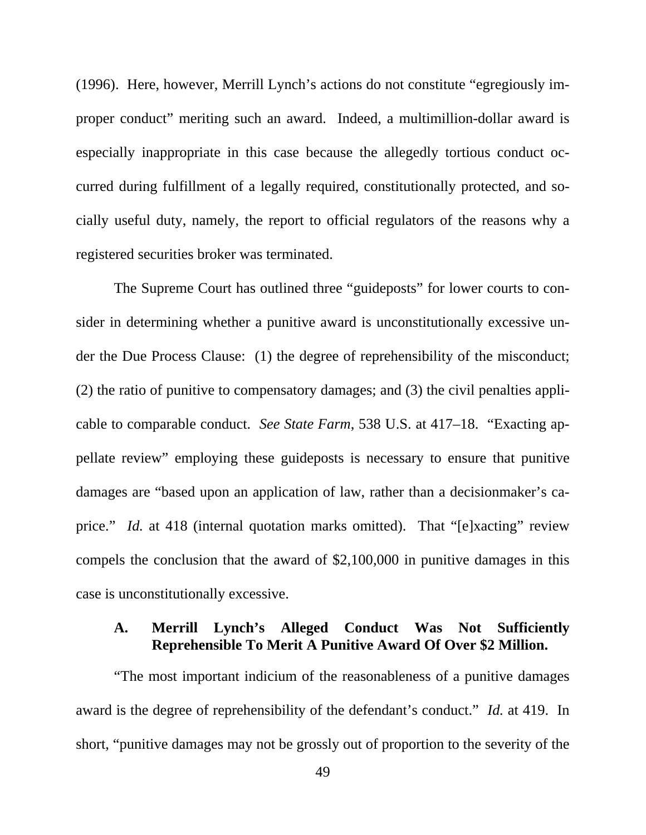<span id="page-59-0"></span>(1996). Here, however, Merrill Lynch's actions do not constitute "egregiously improper conduct" meriting such an award. Indeed, a multimillion-dollar award is especially inappropriate in this case because the allegedly tortious conduct occurred during fulfillment of a legally required, constitutionally protected, and socially useful duty, namely, the report to official regulators of the reasons why a registered securities broker was terminated.

The Supreme Court has outlined three "guideposts" for lower courts to consider in determining whether a punitive award is unconstitutionally excessive under the Due Process Clause: (1) the degree of reprehensibility of the misconduct; (2) the ratio of punitive to compensatory damages; and (3) the civil penalties applicable to comparable conduct. *See State Farm*, 538 U.S. at 417–18. "Exacting appellate review" employing these guideposts is necessary to ensure that punitive damages are "based upon an application of law, rather than a decisionmaker's caprice." *Id.* at 418 (internal quotation marks omitted). That "[e]xacting" review compels the conclusion that the award of \$2,100,000 in punitive damages in this case is unconstitutionally excessive.

## **A. Merrill Lynch's Alleged Conduct Was Not Sufficiently Reprehensible To Merit A Punitive Award Of Over \$2 Million.**

"The most important indicium of the reasonableness of a punitive damages award is the degree of reprehensibility of the defendant's conduct." *Id.* at 419. In short, "punitive damages may not be grossly out of proportion to the severity of the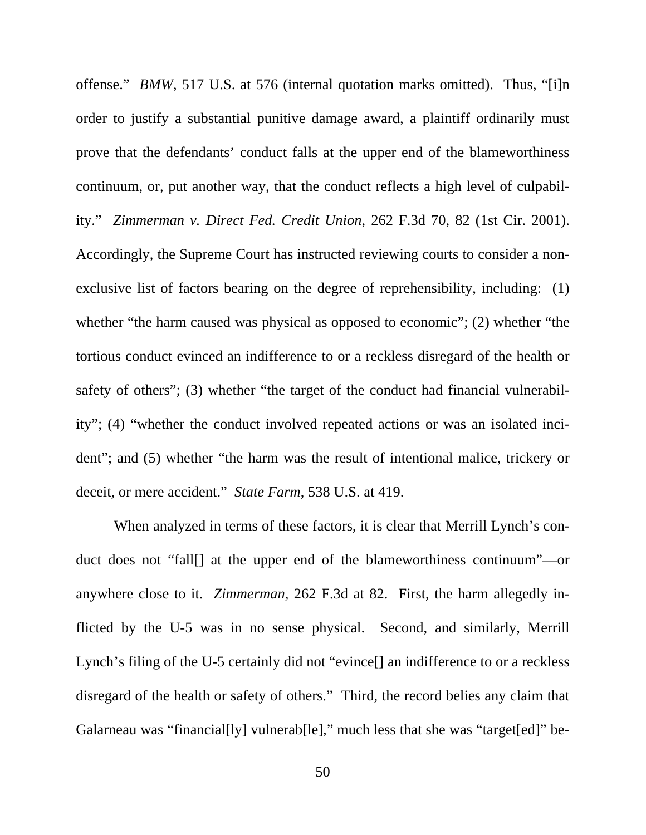offense." *BMW*, 517 U.S. at 576 (internal quotation marks omitted). Thus, "[i]n order to justify a substantial punitive damage award, a plaintiff ordinarily must prove that the defendants' conduct falls at the upper end of the blameworthiness continuum, or, put another way, that the conduct reflects a high level of culpability." *Zimmerman v. Direct Fed. Credit Union*, 262 F.3d 70, 82 (1st Cir. 2001). Accordingly, the Supreme Court has instructed reviewing courts to consider a nonexclusive list of factors bearing on the degree of reprehensibility, including: (1) whether "the harm caused was physical as opposed to economic"; (2) whether "the tortious conduct evinced an indifference to or a reckless disregard of the health or safety of others"; (3) whether "the target of the conduct had financial vulnerability"; (4) "whether the conduct involved repeated actions or was an isolated incident"; and (5) whether "the harm was the result of intentional malice, trickery or deceit, or mere accident." *State Farm*, 538 U.S. at 419.

When analyzed in terms of these factors, it is clear that Merrill Lynch's conduct does not "fall[] at the upper end of the blameworthiness continuum"—or anywhere close to it. *Zimmerman*, 262 F.3d at 82. First, the harm allegedly inflicted by the U-5 was in no sense physical. Second, and similarly, Merrill Lynch's filing of the U-5 certainly did not "evince[] an indifference to or a reckless disregard of the health or safety of others." Third, the record belies any claim that Galarneau was "financial[ly] vulnerab[le]," much less that she was "target[ed]" be-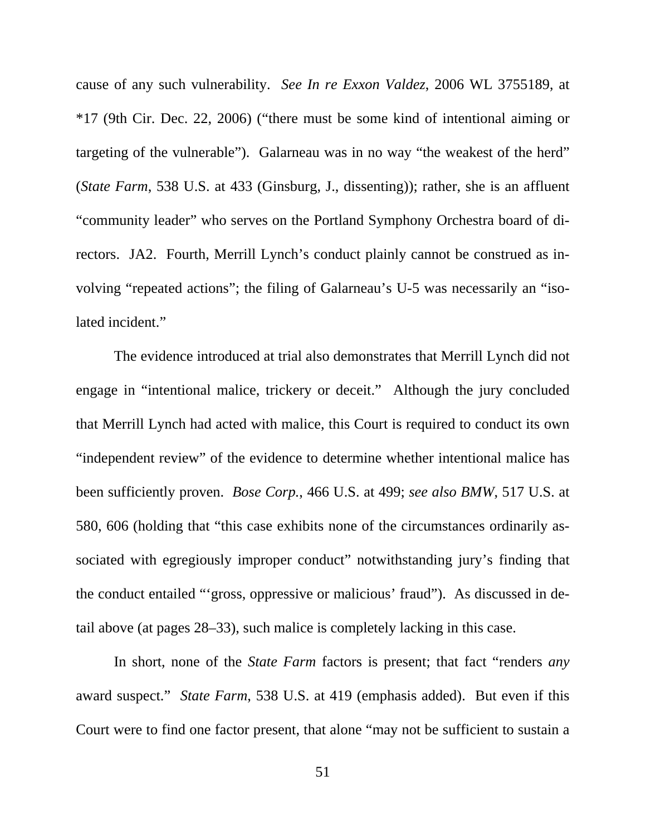cause of any such vulnerability. *See In re Exxon Valdez*, 2006 WL 3755189, at \*17 (9th Cir. Dec. 22, 2006) ("there must be some kind of intentional aiming or targeting of the vulnerable"). Galarneau was in no way "the weakest of the herd" (*State Farm*, 538 U.S. at 433 (Ginsburg, J., dissenting)); rather, she is an affluent "community leader" who serves on the Portland Symphony Orchestra board of directors. JA2. Fourth, Merrill Lynch's conduct plainly cannot be construed as involving "repeated actions"; the filing of Galarneau's U-5 was necessarily an "isolated incident."

The evidence introduced at trial also demonstrates that Merrill Lynch did not engage in "intentional malice, trickery or deceit." Although the jury concluded that Merrill Lynch had acted with malice, this Court is required to conduct its own "independent review" of the evidence to determine whether intentional malice has been sufficiently proven. *Bose Corp.*, 466 U.S. at 499; *see also BMW*, 517 U.S. at 580, 606 (holding that "this case exhibits none of the circumstances ordinarily associated with egregiously improper conduct" notwithstanding jury's finding that the conduct entailed "'gross, oppressive or malicious' fraud"). As discussed in detail above (at pages 28–33), such malice is completely lacking in this case.

In short, none of the *State Farm* factors is present; that fact "renders *any* award suspect." *State Farm*, 538 U.S. at 419 (emphasis added). But even if this Court were to find one factor present, that alone "may not be sufficient to sustain a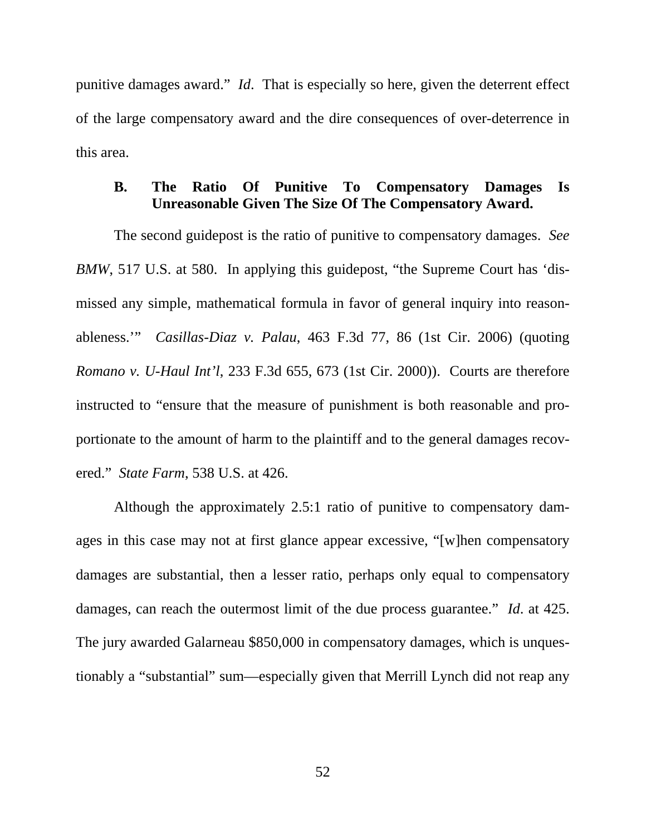<span id="page-62-0"></span>punitive damages award." *Id*. That is especially so here, given the deterrent effect of the large compensatory award and the dire consequences of over-deterrence in this area.

## **B. The Ratio Of Punitive To Compensatory Damages Is Unreasonable Given The Size Of The Compensatory Award.**

The second guidepost is the ratio of punitive to compensatory damages. *See BMW*, 517 U.S. at 580. In applying this guidepost, "the Supreme Court has 'dismissed any simple, mathematical formula in favor of general inquiry into reasonableness.'" *Casillas-Diaz v. Palau*, 463 F.3d 77, 86 (1st Cir. 2006) (quoting *Romano v. U-Haul Int'l*, 233 F.3d 655, 673 (1st Cir. 2000)). Courts are therefore instructed to "ensure that the measure of punishment is both reasonable and proportionate to the amount of harm to the plaintiff and to the general damages recovered." *State Farm*, 538 U.S. at 426.

Although the approximately 2.5:1 ratio of punitive to compensatory damages in this case may not at first glance appear excessive, "[w]hen compensatory damages are substantial, then a lesser ratio, perhaps only equal to compensatory damages, can reach the outermost limit of the due process guarantee." *Id*. at 425. The jury awarded Galarneau \$850,000 in compensatory damages, which is unquestionably a "substantial" sum—especially given that Merrill Lynch did not reap any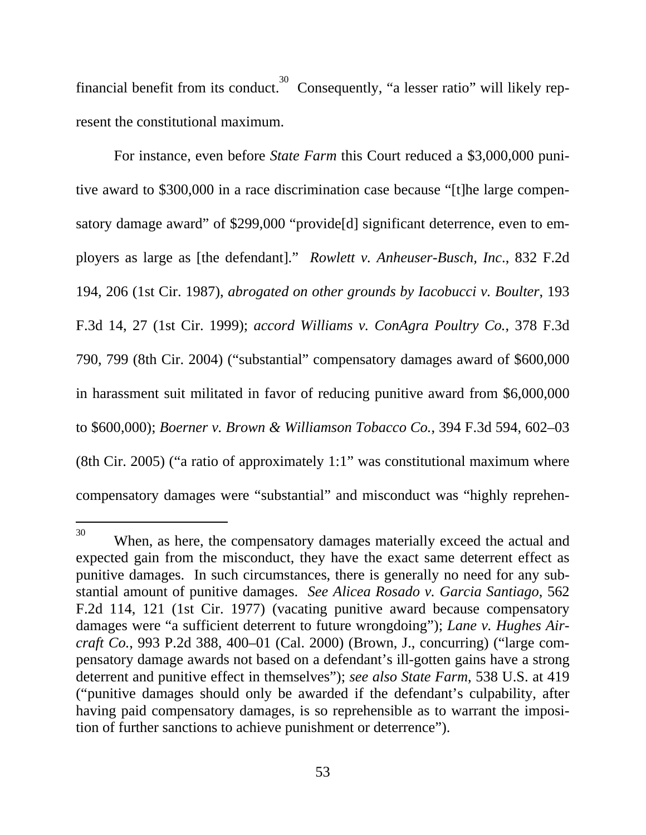financial benefit from its conduct.<sup>30</sup> Consequently, "a lesser ratio" will likely represent the constitutional maximum.

For instance, even before *State Farm* this Court reduced a \$3,000,000 punitive award to \$300,000 in a race discrimination case because "[t]he large compensatory damage award" of \$299,000 "provide<sup>[d]</sup> significant deterrence, even to employers as large as [the defendant]." *Rowlett v. Anheuser-Busch, Inc*., 832 F.2d 194, 206 (1st Cir. 1987), *abrogated on other grounds by Iacobucci v. Boulter*, 193 F.3d 14, 27 (1st Cir. 1999); *accord Williams v. ConAgra Poultry Co.*, 378 F.3d 790, 799 (8th Cir. 2004) ("substantial" compensatory damages award of \$600,000 in harassment suit militated in favor of reducing punitive award from \$6,000,000 to \$600,000); *Boerner v. Brown & Williamson Tobacco Co.*, 394 F.3d 594, 602–03 (8th Cir. 2005) ("a ratio of approximately 1:1" was constitutional maximum where compensatory damages were "substantial" and misconduct was "highly reprehen-

<span id="page-63-0"></span><sup>&</sup>lt;sup>30</sup> When, as here, the compensatory damages materially exceed the actual and expected gain from the misconduct, they have the exact same deterrent effect as punitive damages. In such circumstances, there is generally no need for any substantial amount of punitive damages. *See Alicea Rosado v. Garcia Santiago*, 562 F.2d 114, 121 (1st Cir. 1977) (vacating punitive award because compensatory damages were "a sufficient deterrent to future wrongdoing"); *Lane v. Hughes Aircraft Co.*, 993 P.2d 388, 400–01 (Cal. 2000) (Brown, J., concurring) ("large compensatory damage awards not based on a defendant's ill-gotten gains have a strong deterrent and punitive effect in themselves"); *see also State Farm*, 538 U.S. at 419 ("punitive damages should only be awarded if the defendant's culpability, after having paid compensatory damages, is so reprehensible as to warrant the imposition of further sanctions to achieve punishment or deterrence").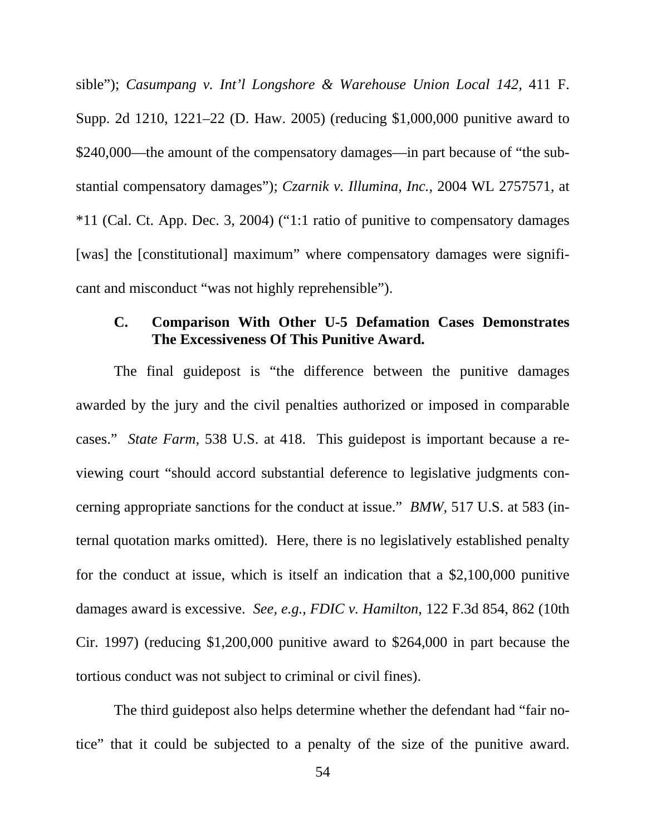<span id="page-64-0"></span>sible"); *Casumpang v. Int'l Longshore & Warehouse Union Local 142*, 411 F. Supp. 2d 1210, 1221–22 (D. Haw. 2005) (reducing \$1,000,000 punitive award to \$240,000—the amount of the compensatory damages—in part because of "the substantial compensatory damages"); *Czarnik v. Illumina, Inc.*, 2004 WL 2757571, at \*11 (Cal. Ct. App. Dec. 3, 2004) ("1:1 ratio of punitive to compensatory damages [was] the [constitutional] maximum" where compensatory damages were significant and misconduct "was not highly reprehensible").

## **C. Comparison With Other U-5 Defamation Cases Demonstrates The Excessiveness Of This Punitive Award.**

The final guidepost is "the difference between the punitive damages awarded by the jury and the civil penalties authorized or imposed in comparable cases." *State Farm*, 538 U.S. at 418. This guidepost is important because a reviewing court "should accord substantial deference to legislative judgments concerning appropriate sanctions for the conduct at issue." *BMW*, 517 U.S. at 583 (internal quotation marks omitted). Here, there is no legislatively established penalty for the conduct at issue, which is itself an indication that a \$2,100,000 punitive damages award is excessive. *See, e.g., FDIC v. Hamilton*, 122 F.3d 854, 862 (10th Cir. 1997) (reducing \$1,200,000 punitive award to \$264,000 in part because the tortious conduct was not subject to criminal or civil fines).

The third guidepost also helps determine whether the defendant had "fair notice" that it could be subjected to a penalty of the size of the punitive award.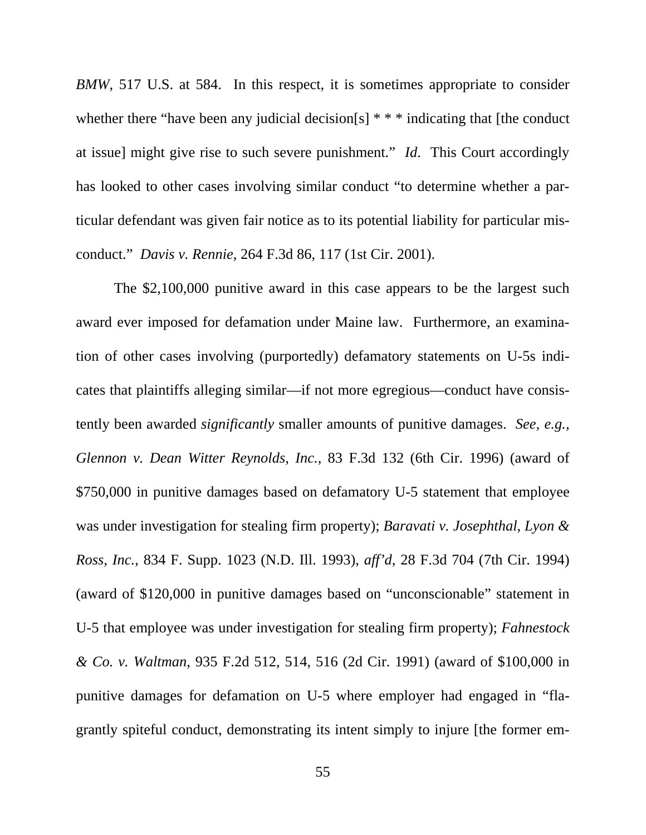*BMW*, 517 U.S. at 584. In this respect, it is sometimes appropriate to consider whether there "have been any judicial decision[s] \* \* \* indicating that [the conduct at issue] might give rise to such severe punishment." *Id*. This Court accordingly has looked to other cases involving similar conduct "to determine whether a particular defendant was given fair notice as to its potential liability for particular misconduct." *Davis v. Rennie*, 264 F.3d 86, 117 (1st Cir. 2001).

The \$2,100,000 punitive award in this case appears to be the largest such award ever imposed for defamation under Maine law. Furthermore, an examination of other cases involving (purportedly) defamatory statements on U-5s indicates that plaintiffs alleging similar—if not more egregious—conduct have consistently been awarded *significantly* smaller amounts of punitive damages. *See, e.g., Glennon v. Dean Witter Reynolds, Inc.*, 83 F.3d 132 (6th Cir. 1996) (award of \$750,000 in punitive damages based on defamatory U-5 statement that employee was under investigation for stealing firm property); *Baravati v. Josephthal, Lyon & Ross, Inc.*, 834 F. Supp. 1023 (N.D. Ill. 1993), *aff'd*, 28 F.3d 704 (7th Cir. 1994) (award of \$120,000 in punitive damages based on "unconscionable" statement in U-5 that employee was under investigation for stealing firm property); *Fahnestock & Co. v. Waltman*, 935 F.2d 512, 514, 516 (2d Cir. 1991) (award of \$100,000 in punitive damages for defamation on U-5 where employer had engaged in "flagrantly spiteful conduct, demonstrating its intent simply to injure [the former em-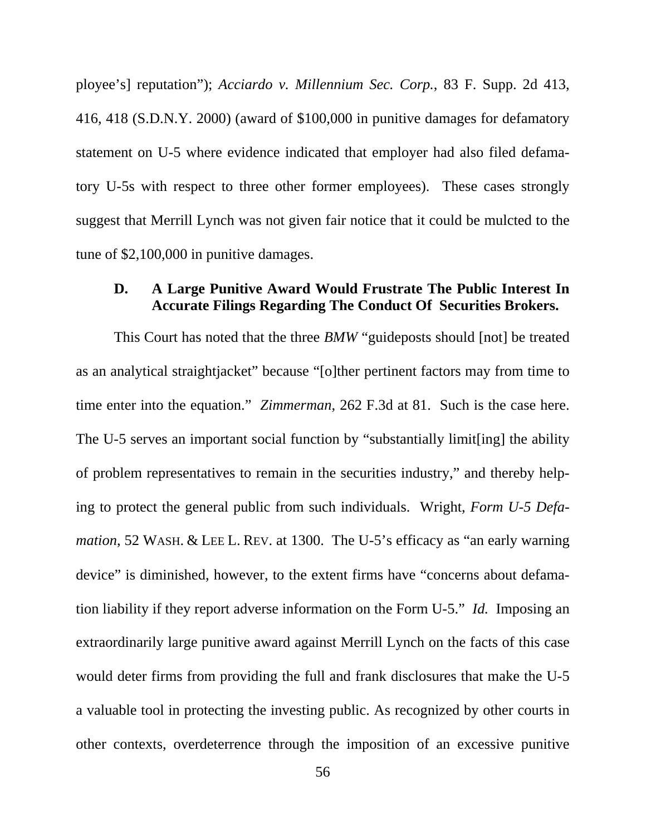<span id="page-66-0"></span>ployee's] reputation"); *Acciardo v. Millennium Sec. Corp.*, 83 F. Supp. 2d 413, 416, 418 (S.D.N.Y. 2000) (award of \$100,000 in punitive damages for defamatory statement on U-5 where evidence indicated that employer had also filed defamatory U-5s with respect to three other former employees). These cases strongly suggest that Merrill Lynch was not given fair notice that it could be mulcted to the tune of \$2,100,000 in punitive damages.

## **D. A Large Punitive Award Would Frustrate The Public Interest In Accurate Filings Regarding The Conduct Of Securities Brokers.**

This Court has noted that the three *BMW* "guideposts should [not] be treated as an analytical straightjacket" because "[o]ther pertinent factors may from time to time enter into the equation." *Zimmerman*, 262 F.3d at 81. Such is the case here. The U-5 serves an important social function by "substantially limit[ing] the ability of problem representatives to remain in the securities industry," and thereby helping to protect the general public from such individuals. Wright, *Form U-5 Defamation*, 52 WASH. & LEE L. REV. at 1300. The U-5's efficacy as "an early warning device" is diminished, however, to the extent firms have "concerns about defamation liability if they report adverse information on the Form U-5." *Id.* Imposing an extraordinarily large punitive award against Merrill Lynch on the facts of this case would deter firms from providing the full and frank disclosures that make the U-5 a valuable tool in protecting the investing public. As recognized by other courts in other contexts, overdeterrence through the imposition of an excessive punitive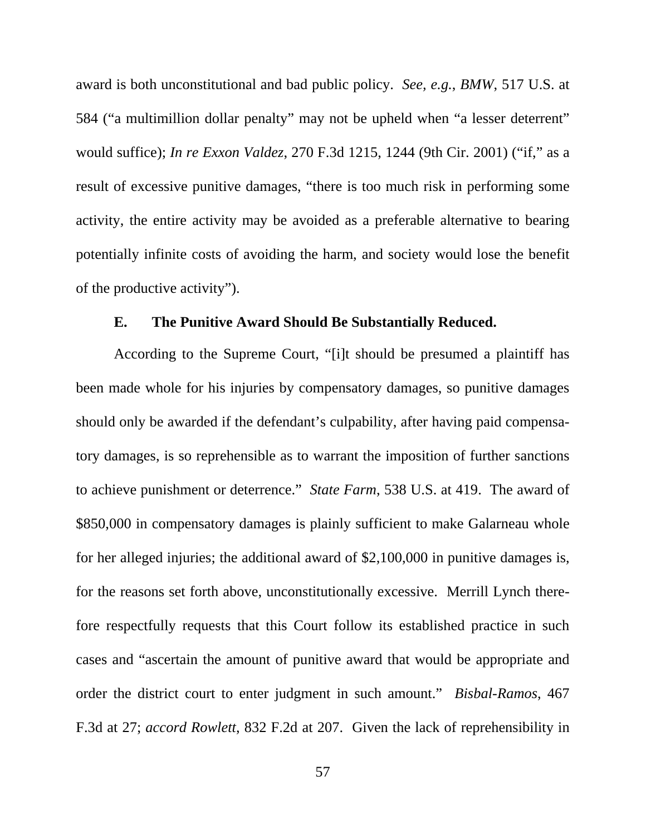<span id="page-67-0"></span>award is both unconstitutional and bad public policy. *See, e.g.*, *BMW*, 517 U.S. at 584 ("a multimillion dollar penalty" may not be upheld when "a lesser deterrent" would suffice); *In re Exxon Valdez*, 270 F.3d 1215, 1244 (9th Cir. 2001) ("if," as a result of excessive punitive damages, "there is too much risk in performing some activity, the entire activity may be avoided as a preferable alternative to bearing potentially infinite costs of avoiding the harm, and society would lose the benefit of the productive activity").

## **E. The Punitive Award Should Be Substantially Reduced.**

According to the Supreme Court, "[i]t should be presumed a plaintiff has been made whole for his injuries by compensatory damages, so punitive damages should only be awarded if the defendant's culpability, after having paid compensatory damages, is so reprehensible as to warrant the imposition of further sanctions to achieve punishment or deterrence." *State Farm*, 538 U.S. at 419. The award of \$850,000 in compensatory damages is plainly sufficient to make Galarneau whole for her alleged injuries; the additional award of \$2,100,000 in punitive damages is, for the reasons set forth above, unconstitutionally excessive. Merrill Lynch therefore respectfully requests that this Court follow its established practice in such cases and "ascertain the amount of punitive award that would be appropriate and order the district court to enter judgment in such amount." *Bisbal-Ramos*, 467 F.3d at 27; *accord Rowlett*, 832 F.2d at 207. Given the lack of reprehensibility in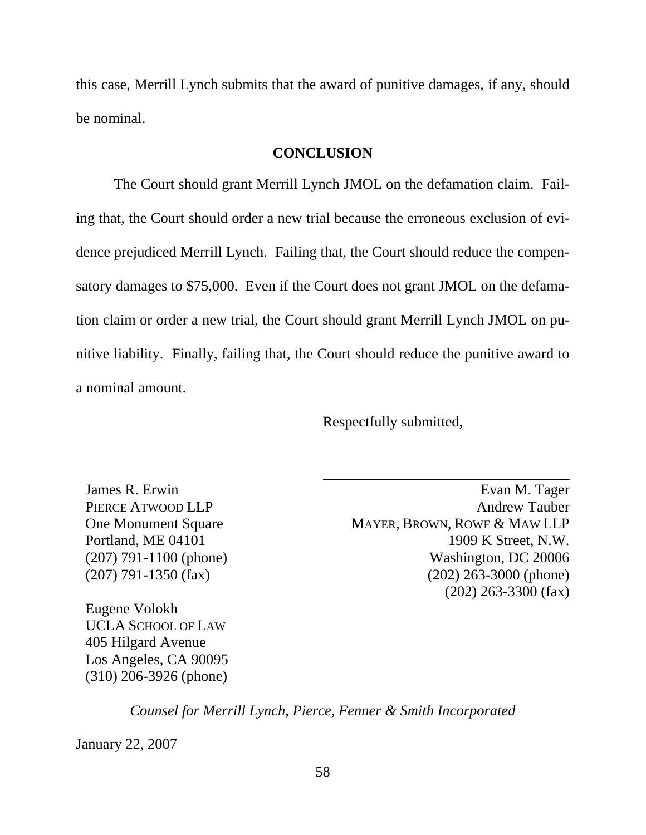<span id="page-68-0"></span>this case, Merrill Lynch submits that the award of punitive damages, if any, should be nominal.

### **CONCLUSION**

The Court should grant Merrill Lynch JMOL on the defamation claim. Failing that, the Court should order a new trial because the erroneous exclusion of evidence prejudiced Merrill Lynch. Failing that, the Court should reduce the compensatory damages to \$75,000. Even if the Court does not grant JMOL on the defamation claim or order a new trial, the Court should grant Merrill Lynch JMOL on punitive liability. Finally, failing that, the Court should reduce the punitive award to a nominal amount.

Respectfully submitted,

James R. Erwin PIERCE ATWOOD LLP One Monument Square Portland, ME 04101 (207) 791-1100 (phone) (207) 791-1350 (fax)

Eugene Volokh UCLA SCHOOL OF LAW 405 Hilgard Avenue Los Angeles, CA 90095 (310) 206-3926 (phone)

Evan M. Tager Andrew Tauber MAYER, BROWN, ROWE & MAW LLP 1909 K Street, N.W. Washington, DC 20006 (202) 263-3000 (phone) (202) 263-3300 (fax)

*Counsel for Merrill Lynch, Pierce, Fenner & Smith Incorporated* 

January 22, 2007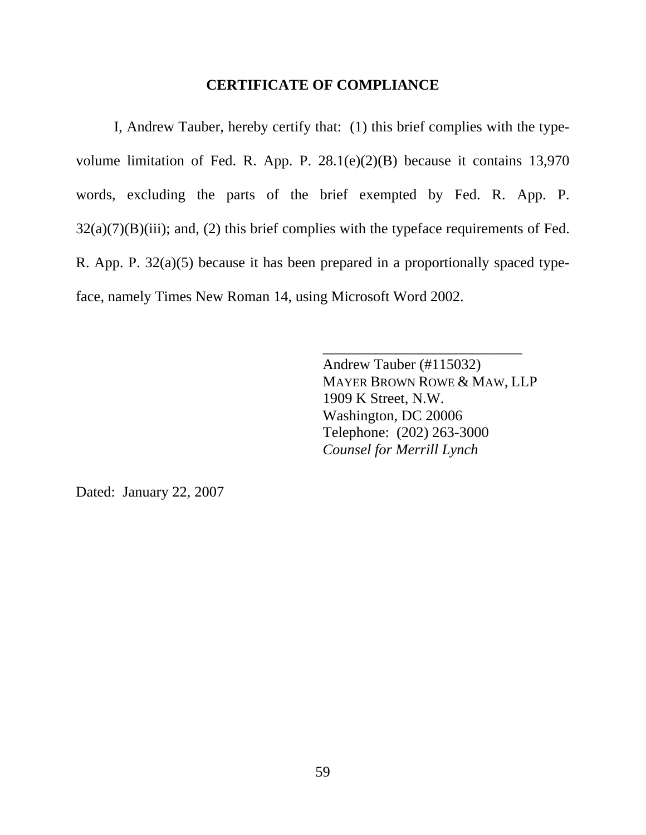### **CERTIFICATE OF COMPLIANCE**

<span id="page-69-0"></span>I, Andrew Tauber, hereby certify that: (1) this brief complies with the typevolume limitation of Fed. R. App. P. 28.1(e)(2)(B) because it contains 13,970 words, excluding the parts of the brief exempted by Fed. R. App. P.  $32(a)(7)(B)(iii)$ ; and, (2) this brief complies with the typeface requirements of Fed. R. App. P. 32(a)(5) because it has been prepared in a proportionally spaced typeface, namely Times New Roman 14, using Microsoft Word 2002.

> Andrew Tauber (#115032) MAYER BROWN ROWE & MAW, LLP 1909 K Street, N.W. Washington, DC 20006 Telephone: (202) 263-3000 *Counsel for Merrill Lynch*

\_\_\_\_\_\_\_\_\_\_\_\_\_\_\_\_\_\_\_\_\_\_\_\_\_\_\_

Dated: January 22, 2007